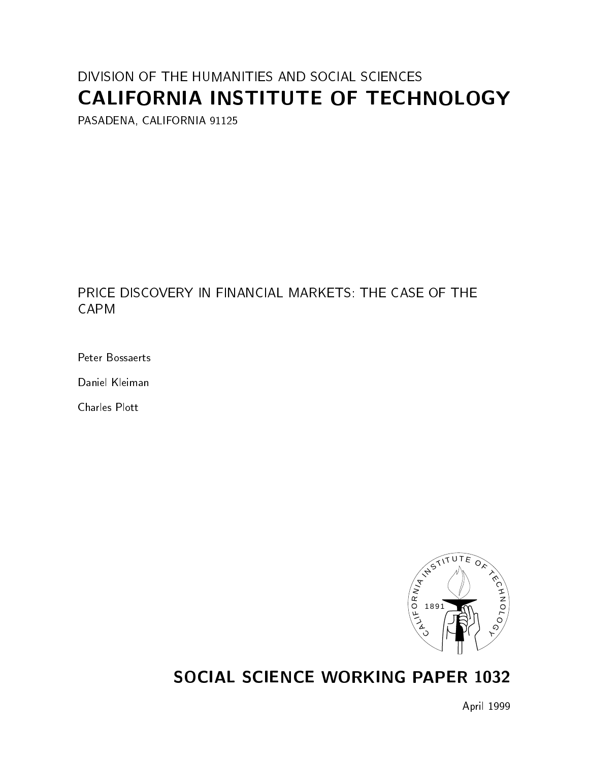## DIVISION OF THE HUMANITIES AND SOCIAL SCIENCES CALIFORNIA INSTITUTE OF TECHNOLOGY

PASADENA, CALIFORNIA 91125

PRICE DISCOVERY IN FINANCIAL MARKETS: THE CASE OF THE **CAPM** 

Peter Bossaerts

Daniel Kleiman

Charles Plott



## SOCIAL SCIENCE WORKING PAPER 1032

April 1999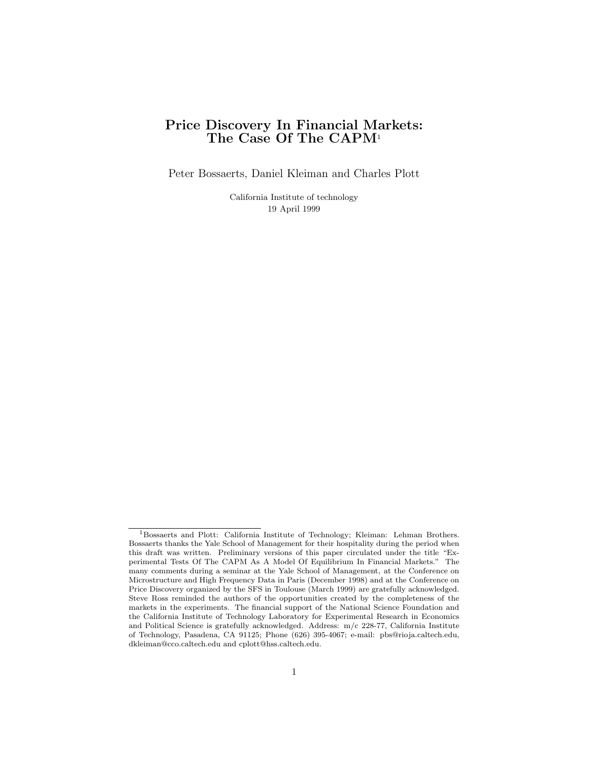# Price Discovery In Financial Markets: Discovery In Financial Mar<br>The Case Of The CAPM<sup>1</sup>

Peter Bossaerts, Daniel Kleiman and Charles Plott

California Institute of technology Institute of tech<br>19 April 1999

<sup>&</sup>lt;sup>1</sup>Bossaerts and Plott: California Institute of Technology; Kleiman: Lehman Brothers. <sup>1</sup>Bossaerts and Plott: California Institute of Technology; Kleiman: Lehman Brothers.<br>Bossaerts thanks the Yale School of Management for their hospitality during the period when<br>this draft was written. Preliminary version <sup>1</sup>Bossaerts and Plott: California Institute of Technology; Kleiman: Lehman Brothers.<br>Bossaerts thanks the Yale School of Management for their hospitality during the period when<br>this draft was written. Preliminary version Bossaerts thanks the Yale School of Management for their hospitality during the period when<br>this draft was written. Preliminary versions of this paper circulated under the title "Ex-<br>perimental Tests Of The CAPM As A Model this draft was written. Preliminary versions of this paper circulated under the title "Experimental Tests Of The CAPM As A Model Of Equilibrium In Financial Markets." The many comments during a seminar at the Yale School o many comments during a seminar at the Yale School of Management, at the Conference on Microstructure and High Frequency Data in Paris (December 1998) and at the Conference on Price Discovery organized by the SFS in Toulous Microstructure and High Frequency Data in Paris (December 1998) and at the Conference on Steve Ross reminded the authors of the opportunities created by the completeness of the Price Discovery organized by the SFS in Toulouse (March 1999) are gratefully acknowledged.<br>Steve Ross reminded the authors of the opportunities created by the completeness of the<br>markets in the experiments. The financial s Steve Ross reminded the authors of the opportunities created by the completeness of the markets in the experiments. The financial support of the National Science Foundation and the California Institute of Technology Labor the California Institute of Technology Laboratory for Experimental Research in Economics and Political Science is gratefully acknowledged. Address:  $m/c$  228-77, California Institute the California Institute of Technology Laboratory for Experimental Research in Economics<br>and Political Science is gratefully acknowledged. Address: m/c 228-77, California Institute<br>of Technology, Pasadena, CA 91125; Phone and Political Science is gratefully acknowledged. Addre<br>of Technology, Pasadena, CA 91125; Phone (626) 395-<br>dkleiman@cco.caltech.edu and cplott@hss.caltech.edu.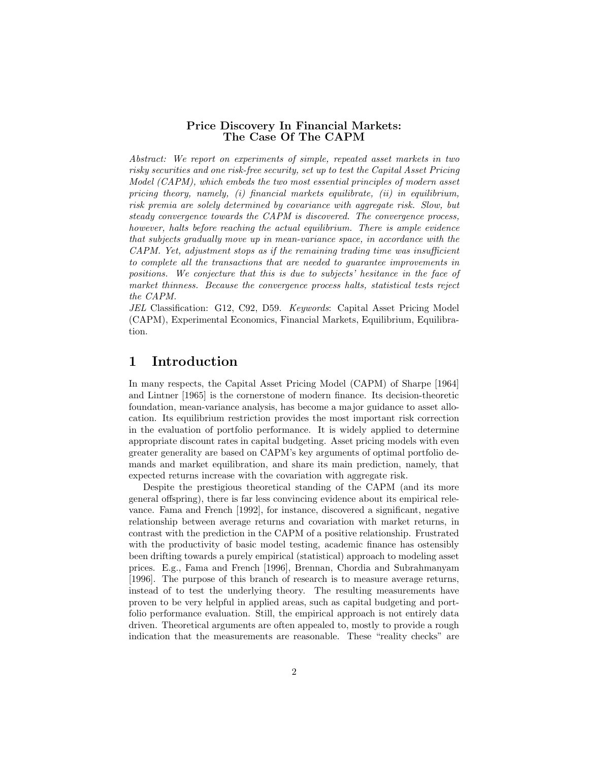# Price Discovery In Financial Markets: Discovery In Financial Markets:<br>The Case Of The CAPM

**The Case Of The CAPM**<br>Abstract: We report on experiments of simple, repeated asset markets in two<br>risky securities and one risk-free security, set up to test the Capital Asset Pricina Abstract: We report on experiments of simple, repeated asset markets in two<br>risky securities and one risk-free security, set up to test the Capital Asset Pricing<br>Model (CAPM), which embeds the two most essential principles risky securities and one risk-free security, set up to test the Capital Asset Pricing<br>Model (CAPM), which embeds the two most essential principles of modern asset risky securities and one risk-free security, set up to test the Capital Asset Pricing<br>Model (CAPM), which embeds the two most essential principles of modern asset<br>pricing theory, namely, (i) financial markets equilibrate, Model (CAPM), which embeds the two most essential principles of modern asset<br>pricing theory, namely, (i) financial markets equilibrate, (ii) in equilibrium,<br>risk premia are solely determined by covariance with aggregate r pricing theory, namely, (i) financial markets equilibrate, (ii) in equilibrium,<br>risk premia are solely determined by covariance with aggregate risk. Slow, but<br>steady convergence towards the CAPM is discovered. The converg risk premia are solely determined by covariance with aggregate risk. Slow, but<br>steady convergence towards the CAPM is discovered. The convergence process,<br>however, halts before reaching the actual equilibrium. There is am steady convergence towards the CAPM is discovered. The convergence process,<br>however, halts before reaching the actual equilibrium. There is ample evidence<br>that subjects gradually move up in mean-variance space, in accordan however, halts before reaching the actual equilibrium. There is ample evidence<br>that subjects gradually move up in mean-variance space, in accordance with the<br>CAPM. Yet, adjustment stops as if the remaining trading time was that subjects gradually move up in mean-variance space, in accordance with the CAPM. Yet, adjustment stops as if the remaining trading time was insufficient to complete all the transactions that are needed to guarantee im  $CAPM$ . Yet, adjustment stops as if the remaining trading time was insufficient<br>to complete all the transactions that are needed to guarantee improvements in<br>positions. We conjecture that this is due to subjects' hesitance to complete all the transactions that are needed to guarantee improvements in positions. We conjecture that this is due to subjects' hesitance in the face of market thinness. Because the convergence process halts, statist positions. W<br>market thinne<br>the CAPM.<br>JEL Classific market thinness. Because the convergence process halts, statistical tests reject<br>the CAPM.<br>JEL Classification: G12, C92, D59. Keywords: Capital Asset Pricing Model<br>(CAPM) Experimental Economics Financial Markets Equilibriu

the CAPM.<br>JEL Classification: G12, C92, D59. Keywords: Capital Asset Pricing Model<br>(CAPM), Experimental Economics, Financial Markets, Equilibrium, Equilibra-<br>tion tion.

## 1 Introduction

**Introduction**<br>In many respects, the Capital Asset Pricing Model (CAPM) of Sharpe [1964]<br>and Lintner [1965] is the cornerstone of modern finance. Its decision-theoretic In many respects, the Capital Asset Pricing Model (CAPM) of Sharpe [1964]<br>and Lintner [1965] is the cornerstone of modern finance. Its decision-theoretic<br>foundation, mean-variance analysis, has become a major guidance to a In many respects, the Capital Asset Pricing Model (CAPM) of Sharpe [1964]<br>and Lintner [1965] is the cornerstone of modern finance. Its decision-theoretic<br>foundation, mean-variance analysis, has become a major guidance to a and Lintner [1965] is the cornerstone of modern finance. Its decision-theoretic<br>foundation, mean-variance analysis, has become a major guidance to asset allo-<br>cation. Its equilibrium restriction provides the most important cation. Its equilibrium restriction provides the most important risk correction in the evaluation of portfolio performance. It is widely applied to determine appropriate discount rates in capital budgeting. Asset pricing models with even greater generality are based on CAPM's key arguments of optimal appropriate discount rates in capital budgeting. Asset pricing models with even appropriate discount rates in capital budgeting. Asset pricing models with even<br>greater generality are based on CAPM's key arguments of optimal portfolio de-<br>mands and market equilibration, and share its main prediction, n greater generality are based on CAPM's key arguments of optimal po<br>mands and market equilibration, and share its main prediction, na<br>expected returns increase with the covariation with aggregate risk.<br>Despite the prestigio expected returns increase with the covariation with aggregate risk.<br>Despite the prestigious theoretical standing of the CAPM (and its more

general offspring), there is far less convincing evidence about its empirical relevance. Fama and French [1992], for instance, discovered a significant, negative general offspring), there is far less convincing evidence about its empirical relevance. Fama and French [1992], for instance, discovered a significant, negative relationship between average returns and covariation with ma vance. Fama and French [1992], for instance, discovered a significant, negative<br>relationship between average returns and covariation with market returns, in<br>contrast with the prediction in the CAPM of a positive relationsh contrast with the prediction in the CAPM of a positive relationship. Frustrated with the productivity of basic model testing, academic finance has ostensibly been drifting towards a purely empirical (statistical) approach to modeling asset prices. E.g., Fama and French [1996], Brennan, Chordia and Sub been drifting towards a purely empirical (statistical) approach to modeling asset been drifting towards a purely empirical (statistical) approach to modeling asset<br>prices. E.g., Fama and French [1996], Brennan, Chordia and Subrahmanyam<br>[1996]. The purpose of this branch of research is to measure average prices. E.g., Fama and French [1996], Brennan, Chordia and Subrahmanyam<br>[1996]. The purpose of this branch of research is to measure average returns,<br>instead of to test the underlying theory. The resulting measurements hav [1996]. The purpose of this branch of research is to measure average returns, instead of to test the underlying theory. The resulting measurements have proven to be very helpful in applied areas, such as capital budgeting instead of to test the underlying theory. The resulting measurements have<br>proven to be very helpful in applied areas, such as capital budgeting and port-<br>folio performance evaluation. Still, the empirical approach is not e folio performance evaluation. Still, the empirical approach is not entirely data driven. Theoretical arguments are often appealed to, mostly to provide a rough indication that the measurements are reasonable. These "realit driven. Theoretical arguments are often appealed to, mostly to provide a rough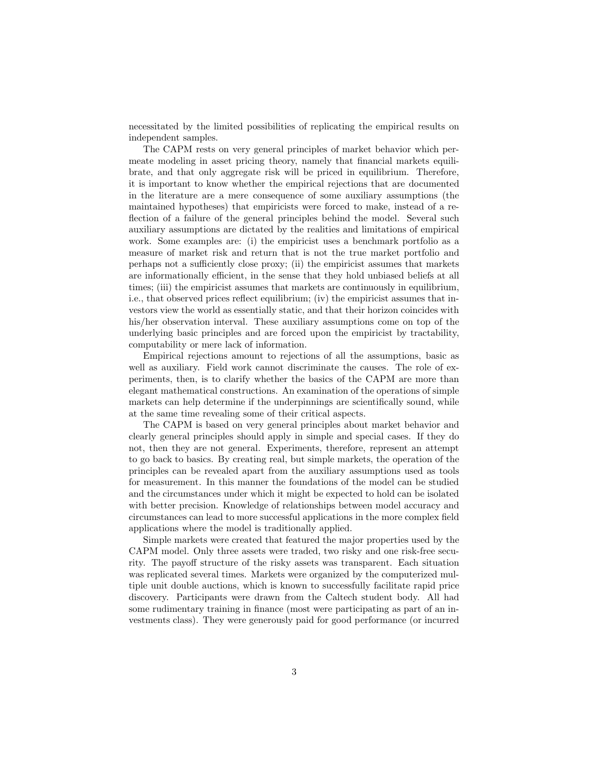necessitated by the limited possibilities of replicating the empirical results on independent samples necessitated by the lim<br>independent samples.<br>The CAPM rests of The CAPM rests on very general principles of market behavior which per-

independent samples.<br>The CAPM rests on very general principles of market behavior which per-<br>meate modeling in asset pricing theory, namely that financial markets equili-<br>hrate, and that only aggregate risk will be priced The CAPM rests on very general principles of market behavior which per-<br>meate modeling in asset pricing theory, namely that financial markets equili-<br>brate, and that only aggregate risk will be priced in equilibrium. There meate modeling in asset pricing theory, namely that financial markets equilibrate, and that only aggregate risk will be priced in equilibrium. Therefore, it is important to know whether the empirical rejections that are do brate, and that only aggregate risk will be priced in equilibrium. Therefore,<br>it is important to know whether the empirical rejections that are documented<br>in the literature are a mere consequence of some auxiliary assumpti in the literature are a mere consequence of some auxiliary assumptions (the maintained hypotheses) that empiricists were forced to make, instead of a reflection of a failure of the general principles behind the model. Several such auxiliary assumptions are dictated by the realities and limitations of empirical work. Some examples are: (i) the empiricist uses a benchmark p auxiliary assumptions are dictated by the realities and limitations of empirical auxiliary assumptions are dictated by the realities and limitations of empirical<br>work. Some examples are: (i) the empiricist uses a benchmark portfolio as a<br>measure of market risk and return that is not the true market por work. Some examples are: (i) the empiricist uses a benchmark portfolio as a measure of market risk and return that is not the true market portfolio and perhaps not a sufficiently close proxy; (ii) the empiricist assumes th perhaps not a sufficiently close proxy; (ii) the empiricist assumes that markets are informationally efficient, in the sense that they hold unbiased beliefs at all<br>times; (iii) the empiricist assumes that markets are continuously in equilibrium,<br>i.e., that observed prices reflect equilibrium; (iv) the times; (iii) the empiricist assumes that markets are continuously in equilibrium, times; (iii) the empiricist assumes that markets are continuously in equilibrium,<br>i.e., that observed prices reflect equilibrium; (iv) the empiricist assumes that in-<br>vestors view the world as essentially static, and that i.e., that observed prices reflect equilibrium; (iv) the empiricist assumes that investors view the world as essentially static, and that their horizon coincides with his/her observation interval. These auxiliary assumptio vestors view the world as essentially static, and that their horizon coincides with<br>his/her observation interval. These auxiliary assumptions come on top of the<br>underlying basic principles and are forced upon the empiricis his/her observation interval. These auxiliar<br>underlying basic principles and are forced u<br>computability or mere lack of information.<br>Empirical rejections amount to rejection Empirical rejections and are forced upon the empiricist by tractability,<br>putability or mere lack of information.<br>Empirical rejections amount to rejections of all the assumptions, basic as<br>Las auxiliary. Field work cannot d

computability or mere lack of information.<br>Empirical rejections amount to rejections of all the assumptions, basic as<br>well as auxiliary. Field work cannot discriminate the causes. The role of ex-<br>periments then is to clari Empirical rejections amount to rejections of all the assumptions, basic as<br>well as auxiliary. Field work cannot discriminate the causes. The role of ex-<br>periments, then, is to clarify whether the basics of the CAPM are mor well as auxiliary. Field work cannot discriminate the causes. The role of ex-<br>periments, then, is to clarify whether the basics of the CAPM are more than<br>elegant mathematical constructions. An examination of the operations periments, then, is to clarify whether the basics of the CAPM are more than<br>elegant mathematical constructions. An examination of the operations of simple<br>markets can help determine if the underpinnings are scientifically elegant mathematical constructions. An examination of the<br>markets can help determine if the underpinnings are scient<br>at the same time revealing some of their critical aspects.<br>The CAPM is based on very general principles a rest can help determine if the underpinnings are scientifically sound, while<br>the same time revealing some of their critical aspects.<br>The CAPM is based on very general principles about market behavior and<br>revealed principle

at the same time revealing some of their critical aspects.<br>The CAPM is based on very general principles about market behavior and<br>clearly general principles should apply in simple and special cases. If they do<br>not then the The CAPM is based on very general principles about market behavior and<br>clearly general principles should apply in simple and special cases. If they do<br>not, then they are not general. Experiments, therefore, represent an at clearly general principles should apply in simple and special cases. If they do<br>not, then they are not general. Experiments, therefore, represent an attempt<br>to go back to basics. By creating real, but simple markets, the o to go back to basics. By creating real, but simple markets, the operation of the principles can be revealed apart from the auxiliary assumptions used as tools for measurement. In this manner the foundations of the model can be studied and the circumstances under which it might be expected to hold can b for measurement. In this manner the foundations of the model can be studied for measurement. In this manner the foundations of the model can be studied<br>and the circumstances under which it might be expected to hold can be isolated<br>with better precision. Knowledge of relationships between model acc and the circumstances under which it might be expected to hold can be isolated<br>with better precision. Knowledge of relationships between model accuracy and<br>circumstances can lead to more successful applications in the more circumstances can lead to more successful applications in the more complex field applications where the model is traditionally applied.

Simple markets were created that featured the major properties used by the applications where the model is traditionally applied.<br>
Simple markets were created that featured the major properties used by the<br>
CAPM model. Only three assets were traded, two risky and one risk-free secu-<br>
rity. The pa Simple markets were created that featured the major properties used by the CAPM model. Only three assets were traded, two risky and one risk-free security. The payoff structure of the risky assets was transparent. Each sit CAPM model. Only three assets were traded, two risky and one risk-free security. The payoff structure of the risky assets was transparent. Each situation was replicated several times. Markets were organized by the computer rity. The payoff structure of the risky assets was transparent. Each situation<br>was replicated several times. Markets were organized by the computerized mul-<br>tiple unit double auctions, which is known to successfully facili was replicated several times. Markets were organized by the computerized mul-<br>tiple unit double auctions, which is known to successfully facilitate rapid price<br>discovery. Participants were drawn from the Caltech student bo tiple unit double auctions, which is known to successfully facilitate rapid price<br>discovery. Participants were drawn from the Caltech student body. All had<br>some rudimentary training in finance (most were participating as p some rudimentary training in finance (most were participating as part of an investments class). They were generously paid for good performance (or incurred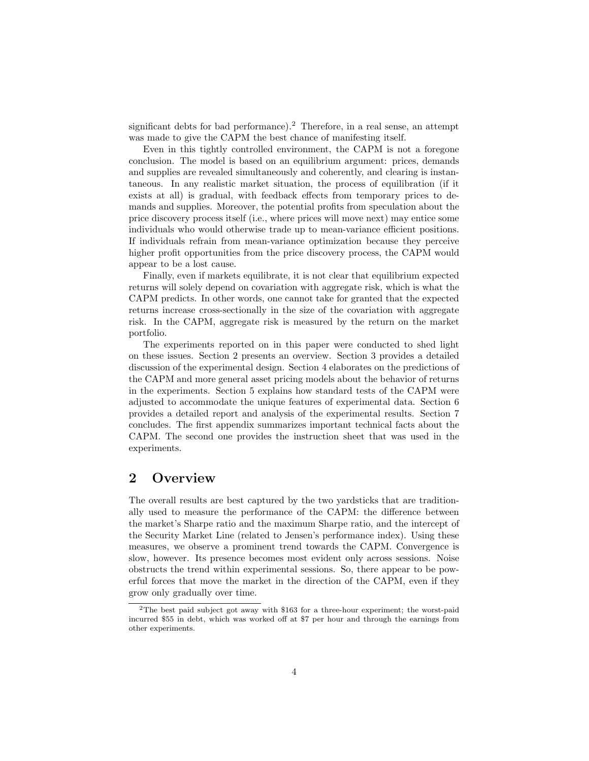significant debts for bad performance).<sup>2</sup> Therefore, in a real sense, an attempt significant debts for bad performance).<sup>2</sup> Therefore, in a real sense, a<br>was made to give the CAPM the best chance of manifesting itself.<br>Even in this tightly controlled environment, the CAPM is not ificant debts for bad performance).<sup>2</sup> Therefore, in a real sense, an attempt<br>made to give the CAPM the best chance of manifesting itself.<br>Even in this tightly controlled environment, the CAPM is not a foregone<br>clusion. Th

was made to give the CAPM the best chance of manifesting itself.<br>Even in this tightly controlled environment, the CAPM is not a foregone<br>conclusion. The model is based on an equilibrium argument: prices, demands<br>and suppli Even in this tightly controlled environment, the CAPM is not a foregone<br>conclusion. The model is based on an equilibrium argument: prices, demands<br>and supplies are revealed simultaneously and coherently, and clearing is in conclusion. The model is based on an equilibrium argument: prices, demands<br>and supplies are revealed simultaneously and coherently, and clearing is instan-<br>taneous. In any realistic market situation, the process of equilib and supplies are revealed simultaneously and coherently, and clearing is instan-<br>taneous. In any realistic market situation, the process of equilibration (if it<br>exists at all) is gradual, with feedback effects from tempora exists at all) is gradual, with feedback effects from temporary prices to demands and supplies. Moreover, the potential profits from speculation about the price discovery process itself (i.e., where prices will move next) may entice some individuals who would otherwise trade up to mean-variance efficient positions. If individuals refrain from mean-variance optimization becau individuals who would otherwise trade up to mean-variance efficient positions. individuals who would otherwise trade up to mean-variance efficient positions.<br>If individuals refrain from mean-variance optimization because they perceive<br>higher profit opportunities from the price discovery process, the If individuals refrain from<br>higher profit opportunities<br>appear to be a lost cause.<br>Finally even if markets Finally, even if markets equilibrate, it is not clear that equilibrium expected

appear to be a lost cause.<br>Finally, even if markets equilibrate, it is not clear that equilibrium expected<br>returns will solely depend on covariation with aggregate risk, which is what the<br>CAPM predicts. In other words, one Finally, even if markets equilibrate, it is not clear that equilibrium expected<br>returns will solely depend on covariation with aggregate risk, which is what the<br>CAPM predicts. In other words, one cannot take for granted th returns will solely depend on covariation with aggregate risk, which is what the CAPM predicts. In other words, one cannot take for granted that the expected returns increase cross-sectionally in the size of the covariatio CAPM predicts. In other words, one cannot take for granted that the expected<br>returns increase cross-sectionally in the size of the covariation with aggregate<br>risk. In the CAPM, aggregate risk is measured by the return on t portfolio. risk. In the CAPM, aggregate risk is measured by the return on the market portfolio.<br>The experiments reported on in this paper were conducted to shed light

portfolio.<br>The experiments reported on in this paper were conducted to shed light<br>on these issues. Section 2 presents an overview. Section 3 provides a detailed<br>discussion of the experimental design. Section 4 elaborates o The experiments reported on in this paper were conducted to shed light<br>on these issues. Section 2 presents an overview. Section 3 provides a detailed<br>discussion of the experimental design. Section 4 elaborates on the predi on these issues. Section 2 presents an overview. Section 3 provides a detailed<br>discussion of the experimental design. Section 4 elaborates on the predictions of<br>the CAPM and more general asset pricing models about the beha discussion of the experimental design. Section 4 elaborates on the predictions of<br>the CAPM and more general asset pricing models about the behavior of returns<br>in the experiments. Section 5 explains how standard tests of th the CAPM and more general asset pricing models about the behavior of returns<br>in the experiments. Section 5 explains how standard tests of the CAPM were<br>adjusted to accommodate the unique features of experimental data. Sect in the experiments. Section 5 explains how standard tests of the CAPM were<br>adjusted to accommodate the unique features of experimental data. Section 6<br>provides a detailed report and analysis of the experimental results. Se provides a detailed report and analysis of the experimental results. Section 7 concludes. The first appendix summarizes important technical facts about the CAPM. The second one provides the instruction sheet that was used in the experiments. experiments.<br>2 Overview

**2 OVETVIEW**<br>The overall results are best captured by the two yardsticks that are tradition-<br>ally used to measure the performance of the  $CAPM$ ; the difference between The overall results are best captured by the two yardsticks that are traditionally used to measure the performance of the CAPM: the difference between the market's Sharpe ratio and the maximum Sharpe ratio and the intercen The overall results are best captured by the two yardsticks that are traditionally used to measure the performance of the CAPM: the difference between the market's Sharpe ratio and the maximum Sharpe ratio, and the interce ally used to measure the performance of the CAPM: the difference between<br>the market's Sharpe ratio and the maximum Sharpe ratio, and the intercept of<br>the Security Market Line (related to Jensen's performance index). Using the Security Market Line (related to Jensen's performance index). Using these measures, we observe a prominent trend towards the CAPM. Convergence is slow, however. Its presence becomes most evident only across sessions. N measures, we observe a prominent trend towards the CAPM. Convergence is measures, we observe a prominent trend towards the CAPM. Convergence is<br>slow, however. Its presence becomes most evident only across sessions. Noise<br>obstructs the trend within experimental sessions. So, there appear to be slow, however. Its presence becomes most evident only across sessions. Noise<br>obstructs the trend within experimental sessions. So, there appear to be pow-<br>erful forces that move the market in the direction of the CAPM, eve erful forces that move the market in the direction of the CAPM, even if they grow only gradually over time.

<sup>2</sup>The best paid subject got away with \$163 for a three-hour experiment; the worst-paid <sup>2</sup>The best paid subject got away with \$163 for a three-hour experiment; the worst-paid incurred \$55 in debt, which was worked off at \$7 per hour and through the earnings from other experiments <sup>2</sup>The best paid s<br>incurred \$55 in debt<br>other experiments.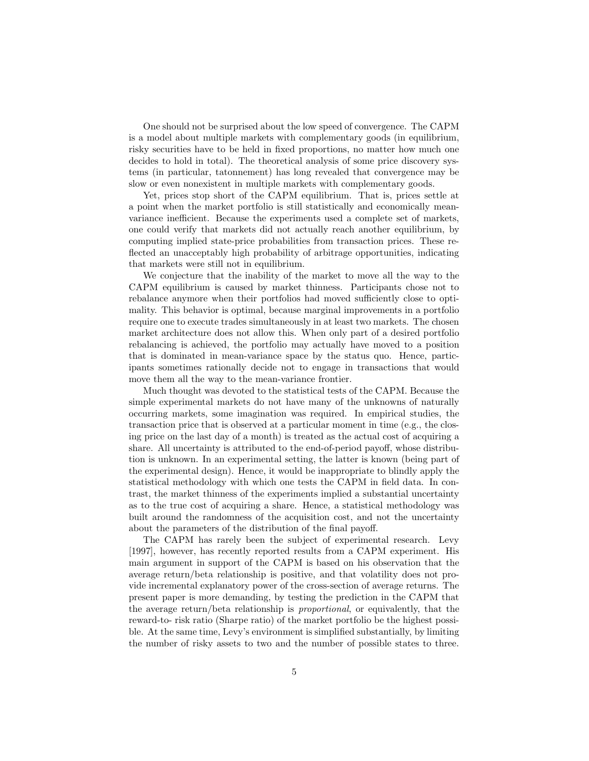One should not be surprised about the low speed of convergence. The CAPM One should not be surprised about the low speed of convergence. The CAPM<br>is a model about multiple markets with complementary goods (in equilibrium,<br>risky securities have to be held in fixed proportions, no matter how much One should not be surprised about the low speed of convergence. The CAPM<br>is a model about multiple markets with complementary goods (in equilibrium,<br>risky securities have to be held in fixed proportions, no matter how much is a model about multiple markets with complementary goods (in equilibrium,<br>risky securities have to be held in fixed proportions, no matter how much one<br>decides to hold in total). The theoretical analysis of some price di risky securities have to be held in fixed proportions, no matter how much one<br>decides to hold in total). The theoretical analysis of some price discovery sys-<br>tems (in particular, tatonnement) has long revealed that conver tems (in particular, tatonnement) has long revealed that convergence may be slow or even nonexistent in multiple markets with complementary goods. is (in particular, tatonnement) has long revealed that convergence may be<br>v or even nonexistent in multiple markets with complementary goods.<br>Yet, prices stop short of the CAPM equilibrium. That is, prices settle at<br>out wh

slow or even nonexistent in multiple markets with complementary goods.<br>
Yet, prices stop short of the CAPM equilibrium. That is, prices settle at<br>
a point when the market portfolio is still statistically and economically m a point when the market portfolio is still statistically and economically meanvariance inefficient. Because the experiments used a complete set of markets, one could verify that markets did not actually reach another equilibrium, by computing implied state-price probabilities from transaction prices one could verify that markets did not actually reach another equilibrium, by one could verify that markets did not actually reach another equilibrium, by<br>computing implied state-price probabilities from transaction prices. These re-<br>flected an unacceptably high probability of arbitrage opportunitie computing implied state-price probabilities<br>flected an unacceptably high probability of<br>that markets were still not in equilibrium.<br>We conjecture that the inability of the that markets were still not in equilibrium.<br>We conjecture that the inability of the market to move all the way to the

that markets were still not in equilibrium.<br>We conjecture that the inability of the market to move all the way to the<br>CAPM equilibrium is caused by market thinness. Participants chose not to<br>rebalance anymore when their po We conjecture that the inability of the market to move all the way to the CAPM equilibrium is caused by market thinness. Participants chose not to rebalance anymore when their portfolios had moved sufficiently close to opt CAPM equilibrium is caused by market thinness. Participants chose not to<br>rebalance anymore when their portfolios had moved sufficiently close to opti-<br>mality. This behavior is optimal, because marginal improvements in a po rebalance anymore when their portfolios had moved sufficiently close to opti-<br>mality. This behavior is optimal, because marginal improvements in a portfolio<br>require one to execute trades simultaneously in at least two mark mality. This behavior is optimal, because marginal improvements in a portfolio<br>require one to execute trades simultaneously in at least two markets. The chosen<br>market architecture does not allow this. When only part of a d require one to execute trades simultaneously in at least two markets. The chosen<br>market architecture does not allow this. When only part of a desired portfolio<br>rebalancing is achieved, the portfolio may actually have moved rebalancing is achieved, the portfolio may actually have moved to a position that is dominated in mean-variance space by the status quo. Hence, partic-<br>ipants sometimes rationally decide not to engage in transactions that that is dominated in mean-variance space by the status quo. Hence, particmove them all the way to the mean-variance frontier.

Much thought was devoted to the statistical tests of the CAPM. Because the move them all the way to the mean-variance frontier.<br>Much thought was devoted to the statistical tests of the CAPM. Because the<br>simple experimental markets do not have many of the unknowns of naturally<br>occurring markets, s Much thought was devoted to the statistical tests of the CAPM. Because the<br>simple experimental markets do not have many of the unknowns of naturally<br>occurring markets, some imagination was required. In empirical studies, occurring markets, some imagination was required. In empirical studies, the transaction price that is observed at a particular moment in time (e.g., the closing price on the last day of a month) is treated as the actual cost of acquiring a transaction price that is observed at a particular moment in time (e.g., the clos-<br>ing price on the last day of a month) is treated as the actual cost of acquiring a<br>share. All uncertainty is attributed to the end-of-perio ing price on the last day of a month) is treated as the actual cost of acquiring a<br>share. All uncertainty is attributed to the end-of-period payoff, whose distribu-<br>tion is unknown. In an experimental setting, the latter i share. All uncertainty is attributed to the end-of-period payoff, whose distribution is unknown. In an experimental setting, the latter is known (being part of the experimental design). Hence, it would be inappropriate to tion is unknown. In an experimental setting, the latter is known (being part of<br>the experimental design). Hence, it would be inappropriate to blindly apply the<br>statistical methodology with which one tests the CAPM in field statistical methodology with which one tests the CAPM in field data. In contrast, the market thinness of the experiments implied a substantial uncertainty statistical methodology with which one tests the CAPM in field data. In con-<br>trast, the market thinness of the experiments implied a substantial uncertainty<br>as to the true cost of acquiring a share. Hence, a statistical me trast, the market thinness of the experiments implied a substantial uncertainty<br>as to the true cost of acquiring a share. Hence, a statistical methodology was<br>built around the randomness of the acquisition cost, and not th built around the randomness of the acquisition cost, and not the uncertainty about the parameters of the distribution of the final payoff.

The CAPM has rarely been the subject of experimental research. Levy about the parameters of the distribution of the final payoff.<br>The CAPM has rarely been the subject of experimental research. Levy<br>[1997], however, has recently reported results from a CAPM experiment. His<br>main argument in The CAPM has rarely been the subject of experimental research. Levy<br>[1997], however, has recently reported results from a CAPM experiment. His<br>main argument in support of the CAPM is based on his observation that the<br>avera [1997], however, has recently reported results from a CAPM experiment. His<br>main argument in support of the CAPM is based on his observation that the<br>average return/beta relationship is positive, and that volatility does no main argument in support of the CAPM is based on his observation that the<br>average return/beta relationship is positive, and that volatility does not pro-<br>vide incremental explanatory power of the cross-section of average r average return/beta relationship is positive, and that volatility does not pro-<br>vide incremental explanatory power of the cross-section of average returns. The<br>present paper is more demanding, by testing the prediction in vide incremental explanatory power of the cross-section of average returns. The<br>present paper is more demanding, by testing the prediction in the CAPM that<br>the average return/beta relationship is *proportional*, or equival the average return/beta relationship is *proportional*, or equivalently, that the reward-to- risk ratio (Sharpe ratio) of the market portfolio be the highest possithe average return/beta relationship is *proportional*, or equivalently, that the reward-to- risk ratio (Sharpe ratio) of the market portfolio be the highest possible. At the same time, Levy's environment is simplified sub reward-to- risk ratio (Sharpe ratio) of the market portfolio be the highest possible. At the same time, Levy's environment is simplified substantially, by limiting the number of risky assets to two and the number of possib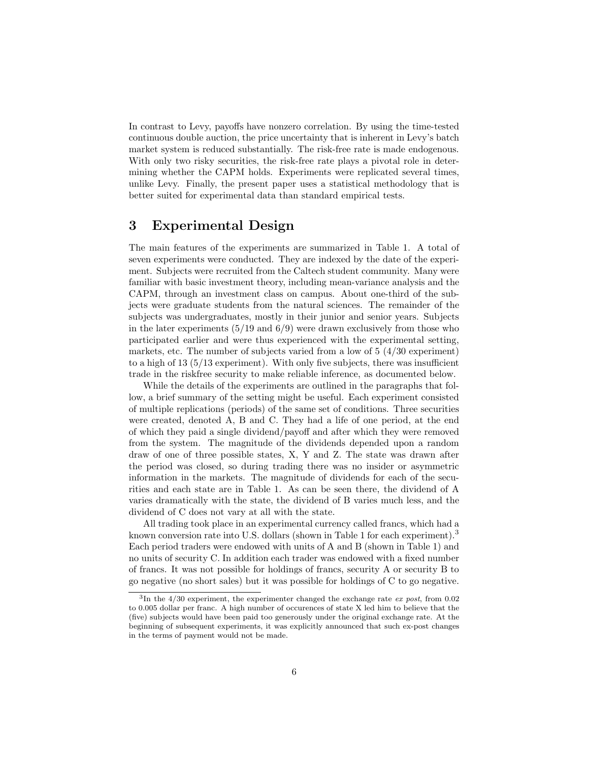In contrast to Levy, payoffs have nonzero correlation. By using the time-tested In contrast to Levy, payoffs have nonzero correlation. By using the time-tested<br>continuous double auction, the price uncertainty that is inherent in Levy's batch<br>market system is reduced substantially. The risk-free rate i In contrast to Levy, payoffs have nonzero correlation. By using the time-tested<br>continuous double auction, the price uncertainty that is inherent in Levy's batch<br>market system is reduced substantially. The risk-free rate i continuous double auction, the price uncertainty that is inherent in Levy's batch<br>market system is reduced substantially. The risk-free rate is made endogenous.<br>With only two risky securities, the risk-free rate plays a pi market system is reduced substantially. The risk-free rate is made endogenous.<br>With only two risky securities, the risk-free rate plays a pivotal role in deter-<br>mining whether the CAPM holds. Experiments were replicated se With only two risky securities, the risk-free rate plays a pivotal role in deter-<br>mining whether the CAPM holds. Experiments were replicated several times,<br>unlike Levy. Finally, the present paper uses a statistical methodo mining whether the CAPM holds. Experiments were replicated seven<br>like Levy. Finally, the present paper uses a statistical methodol<br>better suited for experimental data than standard empirical tests. better suited for experimental data than standard empirical tests.<br>3 Experimental Design

 $3$  Experimental Design<br>The main features of the experiments are summarized in Table 1. A total of<br>seven experiments were conducted. They are indexed by the date of the experi-The main features of the experiments are summarized in Table 1. A total of seven experiments were conducted. They are indexed by the date of the experiment. Subjects were recruited from the Caltech student community. Many seven experiments were conducted. They are indexed by the date of the experiment. Subjects were recruited from the Caltech student community. Many were seven experiments were conducted. They are indexed by the date of the experi-<br>ment. Subjects were recruited from the Caltech student community. Many were<br>familiar with basic investment theory, including mean-variance analy ment. Subjects were recruited from the Caltech student community. Many were<br>familiar with basic investment theory, including mean-variance analysis and the<br>CAPM, through an investment class on campus. About one-third of th familiar with basic investment theory, including mean-variance analysis and the CAPM, through an investment class on campus. About one-third of the subjects were graduate students from the natural sciences. The remainder o CAPM, through an investment class on campus. About one-third of the sub-<br>jects were graduate students from the natural sciences. The remainder of the<br>subjects was undergraduates, mostly in their junior and senior years. S jects were graduate students from the natural sciences. The remainder of the<br>subjects was undergraduates, mostly in their junior and senior years. Subjects<br>in the later experiments (5/19 and 6/9) were drawn exclusively fro subjects was undergraduates, mostly in their junior and senior years. Subjects<br>in the later experiments  $(5/19 \text{ and } 6/9)$  were drawn exclusively from those who<br>participated earlier and were thus experienced with the exper participated earlier and were thus experienced with the experimental setting, markets, etc. The number of subjects varied from a low of 5 (4/30 experiment) participated earlier and were thus experienced with the experimental setting,<br>markets, etc. The number of subjects varied from a low of  $5 \ (4/30$  experiment)<br>to a high of 13 (5/13 experiment). With only five subjects, the markets, etc. The number of subjects varied from a low of 5  $(4/30$  experiment)<br>to a high of 13  $(5/13$  experiment). With only five subjects, there was insufficient<br>trade in the riskfree security to make reliable inferenc trade in the risk free security to make reliable inference, as documented below.<br>While the details of the experiments are outlined in the paragraphs that fol-

trade in the riskfree security to make reliable inference, as documented below.<br>While the details of the experiments are outlined in the paragraphs that fol-<br>low, a brief summary of the setting might be useful. Each experi While the details of the experiments are outlined in the paragraphs that fol-<br>low, a brief summary of the setting might be useful. Each experiment consisted<br>of multiple replications (periods) of the same set of conditions of multiple replications (periods) of the same set of conditions. Three securities were created, denoted A, B and C. They had a life of one period, at the end of multiple replications (periods) of the same set of conditions. Three securities<br>were created, denoted A, B and C. They had a life of one period, at the end<br>of which they paid a single dividend/payoff and after which the were created, denoted A, B and C. They had a life of one period, at the end<br>of which they paid a single dividend/payoff and after which they were removed<br>from the system. The magnitude of the dividends depended upon a rand of which they paid a single dividend/payoff and after which they were removed<br>from the system. The magnitude of the dividends depended upon a random<br>draw of one of three possible states, X, Y and Z. The state was drawn aft from the system. The magnitude of the dividends depended upon a random<br>draw of one of three possible states, X, Y and Z. The state was drawn after<br>the period was closed, so during trading there was no insider or asymmetric draw of one of three possible states,  $X$ ,  $Y$  and  $Z$ . The state was drawn after<br>the period was closed, so during trading there was no insider or asymmetric<br>information in the markets. The magnitude of dividends for each the period was closed, so during trading there was no insider or asymmetric<br>information in the markets. The magnitude of dividends for each of the secu-<br>rities and each state are in Table 1. As can be seen there, the divid information in the markets. The magnitude of dividends for each of the securities and each state are in Table 1. As can be seen there, the dividend of A varies dramatically with the state, the dividend of B varies much les rities and each state are in Table 1. As can be see<br>varies dramatically with the state, the dividend of<br>dividend of C does not vary at all with the state.<br>All trading took place in an experimental currence ies dramatically with the state, the dividend of B varies much less, and the<br>idend of C does not vary at all with the state.<br>All trading took place in an experimental currency called francs, which had a<br>wrn conversion rate

dividend of C does not vary at all with the state.<br>All trading took place in an experimental currency called francs, which had a<br>known conversion rate into U.S. dollars (shown in Table 1 for each experiment).<sup>3</sup><br>Each perio known conversion rate into U.S. dollars (shown in Table 1 for each experiment).<sup>3</sup> Each period traders were endowed with units of A and B (shown in Table 1) and<br>no units of security C. In addition each trader was endowed with a fixed number<br>of francs. It was not possible for holdings of francs, security no units of security C. In addition each trader was endowed with a fixed number go negative (no short sales) but it was possible for holdings of C to go negative.

 $31n$ In the 4/30 experiment, the experimenter changed the exchange rate ex post, from 0.02<br>In the 4/30 experiment, the experimenter changed the exchange rate ex post, from 0.02<br>005 dollar per franc. A bigh number of occurences to 0.005 dollar per franc. A high number of occurences of state X led him to believe that the <sup>9</sup>In the 4/30 experiment, the experimenter changed the exchange rate *ex post*, from 0.02 to 0.005 dollar per franc. A high number of occurences of state X led him to believe that the (five) subjects would have been paid to 0.005 dollar per franc. A high number of occurences of state X led him to believe that the (five) subjects would have been paid too generously under the original exchange rate. At the beginning of subsequent experiments beginning of subsequent experiments, it was explicitly announced that such ex-post changes in the terms of payment would not be made.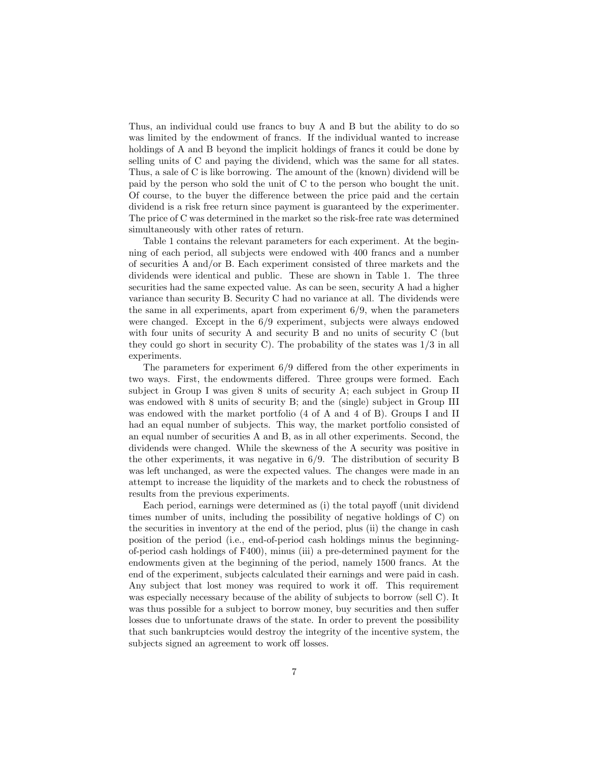Thus, an individual could use francs to buy A and B but the ability to do so Thus, an individual could use francs to buy A and B but the ability to do so was limited by the endowment of francs. If the individual wanted to increase holdings of A and B beyond the implicit holdings of francs it could Thus, an individual could use francs to buy A and B but the ability to do so<br>was limited by the endowment of francs. If the individual wanted to increase<br>holdings of A and B beyond the implicit holdings of francs it could was limited by the endowment of francs. If the individual wanted to increase<br>holdings of A and B beyond the implicit holdings of francs it could be done by<br>selling units of C and paying the dividend, which was the same for holdings of A and B beyond the implicit holdings of francs it could be done by<br>selling units of C and paying the dividend, which was the same for all states.<br>Thus, a sale of C is like borrowing. The amount of the (known) d selling units of C and paying the dividend, which was the same for all states.<br>Thus, a sale of C is like borrowing. The amount of the (known) dividend will be<br>paid by the person who sold the unit of C to the person who bou Thus, a sale of C is like borrowing. The amount of the (known) dividend will be paid by the person who sold the unit of C to the person who bought the unit. Of course, to the buyer the difference between the price paid an Of course, to the buyer the difference between the price paid and the certain dividend is a risk free return since payment is guaranteed by the experimenter.<br>The price of C was determined in the market so the risk-free rate was determined simultaneously with other rates of return. The price of C was determined in the market so the risk-free rate was determined

Table 1 contains the relevant parameters for each experiment. At the beginsimultaneously with other rates of return.<br>Table 1 contains the relevant parameters for each experiment. At the begin-<br>ning of each period, all subjects were endowed with 400 francs and a number<br>of securities  $A$  and/or B Table 1 contains the relevant parameters for each experiment. At the begin-<br>ning of each period, all subjects were endowed with  $400$  francs and a number<br>of securities A and/or B. Each experiment consisted of three market of securities A and/or B. Each experiment consisted of three markets and the dividends were identical and public. These are shown in Table 1. The three of securities A and/or B. Each experiment consisted of three markets and the dividends were identical and public. These are shown in Table 1. The three securities had the same expected value. As can be seen, security A had dividends were identical and public. These are shown in Table 1. The three<br>securities had the same expected value. As can be seen, security A had a higher<br>variance than security B. Security C had no variance at all. The di securities had the same expected value. As can be seen, security A had a higher variance than security B. Security C had no variance at all. The dividends were the same in all experiments, apart from experiment  $6/9$ , whe variance than security B. Security C had no variance at all. The dividends were<br>the same in all experiments, apart from experiment  $6/9$ , when the parameters<br>were changed. Except in the  $6/9$  experiment, subjects were alw the same in all experiments, apart from experiment  $6/9$ , when the parameters<br>were changed. Except in the  $6/9$  experiment, subjects were always endowed<br>with four units of security A and security B and no units of securit were changed. Except in the  $6/9$  experiment, subjects were always endowed<br>with four units of security A and security B and no units of security C (but<br>they could go short in security C). The probability of the states was experiments. they could go short in security C). The probability of the states was  $1/3$  in all experiments.<br>The parameters for experiment  $6/9$  differed from the other experiments in

experiments.<br>The parameters for experiment  $6/9$  differed from the other experiments in<br>two ways. First, the endowments differed. Three groups were formed. Each<br>subject in Group I was given 8 units of security  $A$ : each s The parameters for experiment  $6/9$  differed from the other experiments in<br>two ways. First, the endowments differed. Three groups were formed. Each<br>subject in Group I was given 8 units of security A; each subject in Group two ways. First, the endowments differed. Three groups were formed. Each subject in Group I was given 8 units of security A; each subject in Group II was endowed with 8 units of security B; and the (single) subject in Gro subject in Group I was given 8 units of security A; each subject in Group II<br>was endowed with 8 units of security B; and the (single) subject in Group III<br>was endowed with the market portfolio (4 of A and 4 of B). Groups I was endowed with the market portfolio (4 of A and 4 of B). Groups I and II had an equal number of subjects. This way, the market portfolio consisted of an equal number of securities A and B, as in all other experiments. Se had an equal number of subjects. This way, the market portfolio consisted of had an equal number of subjects. This way, the market portfolio consisted of<br>an equal number of securities A and B, as in all other experiments. Second, the<br>dividends were changed. While the skewness of the A security was an equal number of securities A and B, as in all other experiments. Second, the<br>dividends were changed. While the skewness of the A security was positive in<br>the other experiments, it was negative in  $6/9$ . The distributio dividends were changed. While the skewness of the A security was positive in<br>the other experiments, it was negative in 6/9. The distribution of security B<br>was left unchanged, as were the expected values. The changes were m the other experiments, it was negative in  $6/9$ . The distribution of security B was left unchanged, as were the expected values. The changes were made in an attempt to increase the liquidity of the markets and to check th attempt to increase the liquidity of the markets and to check the robustness of results from the previous experiments.

Each period, earnings were determined as (i) the total payoff (unit dividend times number of units, including the possibility of negative holdings of C) on Each period, earnings were determined as (i) the total payoff (unit dividend<br>times number of units, including the possibility of negative holdings of C) on<br>the securities in inventory at the end of the period, plus (ii) t times number of units, including the possibility of negative holdings of C) on<br>the securities in inventory at the end of the period, plus (ii) the change in cash<br>position of the period (i.e., end-of-period cash holdings m the securities in inventory at the end of the period, plus (ii) the change in cash<br>position of the period (i.e., end-of-period cash holdings minus the beginning-<br>of-period cash holdings of F400), minus (iii) a pre-determin position of the period (i.e., end-of-period cash holdings minus the beginning-<br>of-period cash holdings of F400), minus (iii) a pre-determined payment for the<br>endowments given at the beginning of the period, namely 1500 fra of-period cash holdings of F400), minus (iii) a pre-determined payment for the<br>endowments given at the beginning of the period, namely 1500 francs. At the<br>end of the experiment, subjects calculated their earnings and were endowments given at the beginning of the period, namely 1500 francs. At the<br>end of the experiment, subjects calculated their earnings and were paid in cash.<br>Any subject that lost money was required to work it off. This req end of the experiment, subjects calculated their earnings and were paid in cash.<br>Any subject that lost money was required to work it off. This requirement<br>was especially necessary because of the ability of subjects to borr Any subject that lost money was required to work it off. This requirement<br>was especially necessary because of the ability of subjects to borrow (sell C). It<br>was thus possible for a subject to borrow money, buy securities a was thus possible for a subject to borrow money, buy securities and then suffer losses due to unfortunate draws of the state. In order to prevent the possibility that such bankruptcies would destroy the integrity of the incentive system, the subjects signed an agreement to work off losses. that such bankruptcies would destroy the integrity of the incentive system, the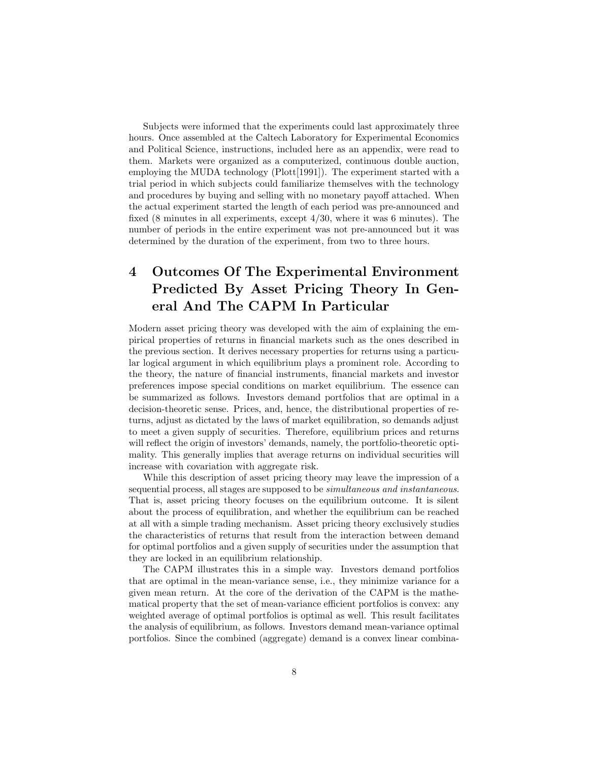Subjects were informed that the experiments could last approximately three Subjects were informed that the experiments could last approximately three<br>hours. Once assembled at the Caltech Laboratory for Experimental Economics<br>and Political Science, instructions, included here as an appendix, were Subjects were informed that the experiments could last approximately three<br>hours. Once assembled at the Caltech Laboratory for Experimental Economics<br>and Political Science, instructions, included here as an appendix, were hours. Once assembled at the Caltech Laboratory for Experimental Economics<br>and Political Science, instructions, included here as an appendix, were read to<br>them. Markets were organized as a computerized, continuous double a and Political Science, instructions, included here as an appendix, were read to<br>them. Markets were organized as a computerized, continuous double auction,<br>employing the MUDA technology (Plott[1991]). The experiment started them. Markets were organized as a computerized, continuous double auction,<br>employing the MUDA technology (Plott[1991]). The experiment started with a<br>trial period in which subjects could familiarize themselves with the tec employing the MUDA technology (Plott[1991]). The experiment started with a<br>trial period in which subjects could familiarize themselves with the technology<br>and procedures by buying and selling with no monetary payoff attach and procedures by buying and selling with no monetary payoff attached. When the actual experiment started the length of each period was pre-announced and fixed  $(8 \text{ minutes in all experiments, except } \frac{4}{30}$ , where it was 6 minutes). The number of periods in the entire experiment was not pre-announced but it was determined by the duration of the experiment, from two to three hours. number of periods in the entire experiment was not pre-announced but it was

# determined by the duration of the experiment, from two to three hours.<br>
4 Outcomes Of The Experimental Environment<br>
Prodicted By Asset Pricing Theory In Con-Outcomes Of The Experimental Environment<br>Predicted By Asset Pricing Theory In Gen-Predicted By Asset Pricing Theory In General And The CAPM In Particular

eral And The CAPM In Particular<br>Modern asset pricing theory was developed with the aim of explaining the em-<br>pirical properties of returns in financial markets such as the ones described in Modern asset pricing theory was developed with the aim of explaining the empirical properties of returns in financial markets such as the ones described in the previous section. It derives necessary properties for returns pirical properties of returns in financial markets such as the ones described in the previous section. It derives necessary properties for returns using a particupirical properties of returns in financial markets such as the ones described in<br>the previous section. It derives necessary properties for returns using a particu-<br>lar logical argument in which equilibrium plays a prominen the previous section. It derives necessary properties for returns using a particular logical argument in which equilibrium plays a prominent role. According to the theory, the nature of financial instruments, financial mar the theory, the nature of financial instruments, financial markets and investor preferences impose special conditions on market equilibrium. The essence can<br>be summarized as follows. Investors demand portfolios that are optimal in a<br>decision-theoretic sense. Prices, and, hence, the distributional prop be summarized as follows. Investors demand portfolios that are optimal in a turns, adjust as dictated by the laws of market equilibration, so demands adjust decision-theoretic sense. Prices, and, hence, the distributional properties of re-<br>turns, adjust as dictated by the laws of market equilibration, so demands adjust<br>to meet a given supply of securities. Therefore, equilibri turns, adjust as dictated by the laws of market equilibration, so demands adjust<br>to meet a given supply of securities. Therefore, equilibrium prices and returns<br>will reflect the origin of investors' demands, namely, the po to meet a given supply of securities. Therefore, equilibrium prices and returns<br>will reflect the origin of investors' demands, namely, the portfolio-theoretic opti-<br>mality. This generally implies that average returns on in will reflect the origin of investors' demands, nam<br>mality. This generally implies that average retu<br>increase with covariation with aggregate risk.<br>While this description of asset pricing theor

increase with covariation with aggregate risk.<br>While this description of asset pricing theory may leave the impression of a<br>sequential process, all stages are supposed to be *simultaneous and instantaneous*. increase with covariation with aggregate risk.<br>While this description of asset pricing theory may leave the impression of a<br>sequential process, all stages are supposed to be *simultaneous and instantaneous*.<br>That is, asset sequential process, all stages are supposed to be *simultaneous and instantaneous*.<br>That is, asset pricing theory focuses on the equilibrium outcome. It is silent<br>about the process of equilibration, and whether the equili That is, asset pricing theory focuses on the equilibrium outcome. It is silent<br>about the process of equilibration, and whether the equilibrium can be reached<br>at all with a simple trading mechanism. Asset pricing theory exc about the process of equilibration, and whether the equilibrium can be reached<br>at all with a simple trading mechanism. Asset pricing theory exclusively studies<br>the characteristics of returns that result from the interactio the characteristics of returns that result from the interaction between demand<br>for optimal portfolios and a given supply of securities under the assumption that<br>they are locked in an equilibrium relationship. for optimal portfolios and a given supply of securities under the assumption that

The CAPM illustrates this in a simple way. Investors demand portfolios they are locked in an equilibrium relationship.<br>The CAPM illustrates this in a simple way. Investors demand portfolios<br>that are optimal in the mean-variance sense, i.e., they minimize variance for a<br>given mean return. At The CAPM illustrates this in a simple way. Investors demand portfolios that are optimal in the mean-variance sense, i.e., they minimize variance for a given mean return. At the core of the derivation of the CAPM is the mat given mean return. At the core of the derivation of the CAPM is the mathematical property that the set of mean-variance efficient portfolios is convex: any<br>weighted average of optimal portfolios is optimal as well. This result facilitates<br>the analysis of equilibrium, as follows. Investors deman weighted average of optimal portfolios is optimal as well. This result facilitates portfolios. Since the combined (aggregate) demand is a convex linear combina-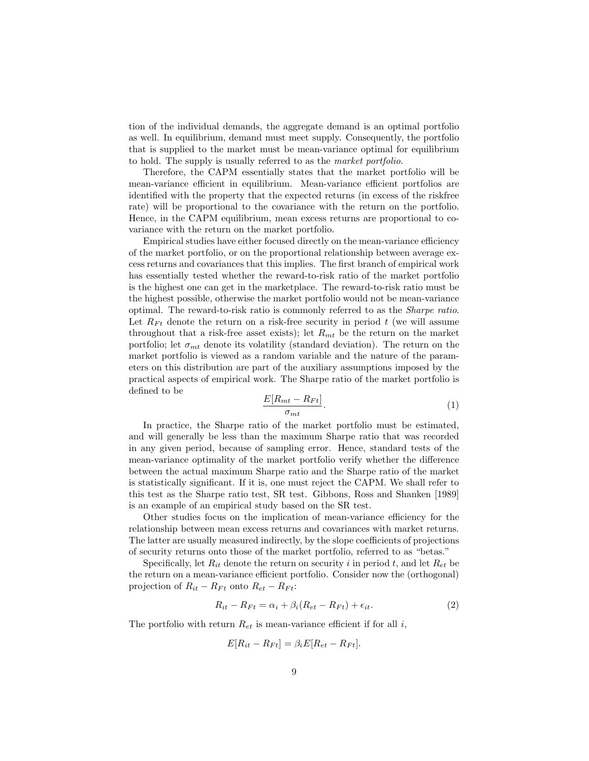tion of the individual demands, the aggregate demand is an optimal portfolio tion of the individual demands, the aggregate demand is an optimal portfolio as well. In equilibrium, demand must meet supply. Consequently, the portfolio that is supplied to the market must be mean-variance optimal for eq tion of the individual demands, the aggregate demand is an optimal portfolio<br>as well. In equilibrium, demand must meet supply. Consequently, the portfolio<br>that is supplied to the market must be mean-variance optimal for eq that is supplied to the market must be mean-variance optimal for equilibrium<br>to hold. The supply is usually referred to as the *market portfolio*.<br>Therefore, the CAPM essentially states that the market portfolio will be

to hold. The supply is usually referred to as the *market portfolio*.<br>Therefore, the CAPM essentially states that the market portfolio will be<br>mean-variance efficient in equilibrium. Mean-variance efficient portfolios are Therefore, the CAPM essentially states that the market portfolio will be<br>mean-variance efficient in equilibrium. Mean-variance efficient portfolios are<br>identified with the property that the expected returns (in excess of t identified with the property that the expected returns (in excess of the riskfree rate) will be proportional to the covariance with the return on the portfolio.<br>Hence, in the CAPM equilibrium, mean excess returns are proportional to co-<br>variance with the return on the market portfolio. Hence, in the CAPM equilibrium, mean excess returns are proportional to co-

Empirical studies have either focused directly on the mean-variance efficiency variance with the return on the market portfolio.<br>
Empirical studies have either focused directly on the mean-variance efficiency<br>
of the market portfolio, or on the proportional relationship between average ex-<br>
cess retu Empirical studies have either focused directly on the mean-variance efficiency<br>of the market portfolio, or on the proportional relationship between average ex-<br>cess returns and covariances that this implies. The first bran cess returns and covariances that this implies. The first branch of empirical work has essentially tested whether the reward-to-risk ratio of the market portfolio cess returns and covariances that this implies. The first branch of empirical work<br>has essentially tested whether the reward-to-risk ratio of the market portfolio<br>is the highest one can get in the marketplace. The reward-t has essentially tested whether the reward-to-risk ratio of the market portfolio<br>is the highest one can get in the marketplace. The reward-to-risk ratio must be<br>the highest possible, otherwise the market portfolio would not is the highest one can get in the marketplace. The reward-to-risk ratio must be<br>the highest possible, otherwise the market portfolio would not be mean-variance<br>optimal. The reward-to-risk ratio is commonly referred to as optimal. The reward-to-risk ratio is commonly referred to as the *Sharpe ratio*.<br>Let  $R_{Ft}$  denote the return on a risk-free security in period t (we will assume<br>throughout that a risk-free asset exists); let  $R_{mt}$  be t throughout that a risk-free asset exists); let  $R_{mt}$  be the return on the market portfolio; let  $\sigma_{mt}$  denote its volatility (standard deviation). The return on the market portfolio is viewed as a random variable and the nature of the parameters on this distribution are part of the auxiliary assumpti market portfolio is viewed as a random variable and the nature of the parammarket portfolio is viewed as a random variable and the nature of the parameters on this distribution are part of the auxiliary assumptions imposed by the practical aspects of empirical work. The Sharpe ratio of the market eters on this dist<br>practical aspects<br>defined to be

$$
\frac{E[R_{mt} - R_{Ft}]}{\sigma_{mt}}.\tag{1}
$$

In practice, the Sharpe ratio of the market portfolio must be estimated, In practice, the Sharpe ratio of the market portfolio must be estimated,<br>and will generally be less than the maximum Sharpe ratio that was recorded<br>in any given period, because of sampling error. Hence, standard tests of In practice, the Sharpe ratio of the market portfolio must be estimated,<br>and will generally be less than the maximum Sharpe ratio that was recorded<br>in any given period, because of sampling error. Hence, standard tests of t and will generally be less than the maximum Sharpe ratio that was recorded<br>in any given period, because of sampling error. Hence, standard tests of the<br>mean-variance optimality of the market portfolio verify whether the di in any given period, because of sampling error. Hence, standard tests of the<br>mean-variance optimality of the market portfolio verify whether the difference<br>between the actual maximum Sharpe ratio and the Sharpe ratio of th mean-variance optimality of the market portfolio verify whether the difference<br>between the actual maximum Sharpe ratio and the Sharpe ratio of the market<br>is statistically significant. If it is, one must reject the CAPM. We between the actual maximum Sharpe ratio and the Sharpe ratio of the market<br>is statistically significant. If it is, one must reject the CAPM. We shall refer to<br>this test as the Sharpe ratio test, SR test. Gibbons, Ross and this test as the Sharpe ratio test, SR test. Gibbons, Ross and Shanken [1989] is an example of an empirical study based on the SR test.

Other studies focus on the implication of mean-variance efficiency for the relationship between mean excess returns and covariances with market returns. Other studies focus on the implication of mean-variance efficiency for the relationship between mean excess returns and covariances with market returns.<br>The latter are usually measured indirectly, by the slope coefficients relationship between mean excess returns and covariances with market returns.<br>The latter are usually measured indirectly, by the slope coefficients of projections<br>of security returns onto those of the market portfolio, re Exercity returns onto those of the market portfolio, referred to as "betas."<br>Specifically, let  $R_{it}$  denote the return on security i in period t, and let  $R_{et}$  be<br>return on a mean-variance efficient portfolio. Consider

of security returns onto those of the market portfolio, referred to as "betas."<br>Specifically, let  $R_{it}$  denote the return on security *i* in period *t*, and let  $R_{et}$  be<br>the return on a mean-variance efficient portfolio the return on a mean-variance efficient portfolio. Consider now the (orthogonal) projection of  $R_{it} - R_{Ft}$  onto  $R_{et} - R_{Ft}$ :  $R_{Ft}$  onto  $R_{et} - R_{Ft}$ :<br>  $R_{it} - R_{Ft} = \alpha_i + \beta_i (R_{et} - R_{Ft}) + \epsilon_{it}.$  (2)

$$
R_{it} - R_{Ft} = \alpha_i + \beta_i (R_{et} - R_{Ft}) + \epsilon_{it}.
$$
\n
$$
(2)
$$

 $R_{it} - R_{Ft} = \alpha_i + \beta_i (R_{et} - R_{Ft}) + \epsilon_{it}.$ <br>The portfolio with return  $R_{et}$  is mean-variance efficient if for all *i*,

$$
F_{et} \text{ is mean-variance efficient if}
$$

$$
E[R_{it} - R_{Ft}] = \beta_i E[R_{et} - R_{Ft}].
$$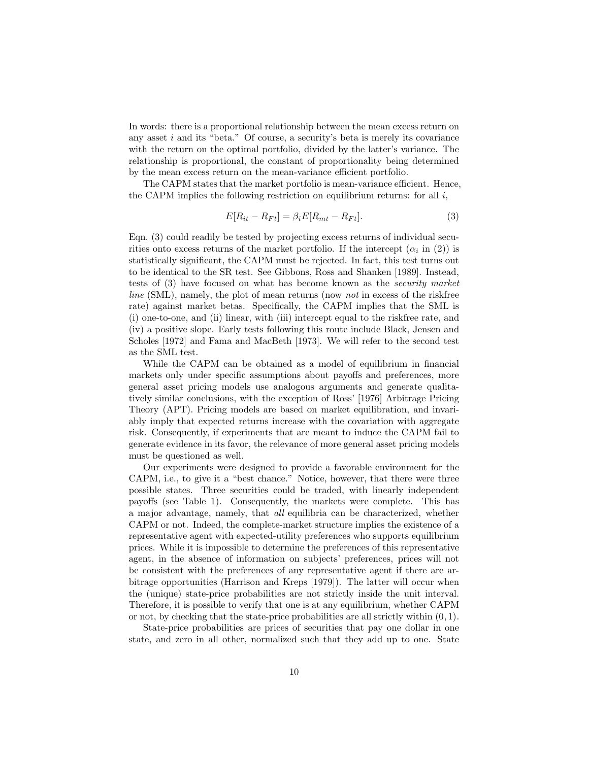In words: there is a proportional relationship between the mean excess return on In words: there is a proportional relationship between the mean excess return on<br>any asset  $i$  and its "beta." Of course, a security's beta is merely its covariance<br>with the return on the optimal portfolio, divided by the In words: there is a proportional relationship between the mean excess return on<br>any asset  $i$  and its "beta." Of course, a security's beta is merely its covariance<br>with the return on the optimal portfolio, divided by the any asset *i* and its "beta." Of course, a security's beta is merely its covariance<br>with the return on the optimal portfolio, divided by the latter's variance. The<br>relationship is proportional, the constant of proportiona with the return on the optimal portfolio, divided by the latter's vari-<br>relationship is proportional, the constant of proportionality being d<br>by the mean-excess return on the mean-variance efficient portfolio.<br>The CAPM sta by the mean excess return on the mean-variance efficient portfolio.<br>The CAPM states that the market portfolio is mean-variance efficient. Hence,

by the mean excess return on the mean-variance efficient portfolio.<br>The CAPM states that the market portfolio is mean-variance efficient. Hence<br>the CAPM implies the following restriction on equilibrium returns: for all  $i$ following restriction on equilibrium returns: for all *i*,<br>  $E[R_{it} - R_{Ft}] = \beta_i E[R_{mt} - R_{Ft}].$  (3)

$$
E[R_{it} - R_{Ft}] = \beta_i E[R_{mt} - R_{Ft}]. \tag{3}
$$

 $E[R_{it} - R_{Ft}] = \beta_i E[R_{mt} - R_{Ft}]$ . (3)<br>Eqn. (3) could readily be tested by projecting excess returns of individual secu-<br>rities onto excess returns of the market portfolio. If the intercent  $(\alpha, \text{ in } (2))$  is Eqn. (3) could readily be tested by projecting excess returns of individual<br>rities onto excess returns of the market portfolio. If the intercept  $(\alpha_i$  in<br>etatistically significant, the CAPM must be rejected. In fact, this ual secu-<br>in  $(2)$ ) is<br>turns out Eqn. (3) could readily be tested by projecting excess returns of individual securities onto excess returns of the market portfolio. If the intercept  $(\alpha_i$  in (2)) is statistically significant, the CAPM must be rejected. I rities onto excess returns of the market portfolio. If the intercept  $(\alpha_i$  in (2)) is<br>statistically significant, the CAPM must be rejected. In fact, this test turns out<br>to be identical to the SR test. See Gibbons, Ross an statistically significant, the CAPM must be rejected. In fact, this test turns out<br>to be identical to the SR test. See Gibbons, Ross and Shanken [1989]. Instead,<br>tests of (3) have focused on what has become known as the to be identical to the SR test. See Gibbons, Ross and Shanken [1989]. Instead, tests of (3) have focused on what has become known as the *security market* line (SML), namely, the plot of mean returns (now *not* in excess tests of (3) have focused on what has become known as the *security market line* (SML), namely, the plot of mean returns (now *not* in excess of the riskfree rate) against market betas. Specifically, the CAPM implies th *line* (SML), namely, the plot of mean returns (now *not* in excess of the riskfree rate) against market betas. Specifically, the CAPM implies that the SML is (i) one-to-one, and (ii) linear, with (iii) intercept equal to rate) against market betas. Specifically, the CAPM implies that the SML is<br>(i) one-to-one, and (ii) linear, with (iii) intercept equal to the riskfree rate, and<br>(iv) a positive slope. Early tests following this route inclu (i) one-to-one, and (ii) linear, with (iii) intercept equal to the riskfree rate, and<br>(iv) a positive slope. Early tests following this route include Black, Jensen and<br>Scholes [1972] and Fama and MacBeth [1973]. We will r (iv) a positive slop<br>Scholes [1972] and<br>as the SML test.<br>While the CA1 While the CAPM can be obtained as a model of equilibrium in financial

as the SML test.<br>While the CAPM can be obtained as a model of equilibrium in financial<br>markets only under specific assumptions about payoffs and preferences, more<br>general seet pricing models use analogous arguments and gen While the CAPM can be obtained as a model of equilibrium in financial<br>markets only under specific assumptions about payoffs and preferences, more<br>general asset pricing models use analogous arguments and generate qualita-<br>t markets only under specific assumptions about payoffs and preferences, more<br>general asset pricing models use analogous arguments and generate qualita-<br>tively similar conclusions, with the exception of Ross' [1976] Arbitrag general asset pricing models use analogous arguments and generate qualitatively similar conclusions, with the exception of Ross' [1976] Arbitrage Pricing Theory (APT). Pricing models are based on market equilibration, and Theory (APT). Pricing models are based on market equilibration, and invariably imply that expected returns increase with the covariation with aggregate Theory (APT). Pricing models are based on market equilibration, and invariably imply that expected returns increase with the covariation with aggregate risk. Consequently, if experiments that are meant to induce the CAPM f ably imply that expected returns increase with the covariation with aggregate<br>risk. Consequently, if experiments that are meant to induce the CAPM fail to<br>generate evidence in its favor, the relevance of more general asset generate evidence in its favor, the relevance of more general asset pricing models must be questioned as well. erate evidence in its favor, the relevance of more general asset pricing models<br>st be questioned as well.<br>Our experiments were designed to provide a favorable environment for the<br>PM i.e., to give it a "best chance." Notice

must be questioned as well.<br>CAPM, i.e., to give it a "best chance." Notice, however, that there were three<br>CAPM, i.e., to give it a "best chance." Notice, however, that there were three<br>possible states. Three securities co Our experiments were designed to provide a favorable environment for the<br>CAPM, i.e., to give it a "best chance." Notice, however, that there were three<br>possible states. Three securities could be traded, with linearly indep CAPM, i.e., to give it a "best chance." Notice, however, that there were three<br>possible states. Three securities could be traded, with linearly independent<br>payoffs (see Table 1). Consequently, the markets were complete. T possible states. Three securities could be traded, with linearly independent<br>payoffs (see Table 1). Consequently, the markets were complete. This has<br>a major advantage, namely, that *all* equilibria can be characterized, w payoffs (see Table 1). Consequently, the markets were complete. This has<br>a major advantage, namely, that *all* equilibria can be characterized, whether<br>CAPM or not. Indeed, the complete-market structure implies the existen a major advantage, namely, that *all* equilibria can be characterized, whether CAPM or not. Indeed, the complete-market structure implies the existence of a representative agent with expected-utility preferences who suppor CAPM or not. Indeed, the complete-market structure implies the existence of a<br>representative agent with expected-utility preferences who supports equilibrium<br>prices. While it is impossible to determine the preferences of t representative agent with expected-utility preferences who supports equilibrium<br>prices. While it is impossible to determine the preferences of this representative<br>agent, in the absence of information on subjects' preferenc prices. While it is impossible to determine the preferences of this representative agent, in the absence of information on subjects' preferences, prices will not be consistent with the preferences of any representative age agent, in the absence of information on subjects' preferences, prices will not<br>be consistent with the preferences of any representative agent if there are ar-<br>bitrage opportunities (Harrison and Kreps [1979]). The latter w be consistent with the preferences of any representative agent if there are ar-<br>bitrage opportunities (Harrison and Kreps [1979]). The latter will occur when<br>the (unique) state-price probabilities are not strictly inside t the (unique) state-price probabilities are not strictly inside the unit interval.<br>Therefore, it is possible to verify that one is at any equilibrium, whether CAPM or not, by checking that the state-price probabilities are all strictly within  $(0, 1)$ .

State-price probabilities are prices of securities that pay one dollar in one state, and zero in all other, normalized such that they add up to one. State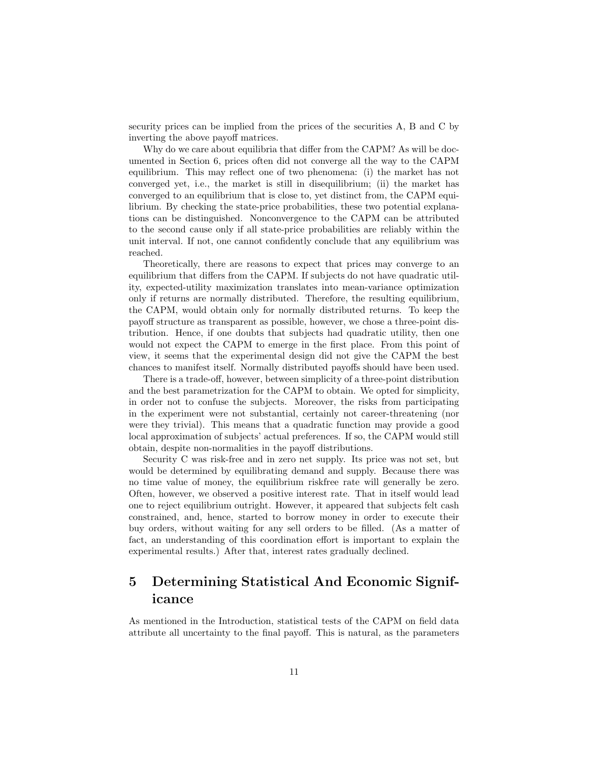security prices can be implied from the prices of the securities  $A$ ,  $B$  and  $C$  by inverting the above pavoff matrices security prices can be implied from the inverting the above payoff matrices.<br>Why do we care about equilibria the inverting the above payoff matrices.<br>Why do we care about equilibria that differ from the CAPM? As will be doc-

inverting the above payoff matrices.<br>Why do we care about equilibria that differ from the CAPM? As will be doc-<br>umented in Section 6, prices often did not converge all the way to the CAPM<br>equilibrium. This may reflect one Why do we care about equilibria that differ from the CAPM? As will be documented in Section 6, prices often did not converge all the way to the CAPM equilibrium. This may reflect one of two phenomena: (i) the market has no umented in Section 6, prices often did not converge all the way to the CAPM<br>equilibrium. This may reflect one of two phenomena: (i) the market has not<br>converged yet, i.e., the market is still in disequilibrium; (ii) the ma equilibrium. This may reflect one of two phenomena: (i) the market has not converged yet, i.e., the market is still in disequilibrium; (ii) the market has converged to an equilibrium that is close to, yet distinct from, th converged to an equilibrium that is close to, yet distinct from, the CAPM equilibrium. By checking the state-price probabilities, these two potential explanations can be distinguished. Nonconvergence to the CAPM can be attributed to the second cause only if all state-price probabilities are reliably tions can be distinguished. Nonconvergence to the CAPM can be attributed unit interval. If not, one cannot confidently conclude that any equilibrium was reached. t interval. If not, one cannot confidently conclude that any equilibrium was<br>thed.<br>Theoretically, there are reasons to expect that prices may converge to an<br>ilibrium that differs from the CAPM. If subjects do not have quad

reached.<br>Theoretically, there are reasons to expect that prices may converge to an<br>equilibrium that differs from the CAPM. If subjects do not have quadratic util-<br>ity expected-utility maximization translates into mean-vari Theoretically, there are reasons to expect that prices may converge to an<br>equilibrium that differs from the CAPM. If subjects do not have quadratic util-<br>ity, expected-utility maximization translates into mean-variance opt equilibrium that differs from the CAPM. If subjects do not have quadratic utility, expected-utility maximization translates into mean-variance optimization<br>only if returns are normally distributed. Therefore, the resulting ity, expected-utility maximization translates into mean-variance optimization<br>only if returns are normally distributed. Therefore, the resulting equilibrium,<br>the CAPM, would obtain only for normally distributed returns. To only if returns are normally distributed. Therefore, the resulting equilibrium,<br>the CAPM, would obtain only for normally distributed returns. To keep the<br>payoff structure as transparent as possible, however, we chose a thr the CAPM, would obtain only for normally distributed returns. To keep the<br>payoff structure as transparent as possible, however, we chose a three-point dis-<br>tribution. Hence, if one doubts that subjects had quadratic utilit payoff structure as transparent as possible, however, we chose a three-point dis-<br>tribution. Hence, if one doubts that subjects had quadratic utility, then one<br>would not expect the CAPM to emerge in the first place. From t tribution. Hence, if one doubts that subjects had quadratic utility, then one<br>would not expect the CAPM to emerge in the first place. From this point of<br>view, it seems that the experimental design did not give the CAPM the would not expect the CAPM to emerge in the first place. From this point of<br>view, it seems that the experimental design did not give the CAPM the best<br>chances to manifest itself. Normally distributed payoffs should have bee chances to manifest itself. Normally distributed payoffs should have been used.<br>There is a trade-off, however, between simplicity of a three-point distribution

chances to manifest itself. Normally distributed payoffs should have been used.<br>There is a trade-off, however, between simplicity of a three-point distribution<br>and the best parametrization for the CAPM to obtain. We opted There is a trade-off, however, between simplicity of a three-point distribution<br>and the best parametrization for the CAPM to obtain. We opted for simplicity,<br>in order not to confuse the subjects. Moreover, the risks from p in order not to confuse the subjects. Moreover, the risks from participating<br>in the experiment were not substantial, certainly not career-threatening (nor<br>were they trivial). This means that a quadratic function may provid in the experiment were not substantial, certainly not career-threatening (nor local approximation of subjects' actual preferences. If so, the CAPM would still obtain, despite non-normalities in the payoff distributions.

Security C was risk-free and in zero net supply. Its price was not set, but obtain, despite non-normalities in the payoff distributions.<br>Security C was risk-free and in zero net supply. Its price was not set, but<br>would be determined by equilibrating demand and supply. Because there was<br>no time val Security C was risk-free and in zero net supply. Its price was not set, but<br>would be determined by equilibrating demand and supply. Because there was<br>no time value of money, the equilibrium riskfree rate will generally be no time value of money, the equilibrium riskfree rate will generally be zero.<br>Often, however, we observed a positive interest rate. That in itself would lead no time value of money, the equilibrium riskfree rate will generally be zero.<br>Often, however, we observed a positive interest rate. That in itself would lead<br>one to reject equilibrium outright. However, it appeared that su Often, however, we observed a positive interest rate. That in itself would lead<br>one to reject equilibrium outright. However, it appeared that subjects felt cash<br>constrained, and, hence, started to borrow money in order to one to reject equilibrium outright. However, it appeared that subjects felt cash<br>constrained, and, hence, started to borrow money in order to execute their<br>buy orders, without waiting for any sell orders to be filled. (As constrained, and, hence, started to borrow money in order to execute their<br>buy orders, without waiting for any sell orders to be filled. (As a matter of<br>fact, an understanding of this coordination effort is important to ex fact, an understanding of this coordination effort is important to explain the experimental results.) After that, interest rates gradually declined.

## 5 Determining Statistical And Economic Significance

As mentioned in the Introduction, statistical tests of the CAPM on field data attribute all uncertainty to the final payoff. This is natural, as the parameters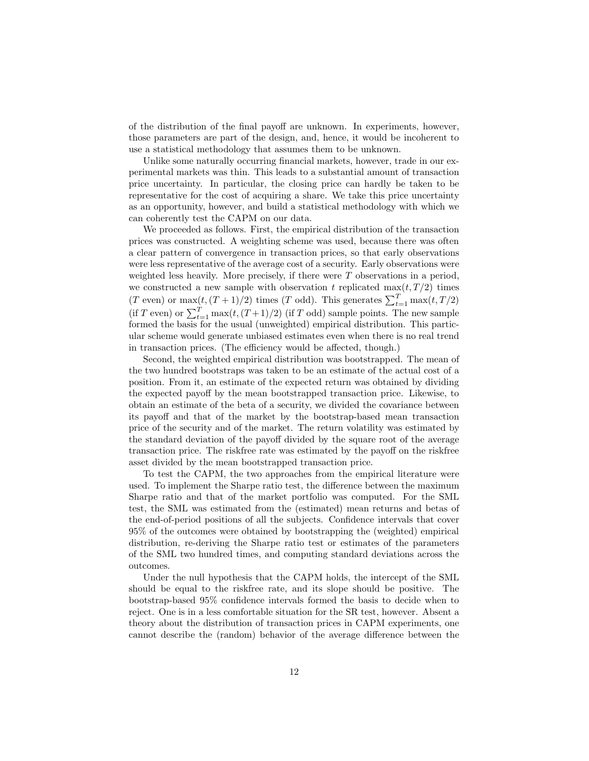of the distribution of the final payoff are unknown. In experiments, however, of the distribution of the final payoff are unknown. In experiments, however, those parameters are part of the design, and, hence, it would be incoherent to use a statistical methodology that assumes them to be unknown. of the distribution of the final payoff are unknown. In experimenthose parameters are part of the design, and, hence, it would be in use a statistical methodology that assumes them to be unknown. Unlike some naturally occu se parameters are part of the design, and, hence, it would be incoherent to<br>a statistical methodology that assumes them to be unknown.<br>Unlike some naturally occurring financial markets, however, trade in our ex-<br>imental ma

use a statistical methodology that assumes them to be unknown.<br>Unlike some naturally occurring financial markets, however, trade in our ex-<br>perimental markets was thin. This leads to a substantial amount of transaction<br>pri Unlike some naturally occurring financial markets, however, trade in our ex-<br>perimental markets was thin. This leads to a substantial amount of transaction<br>price uncertainty. In particular, the closing price can hardly be perimental markets was thin. This leads to a substantial amount of transaction<br>price uncertainty. In particular, the closing price can hardly be taken to be<br>representative for the cost of acquiring a share. We take this pr representative for the cost of acquiring a share. We take this price uncertainty as an opportunity, however, and build a statistical methodology with which we can coherently test the CAPM on our data. as an opportunity, however, and build a statistical methodology with which we In opportunity, however, and build a statistical methodology with which we coherently test the CAPM on our data.<br>We proceeded as follows. First, the empirical distribution of the transaction  $\cos$  was constructed. A weight

can coherently test the CAPM on our data.<br>We proceeded as follows. First, the empirical distribution of the transaction<br>prices was constructed. A weighting scheme was used, because there was often<br>a clear pattern of conver We proceeded as follows. First, the empirical distribution of the transaction<br>prices was constructed. A weighting scheme was used, because there was often<br>a clear pattern of convergence in transaction prices, so that early prices was constructed. A weighting scheme was used, because there was often<br>a clear pattern of convergence in transaction prices, so that early observations<br>were less representative of the average cost of a security. Earl were less representative of the average cost of a security. Early observations were<br>weighted less heavily. More precisely, if there were T observations in a period,<br>we constructed a new sample with observation t replicate were less representative of the average cost of a security. Early observations were<br>weighted less heavily. More precisely, if there were T observations in a period,<br>we constructed a new sample with observation t replicate weighted less heavily. More precisely, if there were T observations in a period,<br>we constructed a new sample with observation t replicated  $\max(t, T/2)$  times<br> $(T \text{ even})$  or  $\max(t, (T + 1)/2)$  times  $(T \text{ odd})$ . This generates  $\sum_{t=1$ (T even) or  $\max(t, (T+1)/2)$  times (T odd). This generates  $\sum_{t=1}^{T} \max(t, T/2)$ <br>(if T even) or  $\sum_{t=1}^{T} \max(t, (T+1)/2)$  (if T odd) sample points. The new sample<br>formed the basis for the usual (unweighted) empirical distributi (*I* even) or  $\max(t, (I + 1)/2)$  times (*I* odd). Inis generates  $\sum_{t=1}^T \max(t, I/2)$ <br>(if *T* even) or  $\sum_{t=1}^T \max(t, (T+1)/2)$  (if *T* odd) sample points. The new sample<br>formed the basis for the usual (unweighted) empirical dis (if T even) or  $\sum_{t=1}^{t} \max(t, (T+1)/2)$  (if T odd) sample points. The new sample<br>formed the basis for the usual (unweighted) empirical distribution. This partic-<br>ular scheme would generate unbiased estimates even when ther formed the basis for the usual (unweighted) empirical distribution. This particular scheme would generate unbiased estimates even when there is no real trend in transaction prices. (The efficiency would be affected, though

Second, the weighted empirical distribution was bootstrapped. The mean of in transaction prices. (The efficiency would be affected, though.)<br>Second, the weighted empirical distribution was bootstrapped. The mean of<br>the two hundred bootstraps was taken to be an estimate of the actual cost of a<br>po Second, the weighted empirical distribution was bootstrapped. The mean of<br>the two hundred bootstraps was taken to be an estimate of the actual cost of a<br>position. From it, an estimate of the expected return was obtained by position. From it, an estimate of the expected return was obtained by dividing the expected payoff by the mean bootstrapped transaction price. Likewise, to obtain an estimate of the beta of a security, we divided the covariance between the expected payoff by the mean bootstrapped transaction price. Likewise, to obtain an estimate of the beta of a security, we divided the covariance between its payoff and that of the market by the bootstrap-based mean tra obtain an estimate of the beta of a security, we divided the covariance between<br>its payoff and that of the market by the bootstrap-based mean transaction<br>price of the security and of the market. The return volatility was e its payoff and that of the market by the bootstrap-based mean transaction<br>price of the security and of the market. The return volatility was estimated by<br>the standard deviation of the payoff divided by the square root of t price of the security and of the market. The return volatility was estimated by<br>the standard deviation of the payoff divided by the square root of the average<br>transaction price. The riskfree rate was estimated by the payof transaction price. The risk free rate was estimated by the payoff on the risk free asset divided by the mean bootstrapped transaction price.

To test the CAPM, the two approaches from the empirical literature were asset divided by the mean bootstrapped transaction price.<br>To test the CAPM, the two approaches from the empirical literature were<br>used. To implement the Sharpe ratio test, the difference between the maximum<br>Sharpe ratio an To test the CAPM, the two approaches from the empirical literature were<br>used. To implement the Sharpe ratio test, the difference between the maximum<br>Sharpe ratio and that of the market portfolio was computed. For the SML<br>t Sharpe ratio and that of the market portfolio was computed. For the SML test, the SML was estimated from the (estimated) mean returns and betas of the end-of-period positions of all the subjects. Confidence intervals that cover 95% of the outcomes were obtained by bootstrapping the (weighted) the end-of-period positions of all the subjects. Confidence intervals that cover distribution, re-deriving the Sharpe ratio test or estimates of the parameters of the SML two hundred times, and computing standard deviations across the outcomes.

Under the null hypothesis that the CAPM holds, the intercept of the SML outcomes.<br>Under the null hypothesis that the CAPM holds, the intercept of the SML<br>should be equal to the riskfree rate, and its slope should be positive. The<br>hootstrap-based 95% confidence intervals formed the basis to dec Under the null hypothesis that the CAPM holds, the intercept of the SML<br>should be equal to the riskfree rate, and its slope should be positive. The<br>bootstrap-based 95% confidence intervals formed the basis to decide when t should be equal to the riskfree rate, and its slope should be positive. The<br>bootstrap-based 95% confidence intervals formed the basis to decide when to<br>reject. One is in a less comfortable situation for the SR test, howeve bootstrap-based 95% confidence intervals formed the basis to decide when to<br>reject. One is in a less comfortable situation for the SR test, however. Absent a<br>theory about the distribution of transaction prices in CAPM expe theory about the distribution of transaction prices in CAPM experiments, one cannot describe the (random) behavior of the average difference between the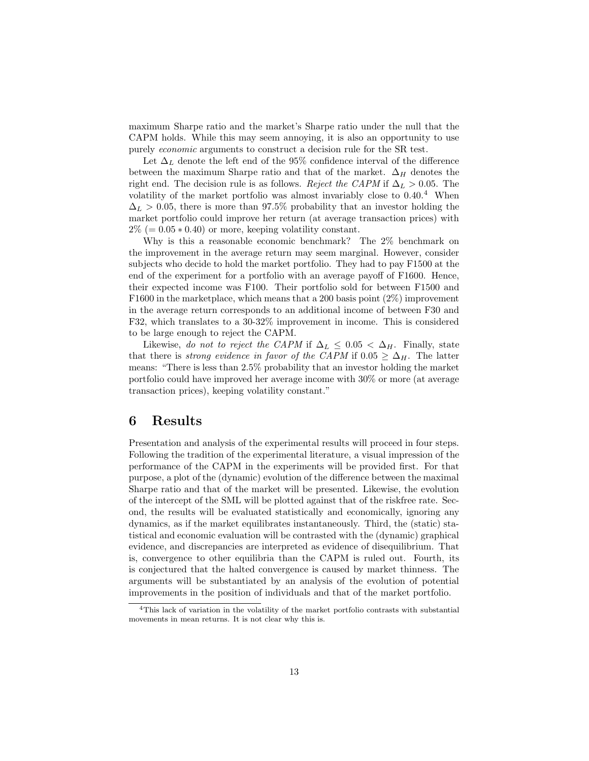maximum Sharpe ratio and the market's Sharpe ratio under the null that the maximum Sharpe ratio and the market's Sharpe ratio under the null that the CAPM holds. While this may seem annoying, it is also an opportunity to use purely *economic* arguments to construct a decision rule for the SB test maximum Sharpe ratio and the market's Sharpe ratio under the null that<br>CAPM holds. While this may seem annoying, it is also an opportunity t<br>purely *economic* arguments to construct a decision rule for the SR test.<br>Let  $\$ purely *economic* arguments to construct a decision rule for the SR test.<br>Let  $\Delta_L$  denote the left end of the 95% confidence interval of the difference

between the maximum Sharpe ratio and that of the market.  $\Delta_H$  denotes the Let  $\Delta_L$  denote the left end of the 95% confidence interval of the difference<br>between the maximum Sharpe ratio and that of the market.  $\Delta_H$  denotes the<br>right end. The decision rule is as follows. *Reject the CAPM* if  $\$ between the maximum Sharpe ratio and that of the market.  $\Delta_H$  denotes the right end. The decision rule is as follows. *Reject the CAPM* if  $\Delta_L > 0.05$ . The volatility of the market portfolio was almost invariably close t volatility of the market portfolio was almost invariably close to  $0.40<sup>4</sup>$  When  $\Delta_L > 0.05$ , there is more than 97.5% probability that an investor holding the market portfolio could improve her return (at average transaction prices) with  $2\% (= 0.05 * 0.40)$  or more, keeping volatility constant. market portfolio could improve her return (at average transaction prices) with

Why is this a reasonable economic benchmark? The 2% benchmark on  $2\%$  (= 0.05  $*$  0.40) or more, keeping volatility constant.<br>Why is this a reasonable economic benchmark? The  $2\%$  benchmark on<br>the improvement in the average return may seem marginal. However, consider<br>subjects who dec Why is this a reasonable economic benchmark? The 2% benchmark on<br>the improvement in the average return may seem marginal. However, consider<br>subjects who decide to hold the market portfolio. They had to pay F1500 at the<br>end subjects who decide to hold the market portfolio. They had to pay F1500 at the end of the experiment for a portfolio with an average payoff of F1600. Hence, subjects who decide to hold the market portfolio. They had to pay F1500 at the<br>end of the experiment for a portfolio with an average payoff of F1600. Hence,<br>their expected income was F100. Their portfolio sold for between end of the experiment for a portfolio with an average payoff of F1600. Hence,<br>their expected income was F100. Their portfolio sold for between F1500 and<br>F1600 in the marketplace, which means that a 200 basis point (2%) imp their expected income was F100. Their portfolio sold for between F1500 and F1600 in the marketplace, which means that a 200 basis point  $(2\%)$  improvement<br>in the average return corresponds to an additional income of betwe F1600 in the marketplace, which means that a 200 basis point  $(2\%)$  improvement<br>in the average return corresponds to an additional income of between F30 and<br>F32, which translates to a 30-32% improvement in income. This is F32, which translates to a 30-32% improvement in income. This is considered to be large enough to reject the CAPM. l, which translates to a 30-32% improvement in income. This is considered<br>be large enough to reject the CAPM.<br>Likewise, do not to reject the CAPM if  $\Delta_L \leq 0.05 < \Delta_H$ . Finally, state<br>t there is *strong evidence in four of* 

to be large enough to reject the CAPM.<br>Likewise, do not to reject the CAPM if  $\Delta_L \leq 0.05 < \Delta_H$ . Finally, state<br>that there is *strong evidence in favor of the CAPM* if  $0.05 \geq \Delta_H$ . The latter<br>means: "There is less than 2 that there is *strong evidence in favor of the CAPM* if  $0.05 \geq \Delta_H$ . The latter means: "There is less than 2.5% probability that an investor holding the market that there is *strong evidence in favor of the CAPM* if  $0.05 \geq \Delta_H$ . The latter means: "There is less than 2.5% probability that an investor holding the market portfolio could have improved her average income with 30% or means: "There is less than 2.5% probability that an<br>portfolio could have improved her average income w<br>transaction prices), keeping volatility constant." % transaction prices), keeping volatility constant."<br> $\bf{6}$  Results

Presentation and analysis of the experimental results will proceed in four steps. Presentation and analysis of the experimental results will proceed in four steps.<br>Following the tradition of the experimental literature, a visual impression of the performance of the CAPM in the experiments will be provid Presentation and analysis of the experimental results will proceed in four steps.<br>Following the tradition of the experimental literature, a visual impression of the<br>performance of the CAPM in the experiments will be provid Following the tradition of the experimental literature, a visual impression of the<br>performance of the CAPM in the experiments will be provided first. For that<br>purpose, a plot of the (dynamic) evolution of the difference be performance of the CAPM in the experiments will be provided first. For that<br>purpose, a plot of the (dynamic) evolution of the difference between the maximal<br>Sharpe ratio and that of the market will be presented. Likewise, purpose, a plot of the (dynamic) evolution of the difference between the maximal<br>Sharpe ratio and that of the market will be presented. Likewise, the evolution<br>of the intercept of the SML will be plotted against that of th Sharpe ratio and that of the market will be presented. Likewise, the evolution<br>of the intercept of the SML will be plotted against that of the riskfree rate. Sec-<br>ond, the results will be evaluated statistically and econom of the intercept of the SML will be plotted against that of the riskfree rate. Second, the results will be evaluated statistically and economically, ignoring any dynamics, as if the market equilibrates instantaneously. Thi ond, the results will be evaluated statistically and economically, ignoring any<br>dynamics, as if the market equilibrates instantaneously. Third, the (static) sta-<br>tistical and economic evaluation will be contrasted with the tistical and economic evaluation will be contrasted with the (dynamic) graphical evidence, and discrepancies are interpreted as evidence of disequilibrium. That is, convergence to other equilibria than the CAPM is ruled out. Fourth, its evidence, and discrepancies are interpreted as evidence of disequilibrium. That<br>is, convergence to other equilibria than the CAPM is ruled out. Fourth, its<br>is conjectured that the halted convergence is caused by market thi is, convergence to other equilibria than the CAPM is ruled out. Fourth, its<br>is conjectured that the halted convergence is caused by market thinness. The<br>arguments will be substantiated by an analysis of the evolution of po arguments will be substantiated by an analysis of the evolution of potential improvements in the position of individuals and that of the market portfolio.

provements in the position of individuals and that of the market portfolio.<br>
<sup>4</sup>This lack of variation in the volatility of the market portfolio contrasts with substantial<br>
wements in mean returns. It is not clear why this  $4$ This lack of variation in the volatility of the market p movements in mean returns. It is not clear why this is.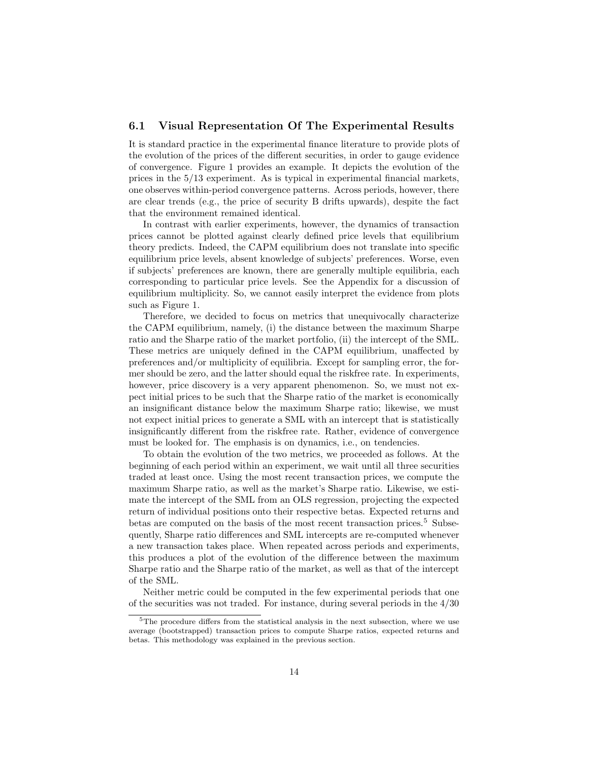# 6.1 Visual Representation Of The Experimental Results

**6.1 Visual Representation Of The Experimental Results**<br>It is standard practice in the experimental finance literature to provide plots of<br>the evolution of the prices of the different securities in order to gauge evidence It is standard practice in the experimental finance literature to provide plots of the evolution of the prices of the different securities, in order to gauge evidence of convergence. Figure 1 provides an example. It depic It is standard practice in the experimental finance literature to provide plots of<br>the evolution of the prices of the different securities, in order to gauge evidence<br>of convergence. Figure 1 provides an example. It depic the evolution of the prices of the different securities, in order to gauge evidence<br>of convergence. Figure 1 provides an example. It depicts the evolution of the<br>prices in the 5/13 experiment. As is typical in experimental of convergence. Figure 1 provides an example. It depicts the evolution of the<br>prices in the  $5/13$  experiment. As is typical in experimental financial markets,<br>one observes within-period convergence patterns. Across perio one observes within-period convergence patterns. Across periods, however, there are clear trends (e.g., the price of security B drifts upwards), despite the fact that the environment remained identical. are clear trends (e.g., the price of security B drifts upwards), despite the fact

In contrast with earlier experiments, however, the dynamics of transaction that the environment remained identical.<br>In contrast with earlier experiments, however, the dynamics of transaction<br>prices cannot be plotted against clearly defined price levels that equilibrium<br>theory predicts. Indeed, th In contrast with earlier experiments, however, the dynamics of transaction<br>prices cannot be plotted against clearly defined price levels that equilibrium<br>theory predicts. Indeed, the CAPM equilibrium does not translate int theory predicts. Indeed, the CAPM equilibrium does not translate into specific equilibrium price levels, absent knowledge of subjects' preferences. Worse, even<br>if subjects' preferences are known, there are generally multiple equilibria, each<br>corresponding to particular price levels. See the Appendix if subjects' preferences are known, there are generally multiple equilibria, each if subjects' preferences are known, there are generally multiple equilibria, each<br>corresponding to particular price levels. See the Appendix for a discussion of<br>equilibrium multiplicity. So, we cannot easily interpret the corresponding to par<br>equilibrium multiplic<br>such as Figure 1.<br>Therefore, we dee Therefore, we decided to focus on metrics that unequivocally characterize

such as Figure 1.<br>Therefore, we decided to focus on metrics that unequivocally characterize<br>the CAPM equilibrium, namely, (i) the distance between the maximum Sharpe<br>ratio and the Sharpe ratio of the market portfolio. (ii) Therefore, we decided to focus on metrics that unequivocally characterize<br>the CAPM equilibrium, namely, (i) the distance between the maximum Sharpe<br>ratio and the Sharpe ratio of the market portfolio, (ii) the intercept of the CAPM equilibrium, namely, (i) the distance between the maximum Sharpe<br>ratio and the Sharpe ratio of the market portfolio, (ii) the intercept of the SML.<br>These metrics are uniquely defined in the CAPM equilibrium, unaff ratio and the Sharpe ratio of the market portfolio, (ii) the intercept of the SML.<br>These metrics are uniquely defined in the CAPM equilibrium, unaffected by<br>preferences and/or multiplicity of equilibria. Except for samplin These metrics are uniquely defined in the CAPM equilibrium, unaffected by<br>preferences and/or multiplicity of equilibria. Except for sampling error, the for-<br>mer should be zero, and the latter should equal the riskfree rate preferences and/or multiplicity of equilibria. Except for sampling error, the for-<br>mer should be zero, and the latter should equal the riskfree rate. In experiments,<br>however, price discovery is a very apparent phenomenon. mer should be zero, and the latter should equal the riskfree rate. In experiments,<br>however, price discovery is a very apparent phenomenon. So, we must not ex-<br>pect initial prices to be such that the Sharpe ratio of the mar however, price discovery is a very apparent phenomenon. So, we must not expect initial prices to be such that the Sharpe ratio of the market is economically an insignificant distance below the maximum Sharpe ratio; likewis pect initial prices to be such that the Sharpe ratio of the market is economically<br>an insignificant distance below the maximum Sharpe ratio; likewise, we must<br>not expect initial prices to generate a SML with an intercept t an insignificant distance below the maximum Sharpe ratio; likewise, we must<br>not expect initial prices to generate a SML with an intercept that is statistically<br>insignificantly different from the riskfree rate. Rather, evid insignificantly different from the riskfree rate. Rather, evidence of convergence must be looked for. The emphasis is on dynamics, i.e., on tendencies.

To obtain the evolution of the two metrics, we proceeded as follows. At the must be looked for. The emphasis is on dynamics, i.e., on tendencies.<br>To obtain the evolution of the two metrics, we proceeded as follows. At the<br>beginning of each period within an experiment, we wait until all three secur To obtain the evolution of the two metrics, we proceeded as follows. At the beginning of each period within an experiment, we wait until all three securities traded at least once. Using the most recent transaction prices, traded at least once. Using the most recent transaction prices, we compute the maximum Sharpe ratio, as well as the market's Sharpe ratio. Likewise, we esti-<br>mate the intercept of the SML from an OLS regression, projecting maximum Sharpe ratio, as well as the market's Sharpe ratio. Likewise, we estimaximum Sharpe ratio, as well as the market's Sharpe ratio. Likewise, we estimate the intercept of the SML from an OLS regression, projecting the expected return of individual positions onto their respective betas. Expecte mate the intercept of the SML from an OLS regression, projecting the expected<br>return of individual positions onto their respective betas. Expected returns and<br>betas are computed on the basis of the most recent transaction betas are computed on the basis of the most recent transaction prices.<sup>5</sup> Subsequently, Sharpe ratio differences and SML intercepts are re-computed whenever<br>a new transaction takes place. When repeated across periods and experiments,<br>this produces a plot of the evolution of the difference between the a new transaction takes place. When repeated across periods and experiments, a new transaction takes place. When repeated across periods and experiments,<br>this produces a plot of the evolution of the difference between the maximum<br>Sharpe ratio and the Sharpe ratio of the market, as well as that of t this produces<br>Sharpe ratio a<br>of the SML.<br>Neither me rpe ratio and the Sharpe ratio of the market, as well as that of the intercept<br>he SML.<br>Neither metric could be computed in the few experimental periods that one<br>he securities was not traded. For instance, during several p

of the SML.<br>Neither metric could be computed in the few experimental periods that one<br>of the securities was not traded. For instance, during several periods in the  $4/30$ 

the securities was not traded. For instance, during several periods in the  $4/30$ <br> $\frac{5}{\text{The procedure differs from the statistical analysis in the next subsection, where we use}$  $5$ The procedure differs from the statistical analysis in the next subsection, where we use average (bootstrapped) transaction prices to compute Sharpe ratios, expected returns and heter. This methodology was explained in average (bootstrapped) transaction prices to compute Sharpe ratios, expected returns and betas. This methodology was explained in the previous section.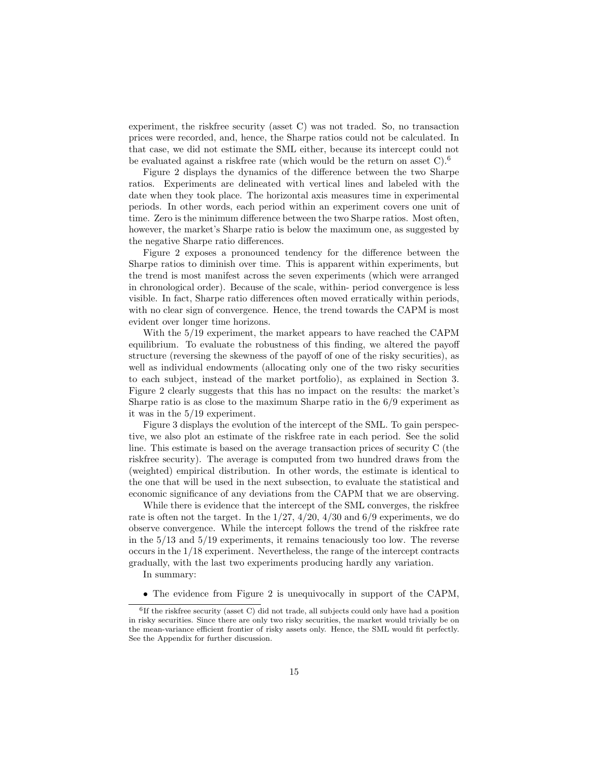experiment, the riskfree security (asset C) was not traded. So, no transaction experiment, the riskfree security (asset C) was not traded. So, no transaction<br>prices were recorded, and, hence, the Sharpe ratios could not be calculated. In<br>that case, we did not estimate the SML either, because its inte experiment, the riskfree security (asset C) was not traded. So, no transaction<br>prices were recorded, and, hence, the Sharpe ratios could not be calculated. In<br>that case, we did not estimate the SML either, because its int prices were recorded, and, hence, the Sharpe ratios could not be calculated. In that case, we did not estimate the SML either, because its intercept could not be evaluated against a riskfree rate (which would be the retur t case, we did not estimate the SML either, because its intercept could not<br>evaluated against a riskfree rate (which would be the return on asset C).<sup>6</sup><br>Figure 2 displays the dynamics of the difference between the two Shar

Figure 2 displays the dynamics of the difference between the two Sharpe ratios. Experiments are delineated with vertical lines and labeled with the Figure 2 displays the dynamics of the difference between the two Sharpe<br>ratios. Experiments are delineated with vertical lines and labeled with the<br>date when they took place. The horizontal axis measures time in experiment ratios. Experiments are delineated with vertical lines and labeled with the<br>date when they took place. The horizontal axis measures time in experimental<br>periods. In other words, each period within an experiment covers one periods. In other words, each period within an experiment covers one unit of time. Zero is the minimum difference between the two Sharpe ratios. Most often, however, the market's Sharpe ratio is below the maximum one, as suggested by the negative Sharpe ratio differences. however, the market's Sharpe ratio is below the maximum one, as suggested by

Figure 2 exposes a pronounced tendency for the difference between the the negative Sharpe ratio differences.<br>
Figure 2 exposes a pronounced tendency for the difference between the<br>
Sharpe ratios to diminish over time. This is apparent within experiments, but<br>
the trend is most manifest acros Figure 2 exposes a pronounced tendency for the difference between the<br>Sharpe ratios to diminish over time. This is apparent within experiments, but<br>the trend is most manifest across the seven experiments (which were arrang Sharpe ratios to diminish over time. This is apparent within experiments, but<br>the trend is most manifest across the seven experiments (which were arranged<br>in chronological order). Because of the scale, within- period conve the trend is most manifest across the seven experiments (which were arranged<br>in chronological order). Because of the scale, within- period convergence is less<br>visible. In fact, Sharpe ratio differences often moved erratica in chronological order). Because of the scale, within- period convergence is less<br>visible. In fact, Sharpe ratio differences often moved erratically within periods,<br>with no clear sign of convergence. Hence, the trend towar visible. In fact, Sharpe ratio different<br>with no clear sign of convergence. Hovident over longer time horizons.<br>With the 5/10 experiment the r h no clear sign of convergence. Hence, the trend towards the CAPM is most<br>lent over longer time horizons.<br>With the 5/19 experiment, the market appears to have reached the CAPM<br>ilibrium. To evaluate the robustness of this f

evident over longer time horizons.<br>With the 5/19 experiment, the market appears to have reached the CAPM<br>equilibrium. To evaluate the robustness of this finding, we altered the payoff<br>structure (roversing the skewness of t With the 5/19 experiment, the market appears to have reached the CAPM<br>equilibrium. To evaluate the robustness of this finding, we altered the payoff<br>structure (reversing the skewness of the payoff of one of the risky secur equilibrium. To evaluate the robustness of this finding, we altered the payoff<br>structure (reversing the skewness of the payoff of one of the risky securities), as<br>well as individual endowments (allocating only one of the t structure (reversing the skewness of the payoff of one of the risky securities), as<br>well as individual endowments (allocating only one of the two risky securities<br>to each subject, instead of the market portfolio), as expla well as individual endowments (allocating only one of the two risky securities<br>to each subject, instead of the market portfolio), as explained in Section 3.<br>Figure 2 clearly suggests that this has no impact on the results: Figure 2 clearly suggests that this has no impact on the results: the market's Sharpe ratio is as close to the maximum Sharpe ratio in the  $6/9$  experiment as it was in the  $5/19$  experiment. Sharpe ratio is as close to the maximum Sharpe ratio in the  $6/9$  experiment as

Figure 3 displays the evolution of the intercept of the SML. To gain perspective, we also plot an estimate of the riskfree rate in each period. See the solid Figure 3 displays the evolution of the intercept of the SML. To gain perspec-<br>tive, we also plot an estimate of the riskfree rate in each period. See the solid<br>line. This estimate is based on the average transaction prices tive, we also plot an estimate of the riskfree rate in each period. See the solid<br>line. This estimate is based on the average transaction prices of security C (the<br>riskfree security). The average is computed from two hundr riskfree security). The average is computed from two hundred draws from the (weighted) empirical distribution. In other words, the estimate is identical to the one that will be used in the next subsection, to evaluate the statistical and economic significance of any deviations from the CAPM that w the one that will be used in the next subsection, to evaluate the statistical and one that will be used in the next subsection, to evaluate the statistical and<br>nomic significance of any deviations from the CAPM that we are observing.<br>While there is evidence that the intercept of the SML converges, the

economic significance of any deviations from the CAPM that we are observing.<br>While there is evidence that the intercept of the SML converges, the riskfree<br>rate is often not the target. In the  $1/27$ ,  $4/20$ ,  $4/30$  and  $6$ While there is evidence that the intercept of the SML converges, the riskfree<br>rate is often not the target. In the  $1/27$ ,  $4/20$ ,  $4/30$  and  $6/9$  experiments, we do<br>observe convergence. While the intercept follows the t rate is often not the target. In the  $1/27$ ,  $4/20$ ,  $4/30$  and  $6/9$  experiments, we do<br>observe convergence. While the intercept follows the trend of the riskfree rate<br>in the  $5/13$  and  $5/19$  experiments, it remains ten observe convergence. While the intercept follows the trend of the riskfree rate<br>in the  $5/13$  and  $5/19$  experiments, it remains tenaciously too low. The reverse<br>occurs in the  $1/18$  experiment. Nevertheless, the range of in the  $5/13$  and  $5/19$  experiments, it remains tenaciously too low. The revocurs in the  $1/18$  experiment. Nevertheless, the range of the intercept contrared gradually, with the last two experiments producing hardly any gradually, with the last two experiments producing hardly any variation.<br>In summary:

• The evidence from Figure 2 is unequivocally in support of the CAPM,

 $6$  Tf  $\pm$ • The evidence from Figure 2 is unequivocally in support of the CAPM,<br>If the riskfree security (asset C) did not trade, all subjects could only have had a position<br>sky securities. Since there are only two risky securities <sup>6</sup>If the riskfree security (asset C) did not trade, all subjects could only have had a position in risky securities. Since there are only two risky securities, the market would trivially be on the mean-variance efficient in risky securities. Since there are only two risky securities, the market would trivially be on the mean-variance efficient frontier of risky assets only. Hence, the SML would fit perfectly. See the Appendix for further d the mean-variance efficient frontier of risky assets only. Hence, the SML would fit perfectly.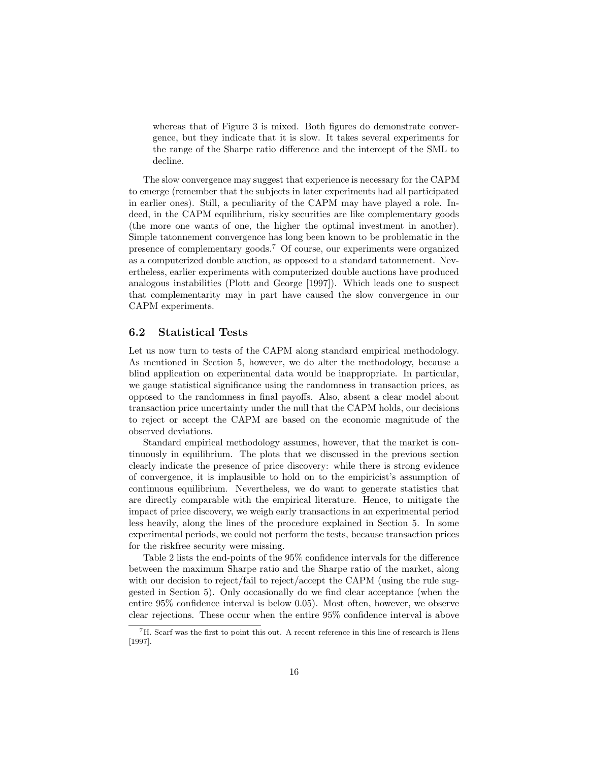whereas that of Figure 3 is mixed. Both figures do demonstrate converwhereas that of Figure 3 is mixed. Both figures do demonstrate convergence, but they indicate that it is slow. It takes several experiments for the game of the Sharpe ratio difference and the intercent of the SML to whereas that of Figure 3 is mixed. Both figures do demonstrate convergence, but they indicate that it is slow. It takes several experiments for the range of the Sharpe ratio difference and the intercept of the SML to decli decline.

The slow convergence may suggest that experience is necessary for the CAPM The slow convergence may suggest that experience is necessary for the CAPM<br>to emerge (remember that the subjects in later experiments had all participated<br>in earlier ones). Still a peculiarity of the CAPM may have played a The slow convergence may suggest that experience is necessary for the CAPM<br>to emerge (remember that the subjects in later experiments had all participated<br>in earlier ones). Still, a peculiarity of the CAPM may have played in earlier ones). Still, a peculiarity of the CAPM may have played a role. Indeed, in the CAPM equilibrium, risky securities are like complementary goods (the more one wants of one, the higher the optimal investment in another). deed, in the CAPM equilibrium, risky securities are like complementary goods<br>(the more one wants of one, the higher the optimal investment in another).<br>Simple tatonnement convergence has long been known to be problematic i (the more one wants of one, the higher the optimal investment in another).<br>Simple tatonnement convergence has long been known to be problematic in the<br>presence of complementary goods.<sup>7</sup> Of course, our experiments were or presence of complementary goods.<sup>7</sup> Of course, our experiments were organized as a computerized double auction, as opposed to a standard tatonnement. Nevertheless, earlier experiments with computerized double auctions have produced analogous instabilities (Plott and George [1997]). Which leads one t ertheless, earlier experiments with computerized double auctions have produced ertheless, earlier experiments with computerized double auctions have produced<br>analogous instabilities (Plott and George [1997]). Which leads one to suspect<br>that complementarity may in part have caused the slow convergence analogous instabilities<br>that complementarity<br>CAPM experiments. CAPM experiments.<br>6.2 Statistical Tests

6.2 Statistical Tests<br>Let us now turn to tests of the CAPM along standard empirical methodology.<br>As mentioned in Section 5, however, we do alter the methodology, because a Let us now turn to tests of the CAPM along standard empirical methodology.<br>As mentioned in Section 5, however, we do alter the methodology, because a<br>blind application on experimental data would be inappropriate. In partic Let us now turn to tests of the CAPM along standard empirical methodology.<br>As mentioned in Section 5, however, we do alter the methodology, because a<br>blind application on experimental data would be inappropriate. In partic As mentioned in Section 5, however, we do alter the methodology, because a<br>blind application on experimental data would be inappropriate. In particular,<br>we gauge statistical significance using the randomness in transaction blind application on experimental data would be inappropriate. In particular,<br>we gauge statistical significance using the randomness in transaction prices, as<br>opposed to the randomness in final payoffs. Also, absent a clea we gauge statistical significance using the randomness in transaction prices, as<br>opposed to the randomness in final payoffs. Also, absent a clear model about<br>transaction price uncertainty under the null that the CAPM holds transaction price uncertainty under the null that the CAPM holds, our decisions to reject or accept the CAPM are based on the economic magnitude of the observed deviations. to reject or accept the CAPM are based on the economic magnitude of the

Standard empirical methodology assumes, however, that the market is conobserved deviations.<br>
Standard empirical methodology assumes, however, that the market is con-<br>
tinuously in equilibrium. The plots that we discussed in the previous section<br>
clearly indicate the presence of price discover Standard empirical methodology assumes, however, that the market is con-<br>tinuously in equilibrium. The plots that we discussed in the previous section<br>clearly indicate the presence of price discovery: while there is strong tinuously in equilibrium. The plots that we discussed in the previous section<br>clearly indicate the presence of price discovery: while there is strong evidence<br>of convergence, it is implausible to hold on to the empiricist' clearly indicate the presence of price discovery: while there is strong evidence<br>of convergence, it is implausible to hold on to the empiricist's assumption of<br>continuous equilibrium. Nevertheless, we do want to generate s continuous equilibrium. Nevertheless, we do want to generate statistics that are directly comparable with the empirical literature. Hence, to mitigate the impact of price discovery, we weigh early transactions in an experi are directly comparable with the empirical literature. Hence, to mitigate the are directly comparable with the empirical literature. Hence, to mitigate the<br>impact of price discovery, we weigh early transactions in an experimental period<br>less heavily, along the lines of the procedure explained in Sec impact of price discovery, we weigh early transactions in an experimental period<br>less heavily, along the lines of the procedure explained in Section 5. In some<br>experimental periods, we could not perform the tests, because experimental periods, we could not perform the tests, because transaction prices for the riskfree security were missing.

Table 2 lists the end-points of the 95% confidence intervals for the difference between the maximum Sharpe ratio and the Sharpe ratio of the difference<br>between the maximum Sharpe ratio and the Sharpe ratio of the market, along<br>with our decision to reject (fail to reject (accept the CAPM (using the rul Table 2 lists the end-points of the 95% confidence intervals for the difference<br>between the maximum Sharpe ratio and the Sharpe ratio of the market, along<br>with our decision to reject/fail to reject/accept the CAPM (using between the maximum Sharpe ratio and the Sharpe ratio of the market, along<br>with our decision to reject/fail to reject/accept the CAPM (using the rule sug-<br>gested in Section 5). Only occasionally do we find clear acceptance with our decision to reject/fail to reject/accept the CAPM (using the rule suggested in Section 5). Only occasionally do we find clear acceptance (when the entire 95% confidence interval is below 0.05). Most often, howeve entire  $95\%$  confidence interval is below 0.05). Most often, however, we observe clear rejections. These occur when the entire  $95\%$  confidence interval is above

<sup>7</sup>H. Scarf was the first to point this out. A recent reference in this line of research is Hens [1997].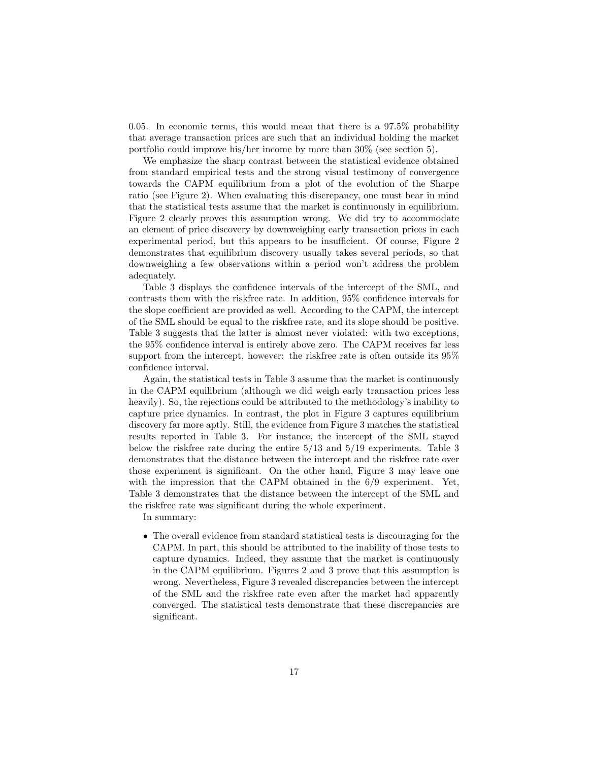0.05. In economic terms, this would mean that there is a 97.5% probability 0.05. In economic terms, this would mean that there is a  $97.5\%$  probability that average transaction prices are such that an individual holding the market portfolio could improve his/her income by more than  $30\%$  (see 0.05. In economic terms, this would mean that there is a 97.5% probabili<br>that average transaction prices are such that an individual holding the mark<br>portfolio could improve his/her income by more than  $30\%$  (see section t average transaction prices are such that an individual holding the market<br>tfolio could improve his/her income by more than 30% (see section 5).<br>We emphasize the sharp contrast between the statistical evidence obtained<br>in

portfolio could improve his/her income by more than 30% (see section 5).<br>We emphasize the sharp contrast between the statistical evidence obtained<br>from standard empirical tests and the strong visual testimony of convergenc We emphasize the sharp contrast between the statistical evidence obtained<br>from standard empirical tests and the strong visual testimony of convergence<br>towards the CAPM equilibrium from a plot of the evolution of the Sharpe from standard empirical tests and the strong visual testimony of convergence<br>towards the CAPM equilibrium from a plot of the evolution of the Sharpe<br>ratio (see Figure 2). When evaluating this discrepancy, one must bear in ratio (see Figure 2). When evaluating this discrepancy, one must bear in mind that the statistical tests assume that the market is continuously in equilibrium. ratio (see Figure 2). When evaluating this discrepancy, one must bear in mind<br>that the statistical tests assume that the market is continuously in equilibrium.<br>Figure 2 clearly proves this assumption wrong. We did try to a that the statistical tests assume that the market is continuously in equilibrium.<br>Figure 2 clearly proves this assumption wrong. We did try to accommodate<br>an element of price discovery by downweighing early transaction pri an element of price discovery by downweighing early transaction prices in each experimental period, but this appears to be insufficient. Of course, Figure 2 demonstrates that equilibrium discovery usually takes several periods, so that downweighing a few observations within a period won't address the problem adequately. mweighing a few observations within a period won't address the problem<br>quately.<br>Table 3 displays the confidence intervals of the intercept of the SML, and<br>trasts them with the riskfree rate. In addition 95% confidence inte

adequately.<br>Table 3 displays the confidence intervals of the intercept of the SML, and<br>contrasts them with the riskfree rate. In addition, 95% confidence intervals for<br>the slope coefficient are provided as well. According Table 3 displays the confidence intervals of the intercept of the SML, and<br>contrasts them with the riskfree rate. In addition, 95% confidence intervals for<br>the slope coefficient are provided as well. According to the CAPM, contrasts them with the riskfree rate. In addition, 95% confidence intervals for<br>the slope coefficient are provided as well. According to the CAPM, the intercept<br>of the SML should be equal to the riskfree rate, and its slo the slope coefficient are provided as well. According to the CAPM, the intercept<br>of the SML should be equal to the riskfree rate, and its slope should be positive.<br>Table 3 suggests that the latter is almost never violated of the SML should be equal to the riskfree rate, and its slope should be positive.<br>Table 3 suggests that the latter is almost never violated: with two exceptions,<br>the 95% confidence interval is entirely above zero. The CA Table 3 suggests that the latter is almost never violated: with two exceptions,<br>the 95% confidence interval is entirely above zero. The CAPM receives far less<br>support from the intercept, however: the riskfree rate is often the 95% confidence is<br>support from the interval.<br>Again the statistic port from the intercept, however: the riskfree rate is often outside its 95%<br>fidence interval.<br>Again, the statistical tests in Table 3 assume that the market is continuously<br>be CAPM equilibrium (although we did weigh early

confidence interval.<br>
Again, the statistical tests in Table 3 assume that the market is continuously<br>
in the CAPM equilibrium (although we did weigh early transaction prices less<br>
heavily). So, the rejections could be attr Again, the statistical tests in Table 3 assume that the market is continuously<br>in the CAPM equilibrium (although we did weigh early transaction prices less<br>heavily). So, the rejections could be attributed to the methodolog in the CAPM equilibrium (although we did weigh early transaction prices less<br>heavily). So, the rejections could be attributed to the methodology's inability to<br>capture price dynamics. In contrast, the plot in Figure 3 capt capture price dynamics. In contrast, the plot in Figure 3 captures equilibrium discovery far more aptly. Still, the evidence from Figure 3 matches the statistical capture price dynamics. In contrast, the plot in Figure 3 captures equilibrium<br>discovery far more aptly. Still, the evidence from Figure 3 matches the statistical<br>results reported in Table 3. For instance, the intercept of discovery far more aptly. Still, the evidence from Figure 3 matches the statistical<br>results reported in Table 3. For instance, the intercept of the SML stayed<br>below the riskfree rate during the entire 5/13 and 5/19 experim below the riskfree rate during the entire  $5/13$  and  $5/19$  experiments. Table 3 demonstrates that the distance between the intercept and the riskfree rate over those experiment is significant. On the other hand, Figure 3 may leave one with the impression that the CAPM obtained in the  $6/9$  experiment. Yet, Table 3 demonstrates that the distance between the intercept of the SML a with the impression that the CAPM obtained in the  $6/9$  experiment. Yet, with the impression that the CAPM obtained in the 6/9 ex<br>Table 3 demonstrates that the distance between the intercept of<br>the riskfree rate was significant during the whole experiment.<br>In summary: ble 3 demonstra<br>riskfree rate w<br>In summary:

• The overall evidence from standard statistical tests is discouraging for the<br>CAPM. In part, this should be attributed to the inability of those tests to The overall evidence from standard statistical tests is discouraging for the CAPM. In part, this should be attributed to the inability of those tests to capture dynamics. Indeed, they assume that the market is continuously The overall evidence from standard statistical tests is discouraging for the CAPM. In part, this should be attributed to the inability of those tests to capture dynamics. Indeed, they assume that the market is continuousl CAPM. In part, this should be attributed to the inability of those tests to capture dynamics. Indeed, they assume that the market is continuously in the CAPM equilibrium. Figures 2 and 3 prove that this assumption is wrong capture dynamics. Indeed, they assume that the market is continuously<br>in the CAPM equilibrium. Figures 2 and 3 prove that this assumption is<br>wrong. Nevertheless, Figure 3 revealed discrepancies between the intercept<br>of the in the CAPM equilibrium. Figures 2 and 3 prove that this assumption is<br>wrong. Nevertheless, Figure 3 revealed discrepancies between the intercept<br>of the SML and the riskfree rate even after the market had apparently<br>conver of the SML and the risk free rate even after the market had apparently converged. The statistical tests demonstrate that these discrepancies are significant.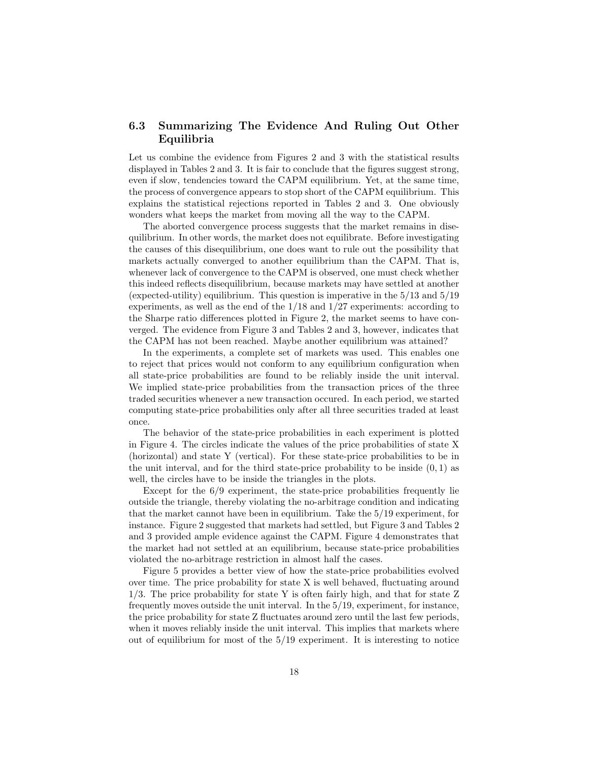## 6.3 Summarizing The Evidence And Ruling Out Other Equilibria

Equilibria<br>Let us combine the evidence from Figures 2 and 3 with the statistical results<br>displayed in Tables 2 and 3. It is fair to conclude that the figures suggest strong Let us combine the evidence from Figures 2 and 3 with the statistical results displayed in Tables 2 and 3. It is fair to conclude that the figures suggest strong, even if slow, tendencies toward the CAPM equilibrium. Vet displayed in Tables 2 and 3. It is fair to conclude that the figures suggest strong, even if slow, tendencies toward the CAPM equilibrium. Yet, at the same time, the process of convergence appears to stop short of the CAPM even if slow, tendencies toward the CAPM equilibrium. Yet, at the same time, even if slow, tendencies toward the CAPM equilibrium. Yet, at the same time,<br>the process of convergence appears to stop short of the CAPM equilibrium. This<br>explains the statistical rejections reported in Tables 2 and 3. On the process of convergence appears to stop short of the CAPM equilibrium.<br>explains the statistical rejections reported in Tables 2 and 3. One obvid<br>wonders what keeps the market from moving all the way to the CAPM.<br>The sho Iains the statistical rejections reported in Tables 2 and 3. One obviously<br>nders what keeps the market from moving all the way to the CAPM.<br>The aborted convergence process suggests that the market remains in dise-<br>ibrium.

wonders what keeps the market from moving all the way to the CAPM.<br>The aborted convergence process suggests that the market remains in dise-<br>quilibrium. In other words, the market does not equilibrate. Before investigating The aborted convergence process suggests that the market remains in dise-<br>quilibrium. In other words, the market does not equilibrate. Before investigating<br>the causes of this disequilibrium, one does want to rule out the quilibrium. In other words, the market does not equilibrate. Before investigating<br>the causes of this disequilibrium, one does want to rule out the possibility that<br>markets actually converged to another equilibrium than the the causes of this disequilibrium, one does want to rule out the possibility that<br>markets actually converged to another equilibrium than the CAPM. That is,<br>whenever lack of convergence to the CAPM is observed, one must che markets actually converged to another equilibrium than the CAPM. That is,<br>whenever lack of convergence to the CAPM is observed, one must check whether<br>this indeed reflects disequilibrium, because markets may have settled a whenever lack of convergence to the CAPM is observed, one must check whether<br>this indeed reflects disequilibrium. because markets may have settled at another<br>(expected-utility) equilibrium. This question is imperative in this indeed reflects disequilibrium, because markets may have settled at another (expected-utility) equilibrium. This question is imperative in the  $5/13$  and  $5/19$  experiments, as well as the end of the  $1/18$  and  $1/27$ experiments, as well as the end of the  $1/18$  and  $1/27$  experiments: according to the Sharpe ratio differences plotted in Figure 2, the market seems to have converged. The evidence from Figure 3 and Tables 2 and 3, however, indicates that the CAPM has not been reached. Maybe another equilibrium was atta verged. The evidence from Figure 3 and Tables 2 and 3, however, indicates that

In the experiments, a complete set of markets was used. This enables one the CAPM has not been reached. Maybe another equilibrium was attained?<br>In the experiments, a complete set of markets was used. This enables one<br>to reject that prices would not conform to any equilibrium configuration when<br> In the experiments, a complete set of markets was used. This enables one<br>to reject that prices would not conform to any equilibrium configuration when<br>all state-price probabilities are found to be reliably inside the unit all state-price probabilities are found to be reliably inside the unit interval. We implied state-price probabilities from the transaction prices of the three traded securities whenever a new transaction occured. In each period, we started computing state-price probabilities only after all three securi traded securities whenever a new transaction occurred. In each period, we started once.

The behavior of the state-price probabilities in each experiment is plotted once.<br>The behavior of the state-price probabilities in each experiment is plotted<br>in Figure 4. The circles indicate the values of the price probabilities of state X<br>(borizontal) and state X (vertical). For these state-pric The behavior of the state-price probabilities in each experiment is plotted<br>in Figure 4. The circles indicate the values of the price probabilities of state X<br>(horizontal) and state Y (vertical). For these state-price pro in Figure 4. The circles indicate the values of the price probabilities of state X (horizontal) and state Y (vertical). For these state-price probabilities to be in the unit interval, and for the third state-price probabi (horizontal) and state Y (vertical). For these state-price pro<br>the unit interval, and for the third state-price probability to<br>well, the circles have to be inside the triangles in the plots.<br>Except for the  $6/9$  experimen well, the circles have to be inside the triangles in the plots.<br>Except for the  $6/9$  experiment, the state-price probabilities frequently lie

well, the circles have to be inside the triangles in the plots.<br>Except for the  $6/9$  experiment, the state-price probabilities frequently lie<br>outside the triangle, thereby violating the no-arbitrage condition and indicati Except for the  $6/9$  experiment, the state-price probabilities frequently lie<br>outside the triangle, thereby violating the no-arbitrage condition and indicating<br>that the market cannot have been in equilibrium. Take the  $5/$ that the market cannot have been in equilibrium. Take the  $5/19$  experiment, for instance. Figure 2 suggested that markets had settled, but Figure 3 and Tables 2 and 3 provided ample evidence against the CAPM. Figure 4 de instance. Figure 2 suggested that markets had settled, but Figure 3 and Tables 2 instance. Figure 2 suggested that markets had settled, but Figure 3 and Tables 2<br>and 3 provided ample evidence against the CAPM. Figure 4 demonstrates that<br>the market had not settled at an equilibrium, because state-price and 3 provided ample evidence against the CAPM. Figure 4 de<br>the market had not settled at an equilibrium, because state-pr<br>violated the no-arbitrage restriction in almost half the cases.<br>Eigure 5 provides a hetter view of violated the no-arbitrage restriction in almost half the cases.<br>Figure 5 provides a better view of how the state-price probabilities evolved

violated the no-arbitrage restriction in almost half the cases.<br>Figure 5 provides a better view of how the state-price probabilities evolved<br>over time. The price probability for state X is often fairly high and that for st Figure 5 provides a better view of how the state-price probabilities evolved<br>over time. The price probability for state X is well behaved, fluctuating around<br> $1/3$ . The price probability for state Y is often fairly high,  $1/3$ . The price probability for state Y is often fairly high, and that for state Z frequently moves outside the unit interval. In the  $5/19$ , experiment, for instance, 1/3. The price probability for state Y is often fairly high, and that for state Z<br>frequently moves outside the unit interval. In the  $5/19$ , experiment, for instance,<br>the price probability for state Z fluctuates around ze frequently moves outside the unit interval. In the 5/19, experiment, for instance,<br>the price probability for state Z fluctuates around zero until the last few periods,<br>when it moves reliably inside the unit interval. This when it moves reliably inside the unit interval. This implies that markets where out of equilibrium for most of the  $5/19$  experiment. It is interesting to notice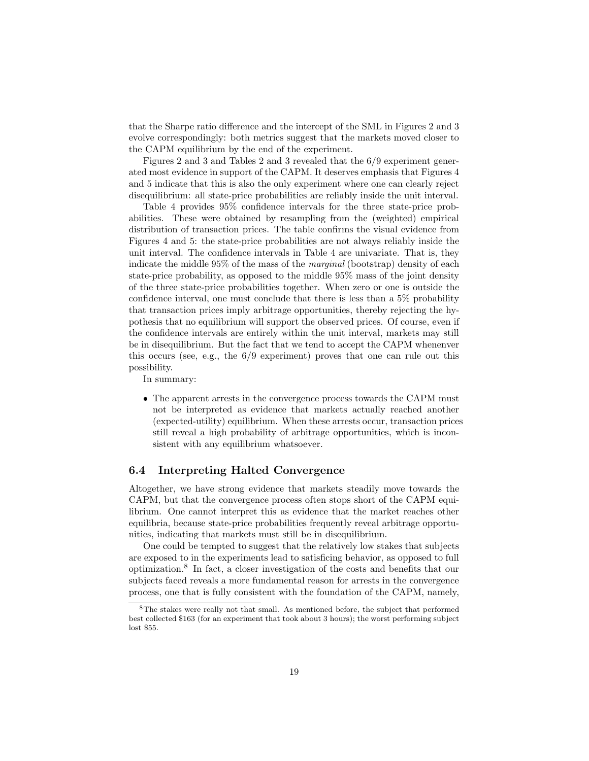that the Sharpe ratio difference and the intercept of the SML in Figures 2 and 3 that the Sharpe ratio difference and the intercept of the SML in Figures 2 and 3 evolve correspondingly: both metrics suggest that the markets moved closer to the CAPM equilibrium by the end of the experiment that the Sharpe ratio difference and the intercept of the<br>evolve correspondingly: both metrics suggest that the r<br>the CAPM equilibrium by the end of the experiment.<br>Eigures 2 and 3 and Tables 2 and 3 revealed that the Figures 2 and 3 and Tables 2 and 3 revealed that the markets moved closer to CAPM equilibrium by the end of the experiment.<br>Figures 2 and 3 and Tables 2 and 3 revealed that the  $6/9$  experiment gener-<br>d most evidence in s

the CAPM equilibrium by the end of the experiment.<br>Figures 2 and 3 and Tables 2 and 3 revealed that the  $6/9$  experiment generated most evidence in support of the CAPM. It deserves emphasis that Figures 4 and 5 indicate t Figures 2 and 3 and Tables 2 and 3 revealed that the  $6/9$  experiment generated most evidence in support of the CAPM. It deserves emphasis that Figures 4 and 5 indicate that this is also the only experiment where one can ated most evidence in support of the CAPM. It deserves emphasis that Figures 4<br>and 5 indicate that this is also the only experiment where one can clearly reject<br>disequilibrium: all state-price probabilities are reliably in disequilibrium: all state-price probabilities are reliably inside the unit interval.<br>Table 4 provides  $95\%$  confidence intervals for the three state-price prob-

disequilibrium: all state-price probabilities are reliably inside the unit interval.<br>Table 4 provides 95% confidence intervals for the three state-price prob-<br>abilities. These were obtained by resampling from the (weighted Table 4 provides 95% confidence intervals for the three state-price prob-<br>abilities. These were obtained by resampling from the (weighted) empirical<br>distribution of transaction prices. The table confirms the visual eviden distribution of transaction prices. The table confirms the visual evidence from Figures 4 and 5: the state-price probabilities are not always reliably inside the distribution of transaction prices. The table confirms the visual evidence from<br>Figures 4 and 5: the state-price probabilities are not always reliably inside the<br>unit interval. The confidence intervals in Table 4 are univa Figures 4 and 5: the state-price probabilities are not always reliably inside the<br>unit interval. The confidence intervals in Table 4 are univariate. That is, they<br>indicate the middle 95% of the mass of the marginal (boots indicate the middle  $95\%$  of the mass of the *marginal* (bootstrap) density of each state-price probability, as opposed to the middle  $95\%$  mass of the joint density of the three state-price probabilities together. When zero or one is outside the confidence interval, one must conclude that there is less of the three state-price probabilities together. When zero or one is outside the that transaction prices imply arbitrage opportunities, thereby rejecting the hypothesis that no equilibrium will support the observed prices. Of course, even if that transaction prices imply arbitrage opportunities, thereby rejecting the hypothesis that no equilibrium will support the observed prices. Of course, even if the confidence intervals are entirely within the unit interva pothesis that no equilibrium will support the observed prices. Of course, even if<br>the confidence intervals are entirely within the unit interval, markets may still<br>be in disequilibrium. But the fact that we tend to accept be in disequilibrium. But the fact that we tend to accept the CAPM whenenver this occurs (see, e.g., the  $6/9$  experiment) proves that one can rule out this possibility.

In summary:

• The apparent arrests in the convergence process towards the CAPM must<br>not be interpreted as evidence that markets actually reached another The apparent arrests in the convergence process towards the CAPM must<br>not be interpreted as evidence that markets actually reached another<br>(expected-utility) equilibrium. When these arrests occur transaction prices not be interpreted as evidence that markets actually reached another (expected-utility) equilibrium. When these arrests occur, transaction prices not be interpreted as evidence that markets actually reached another (expected-utility) equilibrium. When these arrests occur, transaction price still reveal a high probability of arbitrage opportunities, which is incon-<br>s (expected-utility) equilibrium. When these<br>still reveal a high probability of arbitrage<br>sistent with any equilibrium whatsoever. Sistent with any equilibrium whatsoever.<br> **6.4 Interpreting Halted Convergence** 

6.4 Interpreting Halted Convergence<br>Altogether, we have strong evidence that markets steadily move towards the<br>CAPM but that the convergence process often stops short of the CAPM equi-Altogether, we have strong evidence that markets steadily move towards the CAPM, but that the convergence process often stops short of the CAPM equilibrium. One cannot interpret this as evidence that the market reaches oth CAPM, but that the convergence process often stops short of the CAPM equilibrium. One cannot interpret this as evidence that the market reaches other CAPM, but that the convergence process often stops short of the CAPM equi-<br>librium. One cannot interpret this as evidence that the market reaches other<br>equilibria, because state-price probabilities frequently reveal arbitr librium. One cannot interpret this as evidence that the market<br>equilibria, because state-price probabilities frequently reveal arb<br>nities, indicating that markets must still be in disequilibrium.<br>One could be tempted to su nities, indicating that markets must still be in disequilibrium.<br>One could be tempted to suggest that the relatively low stakes that subjects

are exposed to in the experiments lead to satisficing behavior, as opposed to full One could be tempted to suggest that the relatively low stakes that subjects<br>are exposed to in the experiments lead to satisficing behavior, as opposed to full<br>optimization.<sup>8</sup> In fact, a closer investigation of the costs are exposed to in the experiments lead to satisficing behavior, as opposed to full<br>optimization.<sup>8</sup> In fact, a closer investigation of the costs and benefits that our<br>subjects faced reveals a more fundamental reason for ar subjects faced reveals a more fundamental reason for arrests in the convergence process, one that is fully consistent with the foundation of the CAPM, namely,

<sup>&</sup>lt;sup>8</sup>The stakes were really not that small. As mentioned before, the subject that performed  $8$ The stakes were really not that small. As mentioned before, the subject that performed best collected \$163 (for an experiment that took about 3 hours); the worst performing subject lost \$55 The stress collections  $\frac{1}{2}$ <br>lost \$55.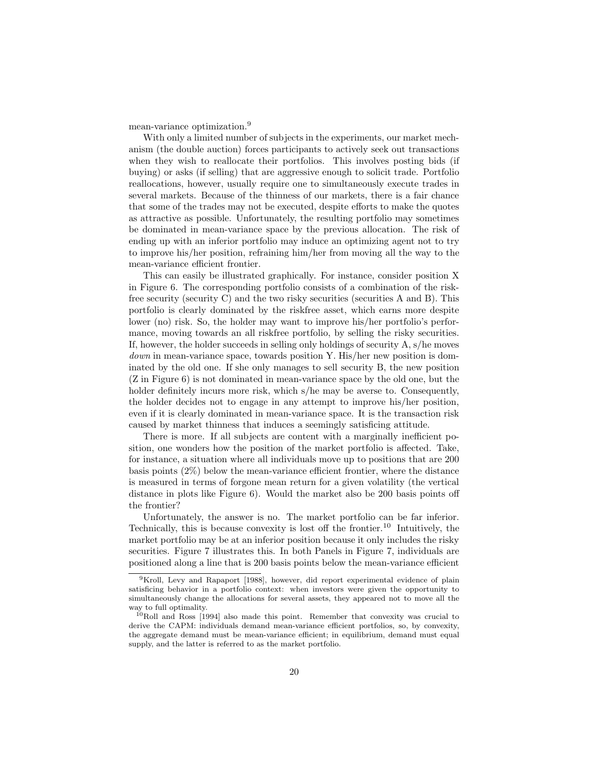mean-variance optimization.<sup>9</sup>

 $\frac{1}{2}$ <br>With only a limited number of subjects in the experiments, our market mech-<br>am (the double auction) forces participants to actively seek out transactions mean-variance optimization."<br>With only a limited number of subjects in the experiments, our market mechanism (the double auction) forces participants to actively seek out transactions<br>when they wish to reallocate their por With only a limited number of subjects in the experiments, our market mechanism (the double auction) forces participants to actively seek out transactions<br>when they wish to reallocate their portfolios. This involves postin anism (the double auction) forces participants to actively seek out transactions<br>when they wish to reallocate their portfolios. This involves posting bids (if<br>buying) or asks (if selling) that are aggressive enough to soli when they wish to reallocate their portfolios. This involves posting bids (if buying) or asks (if selling) that are aggressive enough to solicit trade. Portfolio reallocations, however, usually require one to simultaneousl buying) or asks (if selling) that are aggressive enough to solicit trade. Portfolio<br>reallocations, however, usually require one to simultaneously execute trades in<br>several markets. Because of the thinness of our markets, t several markets. Because of the thinness of our markets, there is a fair chance that some of the trades may not be executed, despite efforts to make the quotes as attractive as possible. Unfortunately, the resulting portfolio may sometimes be dominated in mean-variance space by the previous allocation. The risk of ending up with an inferior portfolio may induce an optimizing agen be dominated in mean-variance space by the previous allocation. The risk of be dominated in mean-variance space by the previous allocation. The risk of ending up with an inferior portfolio may induce an optimizing agent not to try to improve his/her position, refraining him/her from moving all the ending up with an interior portfol<br>to improve his/her position, refra<br>mean-variance efficient frontier.<br>This can easily be illustrated mean-variance efficient frontier.<br>This can easily be illustrated graphically. For instance, consider position X

mean-variance efficient frontier.<br>
This can easily be illustrated graphically. For instance, consider position X<br>
in Figure 6. The corresponding portfolio consists of a combination of the risk-<br>
free security (security C) This can easily be illustrated graphically. For instance, consider position X<br>in Figure 6. The corresponding portfolio consists of a combination of the risk-<br>free security (security C) and the two risky securities (securit in Figure 6. The corresponding portfolio consists of a combination of the risk-<br>free security (security C) and the two risky securities (securities A and B). This<br>portfolio is clearly dominated by the riskfree asset, whic free security (security C) and the two risky securities (securities A and B). This<br>portfolio is clearly dominated by the riskfree asset, which earns more despite<br>lower (no) risk. So, the holder may want to improve his/her portfolio is clearly dominated by the riskfree asset, which earns more despite<br>lower (no) risk. So, the holder may want to improve his/her portfolio's perfor-<br>mance, moving towards an all riskfree portfolio, by selling the Iower (no) risk. So, the holder may want to improve his/her portfolio's performance, moving towards an all riskfree portfolio, by selling the risky securities.<br>If, however, the holder succeeds in selling only holdings of s mance, moving towards an all riskfree portfolio, by selling the risky securities.<br>If, however, the holder succeeds in selling only holdings of security A, s/he moves<br>down in mean-variance space, towards position Y. His/he If, however, the holder succeeds in selling only holdings of security A, s/he moves *down* in mean-variance space, towards position Y. His/her new position is dominated by the old one. If she only manages to sell security *down* in mean-variance space, towards position Y. His/her new position is dominated by the old one. If she only manages to sell security B, the new position (Z in Figure 6) is not dominated in mean-variance space by the inated by the old one. If she only manages to sell security B, the new position  $(Z \text{ in } \text{Figure 6})$  is not dominated in mean-variance space by the old one, but the holder definitely incurs more risk, which s/he may be averse holder definitely incurs more risk, which  $s/h$ e may be averse to. Consequently, the holder decides not to engage in any attempt to improve his/her position, even if it is clearly dominated in mean-variance space. It is the transaction risk caused by market thinness that induces a seemingly satisficing even if it is clearly dominated in mean-variance space. It is the transaction risk

There is more. If all subjects are content with a marginally inefficient pocaused by market thinness that induces a seemingly satisficing attitude.<br>There is more. If all subjects are content with a marginally inefficient po-<br>sition, one wonders how the position of the market portfolio is affected There is more. If all subjects are content with a marginally inefficient position, one wonders how the position of the market portfolio is affected. Take, for instance, a situation where all individuals move up to positio for instance, a situation where all individuals move up to positions that are  $200$ basis points  $(2\%)$  below the mean-variance efficient frontier, where the distance is measured in terms of forgone mean return for a given volatility (the vertical distance in plots like Figure  $6$ ). Would the market also be 200 basis points off the frontier? distance in plots like Figure  $6$ ). Would the market also be 200 basis points of

Unfortunately, the answer is no. The market portfolio can be far inferior. the frontier?<br>Unfortunately, the answer is no. The market portfolio can be far inferior.<br>Technically, this is because convexity is lost off the frontier.<sup>10</sup> Intuitively, the<br>market portfolio may be at an inferior positio Unfortunately, the answer is no. The market portfolio can be far inferior.<br>Technically, this is because convexity is lost off the frontier.<sup>10</sup> Intuitively, the market portfolio may be at an inferior position because it o market portfolio may be at an inferior position because it only includes the risky securities. Figure 7 illustrates this. In both Panels in Figure 7, individuals are positioned along a line that is 200 basis points below t securities. Figure 7 illustrates this. In both Panels in Figure 7, individuals are

sitioned along a line that is 200 basis points below the mean-variance efficient<br> $\frac{9}{9}$ Kroll, Levy and Rapaport [1988], however, did report experimental evidence of plain<br>isfoing behavior in a portfolio context; when i <sup>9</sup>Kroll, Levy and Rapaport [1988], however, did report experimental evidence of plain satisficing behavior in a portfolio context: when investors were given the opportunity to simultaneously change the allocations for se <sup>9</sup>Kroll, Levy and Rapaport [1988], however, did report experimental evidence of plain satisficing behavior in a portfolio context: when investors were given the opportunity to simultaneously change the allocations for sev satisficing behavior in a portfolio context: when investors were given the opportunity to simultaneously change the allocations for several assets, they appeared not to move all the way to full and Ross [1994] also made t

way to full optimality.<br> $^{10}$ Roll and Ross [1994] also made this point. Remember that convexity was crucial to derive the CAPM: individuals demand mean-variance efficient portfolios, so, by convexity, the aggregate demand must be mean-variance efficient; in equilibrium, demand must equal supply, and the latter is referred to as the market portfolio.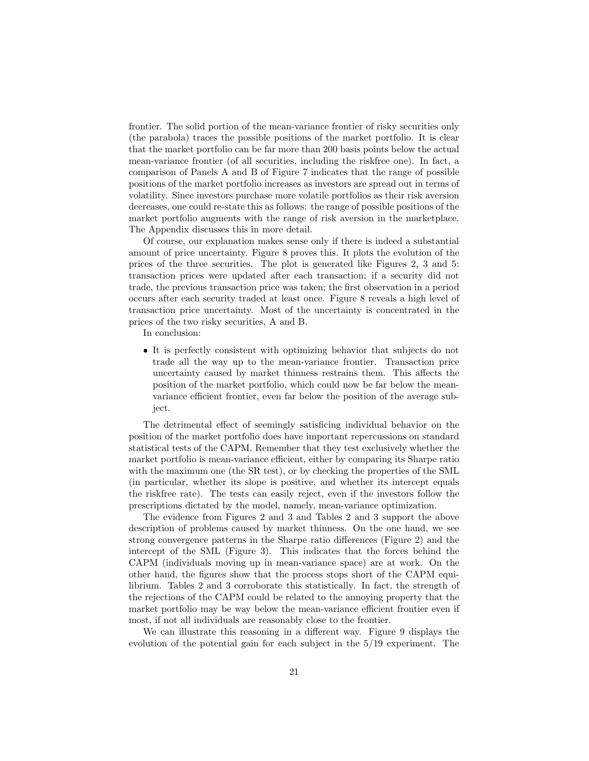frontier. The solid portion of the mean-variance frontier of risky securities only frontier. The solid portion of the mean-variance frontier of risky securities only<br>(the parabola) traces the possible positions of the market portfolio. It is clear<br>that the market portfolio can be far more than 200 basis frontier. The solid portion of the mean-variance frontier of risky securities only<br>(the parabola) traces the possible positions of the market portfolio. It is clear<br>that the market portfolio can be far more than 200 basis (the parabola) traces the possible positions of the market portfolio. It is clear<br>that the market portfolio can be far more than 200 basis points below the actual<br>mean-variance frontier (of all securities, including the r that the market portfolio can be far more than 200 basis points below the actual<br>mean-variance frontier (of all securities, including the riskfree one). In fact, a<br>comparison of Panels A and B of Figure 7 indicates that th comparison of Panels A and B of Figure 7 indicates that the range of possible positions of the market portfolio increases as investors are spread out in terms of comparison of Panels A and B of Figure 7 indicates that the range of possible<br>positions of the market portfolio increases as investors are spread out in terms of<br>volatility. Since investors purchase more volatile portfolio positions of the market portfolio increases as investors are spread out in terms of<br>volatility. Since investors purchase more volatile portfolios as their risk aversion<br>decreases, one could re-state this as follows: the ra decreases, one could re-state this as follows: the range of possible positions of the market portfolio augments with the range of risk aversion in the marketplace. The Appendix discusses this in more detail. market portfolio augments with the range of risk aversion in the marketplace.

Of course, our explanation makes sense only if there is indeed a substantial amount of price uncertainty. Figure 8 proves this. It plots the evolution of the Of course, our explanation makes sense only if there is indeed a substantial<br>amount of price uncertainty. Figure 8 proves this. It plots the evolution of the<br>prices of the three securities. The plot is generated like Figur amount of price uncertainty. Figure 8 proves this. It plots the evolution of the<br>prices of the three securities. The plot is generated like Figures 2, 3 and 5:<br>transaction prices were updated after each transaction; if a s prices of the three securities. The plot is generated like Figures 2, 3 and 5:<br>transaction prices were updated after each transaction; if a security did not<br>trade, the previous transaction price was taken; the first observ transaction prices were updated after each transaction; if a security did not<br>trade, the previous transaction price was taken; the first observation in a period<br>occurs after each security traded at least once. Figure 8 rev trade, the previous transaction price was taken; the first observation in a period<br>occurs after each security traded at least once. Figure 8 reveals a high level of<br>transaction price uncertainty. Most of the uncertainty is occurs after each security traded at least once<br>transaction price uncertainty. Most of the ur<br>prices of the two risky securities, A and B.<br>In conclusion: prices of the two risky securities,  $A$  and  $B$ .<br>In conclusion:

• It is perfectly consistent with optimizing behavior that subjects do not<br>trade all the way up to the mean-variance frontier. Transaction price It is perfectly consistent with optimizing behavior that subjects do not trade all the way up to the mean-variance frontier. Transaction price uncertainty caused by market thinness restrains them. This affects the trade all the way up to the mean-variance frontier. Transaction price<br>uncertainty caused by market thinness restrains them. This affects the trade all the way up to the mean-variance frontier. Transaction price<br>uncertainty caused by market thinness restrains them. This affects the<br>position of the market portfolio, which could now be far below the mean-<br>variance uncertainty caused by market thinness restrains them. This affects the position of the market portfolio, which could now be far below the mean-<br>variance efficient frontier, even far below the position of the average sub-<br>j ject. variance efficient frontier, even far below the position of the average sub-<br>ject.<br>The detrimental effect of seemingly satisficing individual behavior on the

position of the market portfolio does have important repercussions on standard The detrimental effect of seemingly satisficing individual behavior on the<br>position of the market portfolio does have important repercussions on standard<br>statistical tests of the CAPM. Remember that they test exclusively w position of the market portfolio does have important repercussions on standard<br>statistical tests of the CAPM. Remember that they test exclusively whether the<br>market portfolio is mean-variance efficient, either by comparing market portfolio is mean-variance efficient, either by comparing its Sharpe ratio with the maximum one (the SR test), or by checking the properties of the SML (in particular, whether its slope is positive, and whether its intercept equals the riskfree rate). The tests can easily reject, even if the inve (in particular, whether its slope is positive, and whether its intercept equals (in particular, whether its slope is positive, and whether its intercept equality the model. The tests can easily reject, even if the investors follow prescriptions dictated by the model, namely, mean-variance optimizatio riskfree rate). The tests can easily reject, even if the investors follow the<br>scriptions dictated by the model, namely, mean-variance optimization.<br>The evidence from Figures 2 and 3 and Tables 2 and 3 support the above<br>cri

prescriptions dictated by the model, namely, mean-variance optimization.<br>The evidence from Figures 2 and 3 and Tables 2 and 3 support the above<br>description of problems caused by market thinness. On the one hand, we see<br>str The evidence from Figures 2 and 3 and Tables 2 and 3 support the above<br>description of problems caused by market thinness. On the one hand, we see<br>strong convergence patterns in the Sharpe ratio differences (Figure 2) and t description of problems caused by market thinness. On the one hand, we see<br>strong convergence patterns in the Sharpe ratio differences (Figure 2) and the<br>intercept of the SML (Figure 3). This indicates that the forces behi strong convergence patterns in the Sharpe ratio differences (Figure 2) and the<br>intercept of the SML (Figure 3). This indicates that the forces behind the<br>CAPM (individuals moving up in mean-variance space) are at work. On CAPM (individuals moving up in mean-variance space) are at work. On the other hand, the figures show that the process stops short of the CAPM equilibrium. Tables 2 and 3 corroborate this statistically. In fact, the strength of other hand, the figures show that the process stops short of the CAPM equilibrium. Tables 2 and 3 corroborate this statistically. In fact, the strength of the rejections of the CAPM could be related to the annoying propert librium. Tables 2 and 3 corroborate this statistically. In fact, the strength of<br>the rejections of the CAPM could be related to the annoying property that the<br>market portfolio may be way below the mean-variance efficient f market portfolio may be way below the mean-variance efficient frontier even if most, if not all individuals are reasonably close to the frontier.

We can illustrate this reasoning in a different way. Figure 9 displays the evolution of the potential gain for each subject in the 5/19 experiment. The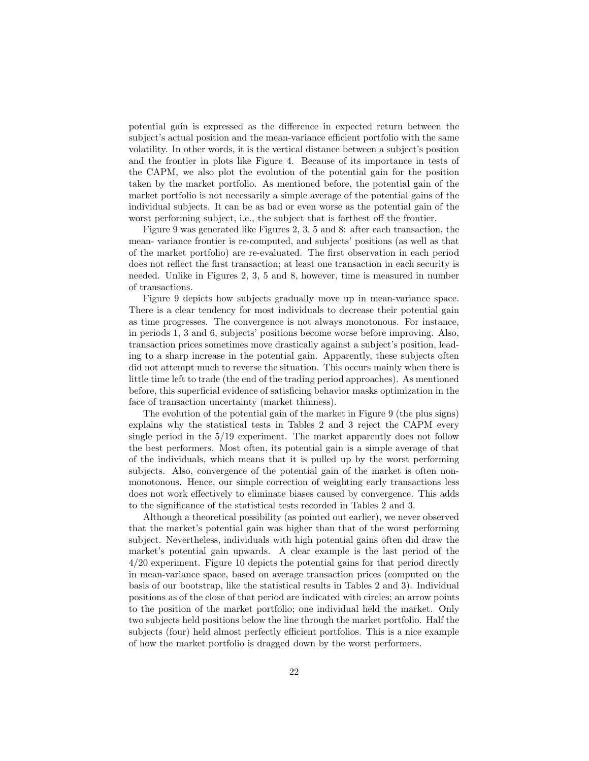potential gain is expressed as the difference in expected return between the potential gain is expressed as the difference in expected return between the subject's actual position and the mean-variance efficient portfolio with the same volatility. In other words it is the vertical distance between potential gain is expressed as the difference in expected return between the<br>subject's actual position and the mean-variance efficient portfolio with the same<br>volatility. In other words, it is the vertical distance between subject's actual position and the mean-variance efficient portfolio with the same<br>volatility. In other words, it is the vertical distance between a subject's position<br>and the frontier in plots like Figure 4. Because of its volatility. In other words, it is the vertical distance between a subject's position<br>and the frontier in plots like Figure 4. Because of its importance in tests of<br>the CAPM, we also plot the evolution of the potential gain and the frontier in plots like Figure 4. Because of its importance in tests of<br>the CAPM, we also plot the evolution of the potential gain for the position<br>taken by the market portfolio. As mentioned before, the potential g the CAPM, we also plot the evolution of the potential gain for the position<br>taken by the market portfolio. As mentioned before, the potential gain of the<br>market portfolio is not necessarily a simple average of the potentia market portfolio is not necessarily a simple average of the potential gains of the individual subjects. It can be as bad or even worse as the potential gain of the worst performing subject, i.e., the subject that is farthe individual subjects. It can be as bad or even worse as the potential gain of the

Figure 9 was generated like Figures 2, 3, 5 and 8: after each transaction, the worst performing subject, i.e., the subject that is farthest off the frontier.<br>Figure 9 was generated like Figures 2, 3, 5 and 8: after each transaction, the<br>mean- variance frontier is re-computed, and subjects' positions Figure 9 was generated like Figures 2, 3, 5 and 8: after each transaction, the<br>mean-variance frontier is re-computed, and subjects' positions (as well as that<br>of the market portfolio) are re-evaluated. The first observatio % of the market portfolio) are re-evaluated. The first observation in each period does not reflect the first transaction; at least one transaction in each security is needed. Unlike in Figures 2,  $3$ ,  $5$  and  $8$ , however does not reflect the first transaction; at least one transaction in each security is of transactions.

Figure 9 depicts how subjects gradually move up in mean-variance space. of transactions.<br>Figure 9 depicts how subjects gradually move up in mean-variance space.<br>There is a clear tendency for most individuals to decrease their potential gain<br>as time progresses. The convergence is not always mon Figure 9 depicts how subjects gradually move up in mean-variance space.<br>There is a clear tendency for most individuals to decrease their potential gain<br>as time progresses. The convergence is not always monotonous. For inst There is a clear tendency for most individuals to decrease their potential gain<br>as time progresses. The convergence is not always monotonous. For instance,<br>in periods 1, 3 and 6, subjects' positions become worse before imp as time progresses. The convergence is not always monotonous. For instance,<br>in periods 1, 3 and 6, subjects' positions become worse before improving. Also,<br>transaction prices sometimes move drastically against a subject's in periods 1, 3 and 6, subjects' positions become worse before improving. Also,<br>transaction prices sometimes move drastically against a subject's position, lead-<br>ing to a sharp increase in the potential gain. Apparently, t transaction prices sometimes move drastically against a subject's position, leading to a sharp increase in the potential gain. Apparently, these subjects often did not attempt much to reverse the situation. This occurs mai ing to a sharp increase in the potential gain. Apparently, these subjects often<br>did not attempt much to reverse the situation. This occurs mainly when there is<br>little time left to trade (the end of the trading period appro did not attempt much to reverse the situation. This occurs mainly when there is<br>little time left to trade (the end of the trading period approaches). As mentioned<br>before, this superficial evidence of satisficing behavior m before, this superficial evidence of satisficing behavior masks optimization in the face of transaction uncertainty (market thinness). be, this superficial evidence of satisficing behavior masks optimization in the<br>  $\epsilon$  of transaction uncertainty (market thinness).<br>
The evolution of the potential gain of the market in Figure 9 (the plus signs)<br>
lains why

face of transaction uncertainty (market thinness).<br>The evolution of the potential gain of the market in Figure 9 (the plus signs)<br>explains why the statistical tests in Tables 2 and 3 reject the CAPM every<br>single period in The evolution of the potential gain of the market in Figure 9 (the plus signs) explains why the statistical tests in Tables 2 and 3 reject the CAPM every single period in the  $5/19$  experiment. The market apparently does explains why the statistical tests in Tables 2 and 3 reject the CAPM every<br>single period in the  $5/19$  experiment. The market apparently does not follow<br>the best performers. Most often, its potential gain is a simple aver the best performers. Most often, its potential gain is a simple average of that of the individuals, which means that it is pulled up by the worst performing subjects. Also, convergence of the potential gain of the market is often non-<br>monotonous. Hence, our simple correction of weighting early transactions less<br>does not work effectively to eliminate biases caused by convergenc monotonous. Hence, our simple correction of weighting early transactions less to the significance of the statistical tests recorded in Tables 2 and 3.

Although a theoretical possibility (as pointed out earlier), we never observed to the significance of the statistical tests recorded in Tables 2 and 3.<br>Although a theoretical possibility (as pointed out earlier), we never observed<br>that the market's potential gain was higher than that of the worst per Although a theoretical possibility (as pointed out earlier), we never observed<br>that the market's potential gain was higher than that of the worst performing<br>subject. Nevertheless, individuals with high potential gains ofte that the market's potential gain was higher than that of the worst performing<br>subject. Nevertheless, individuals with high potential gains often did draw the<br>market's potential gain upwards. A clear example is the last per subject. Nevertheless, individuals with high potential gains often did draw the<br>market's potential gain upwards. A clear example is the last period of the<br>4/20 experiment. Figure 10 depicts the potential gains for that per market's potential gain upwards. A clear example is the last period of the 4/20 experiment. Figure 10 depicts the potential gains for that period directly in mean-variance space, based on average transaction prices (comput 4/20 experiment. Figure 10 depicts the potential gains for that period directly<br>in mean-variance space, based on average transaction prices (computed on the<br>basis of our bootstrap, like the statistical results in Tables 2 in mean-variance space, based on average transaction prices (computed on the basis of our bootstrap, like the statistical results in Tables 2 and 3). Individual positions as of the close of that period are indicated with c basis of our bootstrap, like the statistical results in Tables 2 and 3). Individual<br>positions as of the close of that period are indicated with circles; an arrow points<br>to the position of the market portfolio; one individu to the position of the market portfolio; one individual held the market. Only two subjects held positions below the line through the market portfolio. Half the to the position of the market portfolio; one individual held the market. Only<br>two subjects held positions below the line through the market portfolio. Half the<br>subjects (four) held almost perfectly efficient portfolios. Th two subjects held positions below the line through the market portfolio. If subjects (four) held almost perfectly efficient portfolios. This is a nice e of how the market portfolio is dragged down by the worst performers.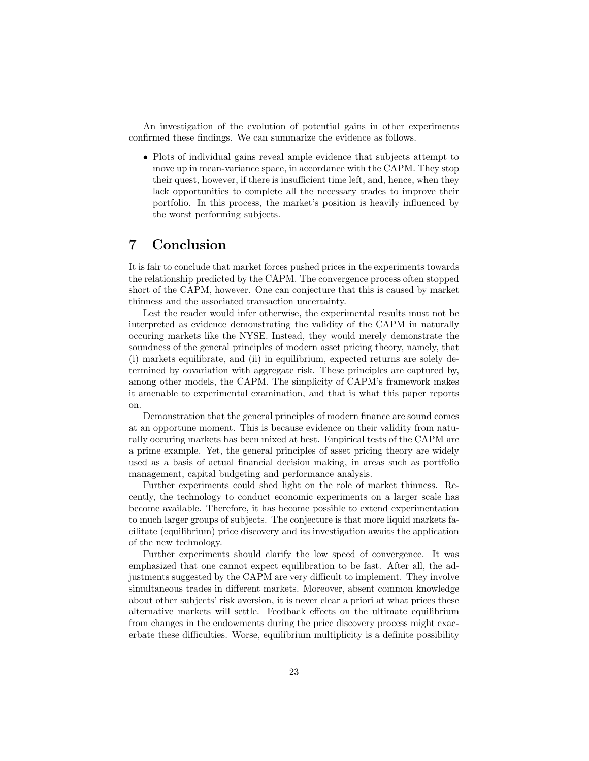An investigation of the evolution of potential gains in other experiments confirmed these findings. We can summarize the evidence as follows.

• Plots of individual gains reveal ample evidence that subjects attempt to Plots of individual gains reveal ample evidence that subjects attempt to move up in mean-variance space, in accordance with the CAPM. They stop their quest however, if there is insufficient time left, and, hence when they Plots of individual gains reveal ample evidence that subjects attempt to<br>move up in mean-variance space, in accordance with the CAPM. They stop<br>their quest, however, if there is insufficient time left, and, hence, when the their quest, however, if there is insufficient time left, and, hence, when they lack opportunities to complete all the necessary trades to improve their portfolio. In this process, the market's position is heavily influenced by the worst performing subjects.<br> **7** Conclusion

 $\begin{array}{l} \textbf{7} \quad \textbf{Conclusion} \end{array}$ <br>It is fair to conclude that market forces pushed prices in the experiments towards<br>the relationship predicted by the CAPM. The convergence process often stopped It is fair to conclude that market forces pushed prices in the experiments towards<br>the relationship predicted by the CAPM. The convergence process often stopped<br>short of the CAPM, however. One can conjecture that this is c It is fair to conclude that market forces pushed prices in the experiments towards<br>the relationship predicted by the CAPM. The convergence process often stopped<br>short of the CAPM, however. One can conjecture that this is c the relationship predicted by the CAPM. The converge<br>short of the CAPM, however. One can conjecture that<br>thinness and the associated transaction uncertainty.<br>Let the reader would infer otherwise the experim rt of the CAPM, however. One can conjecture that this is caused by market<br>ness and the associated transaction uncertainty.<br>Lest the reader would infer otherwise, the experimental results must not be<br>percented as evidence d

thinness and the associated transaction uncertainty.<br>Lest the reader would infer otherwise, the experimental results must not be<br>interpreted as evidence demonstrating the validity of the CAPM in naturally<br>occuring markets Lest the reader would infer otherwise, the experimental results must not be<br>interpreted as evidence demonstrating the validity of the CAPM in naturally<br>occuring markets like the NYSE. Instead, they would merely demonstrate interpreted as evidence demonstrating the validity of the CAPM in naturally<br>occuring markets like the NYSE. Instead, they would merely demonstrate the<br>soundness of the general principles of modern asset pricing theory, nam soundness of the general principles of modern asset pricing theory, namely, that (i) markets equilibrate, and (ii) in equilibrium, expected returns are solely desoundness of the general principles of modern asset pricing theory, namely, that<br>(i) markets equilibrate, and (ii) in equilibrium, expected returns are solely de-<br>termined by covariation with aggregate risk. These princip (i) markets equilibrate, and (ii) in equilibrium, expected returns are solely de-<br>termined by covariation with aggregate risk. These principles are captured by,<br>among other models, the CAPM. The simplicity of CAPM's frame among other models, the CAPM. The simplicity of CAPM's framework makes it amenable to experimental examination, and that is what this paper reports on.

Demonstration that the general principles of modern finance are sound comes on.<br>Demonstration that the general principles of modern finance are sound comes<br>at an opportune moment. This is because evidence on their validity from natu-<br>rally occuring markets has been mixed at best. Empirical tests o Demonstration that the general principles of modern finance are sound comes<br>at an opportune moment. This is because evidence on their validity from natu-<br>rally occuring markets has been mixed at best. Empirical tests of th rally occuring markets has been mixed at best. Empirical tests of the CAPM are a prime example. Yet, the general principles of asset pricing theory are widely used as a basis of actual financial decision making, in areas such as portfolio management, capital budgeting and performance analysis. used as a basis of actual financial decision making, in areas such as portfolio d as a basis of actual financial decision making, in areas such as portfolio nagement, capital budgeting and performance analysis.<br>Further experiments could shed light on the role of market thinness. Re-<br>thy the technology

management, capital budgeting and performance analysis.<br>Further experiments could shed light on the role of market thinness. Recently, the technology to conduct economic experiments on a larger scale has<br>become available. cently, the technology to conduct economic experiments on a larger scale has become available. Therefore, it has become possible to extend experimentation to much larger groups of subjects. The conjecture is that more liquid markets facilitate (equilibrium) price discovery and its investigation awaits the application of the new technology. cilitate (equilibrium) price discovery and its investigation awaits the application rate (equilibrium) price discovery and its investigation awaits the application<br>he new technology.<br>Further experiments should clarify the low speed of convergence. It was<br>phasized that one cannot expect equilibration to be

of the new technology.<br>Further experiments should clarify the low speed of convergence. It was<br>emphasized that one cannot expect equilibration to be fast. After all, the ad-<br>instments suggested by the CAPM are very difficu Further experiments should clarify the low speed of convergence. It was<br>emphasized that one cannot expect equilibration to be fast. After all, the ad-<br>justments suggested by the CAPM are very difficult to implement. They i emphasized that one cannot expect equilibration to be fast. After all, the adjustments suggested by the CAPM are very difficult to implement. They involve simultaneous trades in different markets. Moreover, absent common k simultaneous trades in different markets. Moreover, absent common knowledge about other subjects' risk aversion, it is never clear a priori at what prices these alternative markets will settle. Feedback effects on the ultimate equilibrium about other subjects' risk aversion, it is never clear a priori at what prices these<br>alternative markets will settle. Feedback effects on the ultimate equilibrium<br>from changes in the endowments during the price discovery p alternative markets will settle. Feedback effects on the ultimate equilibrium<br>from changes in the endowments during the price discovery process might exac-<br>erbate these difficulties. Worse, equilibrium multiplicity is a de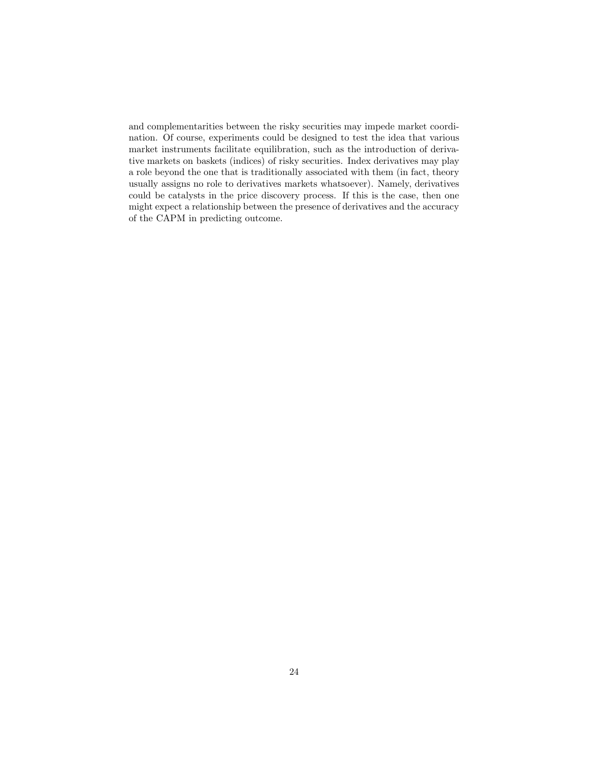and complementarities between the risky securities may impede market coordination. Of course, experiments could be designed to test the idea that various and complementarities between the risky securities may impede market coordination. Of course, experiments could be designed to test the idea that various market instruments facilitate equilibration, such as the introductio nation. Of course, experiments could be designed to test the idea that various market instruments facilitate equilibration, such as the introduction of derivative markets on baskets (indices) of risky securities. Index derivatives may play market instruments facilitate equilibration, such as the introduction of deriva-<br>tive markets on baskets (indices) of risky securities. Index derivatives may play<br>a role beyond the one that is traditionally associated with tive markets on baskets (indices) of risky securities. Index derivatives may play<br>a role beyond the one that is traditionally associated with them (in fact, theory<br>usually assigns no role to derivatives markets whatsoever) usually assigns no role to derivatives markets whatsoever). Namely, derivatives could be catalysts in the price discovery process. If this is the case, then one usually assigns no role to derivatives markets whatsoever). Namely, derivatives<br>could be catalysts in the price discovery process. If this is the case, then one<br>might expect a relationship between the presence of derivativ could be catalysts in the price discove<br>might expect a relationship between the<br>of the CAPM in predicting outcome.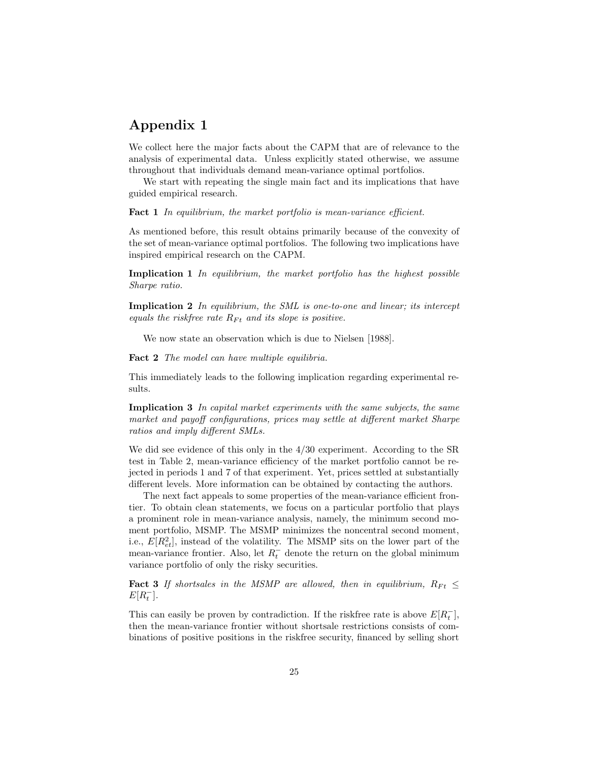## Appendix 1

 $\bf{Appendix\ 1}$ <br>We collect here the major facts about the CAPM that are of relevance to the<br>analysis of experimental data. Unless explicitly stated otherwise, we assume We collect here the major facts about the CAPM that are of relevance to the analysis of experimental data. Unless explicitly stated otherwise, we assume throughout that individuals demand mean-variance ontimal portfolios analysis of experimental data. Unless explicitly stated otherwise, we assume throughout that individuals demand mean-variance optimal portfolios.

We start with repeating the single main fact and its implications that have guided empirical research.

Fact 1 In equilibrium, the market portfolio is mean-variance efficient.

**Fact 1** In equilibrium, the market portfolio is mean-variance efficient.<br>As mentioned before, this result obtains primarily because of the convexity of the set of mean-variance optimal portfolios. The following two implic As mentioned before, this result obtains primarily because of the convexity of the set of mean-variance optimal portfolios. The following two implications have inspired empirical research on the  $CAPM$ the set of mean-variance optimal portfolios. The following two implications have inspired empirical research on the CAPM.

inspired empirical research on the CAPM.<br> **Implication 1** In equilibrium, the market portfolio has the highest possible<br>
Sharpe ratio **Implication 1**<br>Sharpe ratio.

Sharpe ratio.<br> **Implication 2** In equilibrium, the SML is one-to-one and linear; its intercept<br>
equals the riskfree rate  $R_{\text{D}+}$  and its slope is positive **Implication 2** In equilibrium, the SML is one-to-one equals the riskfree rate  $R_{Ft}$  and its slope is positive. als the riskfree rate  $R_{Ft}$  and its slope is positive.<br>We now state an observation which is due to Nielsen [1988].

We now state an observation which is due to I<br>Fact 2 The model can have multiple equilibria.

Fact 2 The model can have multiple equilibria.<br>This immediately leads to the following implication regarding experimental results.

sults.<br>**Implication 3** In capital market experiments with the same subjects, the same<br>market and navoff configurations, prices may settle at different market Sharne **Implication 3** In capital market experiments with the same subjects, the same<br>market and payoff configurations, prices may settle at different market Sharpe<br>ratios and imply different SMLs market and payoff configurations, prices may settle at different market Sharpe ratios and imply different SMLs.

ratios and imply different SMLs.<br>We did see evidence of this only in the 4/30 experiment. According to the SR<br>test in Table 2, mean-variance efficiency of the market portfolio cannot be re-We did see evidence of this only in the  $4/30$  experiment. According to the SR test in Table 2, mean-variance efficiency of the market portfolio cannot be re-We did see evidence of this only in the  $4/30$  experiment. According to the SR test in Table 2, mean-variance efficiency of the market portfolio cannot be rejected in periods 1 and 7 of that experiment. Yet, prices settle test in Table 2, mean-variance efficiency of the market portfolio cannot be re-<br>jected in periods 1 and 7 of that experiment. Yet, prices settled at substantially<br>different levels. More information can be obtained by conta different levels. More information can be obtained by contacting the authors.<br>The next fact appeals to some properties of the mean-variance efficient from-

different levels. More information can be obtained by contacting the authors.<br>The next fact appeals to some properties of the mean-variance efficient fron-<br>tier. To obtain clean statements, we focus on a particular portfol The next fact appeals to some properties of the mean-variance efficient fron-<br>tier. To obtain clean statements, we focus on a particular portfolio that plays<br>a prominent role in mean-variance analysis, namely, the minimum a prominent role in mean-variance analysis, namely, the minimum second moment, meant portfolio, MSMP. The MSMP minimizes the noncentral second moment, a prominent role in mean-variance analysis, namely, the minimum second mo-<br>ment portfolio, MSMP. The MSMP minimizes the noncentral second moment,<br>i.e.,  $E[R_{et}^2]$ , instead of the volatility. The MSMP sits on the lower par ment portfolio, MSMP. The MSMP min<br>i.e.,  $E[R_{et}^2]$ , instead of the volatility. The<br>mean-variance frontier. Also, let  $R_t^-$  der<br>variance portfolio of only the risky secure ⊤ den P minimizes the noncentral second moment,<br>y. The MSMP sits on the lower part of the<br> $\frac{1}{t}$  denote the return on the global minimum<br>securities i.e.,  $E[R_{et}^2]$ , instead of the volatility. The MSN<br>mean-variance frontier. Also, let  $R_t^-$  denote the<br>variance portfolio of only the risky securities. variance portfolio of only the risky securities.<br>Fact 3 If shortsales in the MSMP are allowed, then in equilibrium,  $R_{Ft} \leq$ 

 $E[R_t^-]$ .

 $E[R_t^-]$ .<br>This can easily be proven by contradiction. If the riskfree rate is above  $E[R_t^-]$ ,<br>then the mean-variance frontier without shortsale restrictions consists of com- $\bar{t}$ ], This can easily be proven by contradiction. If the riskfree rate is above  $E[R_t^{-}]$ ,<br>then the mean-variance frontier without shortsale restrictions consists of com-<br>binations of positive positions in the riskfree security, then the mean-variance frontier without shortsale restrictions consists of combinations of positive positions in the riskfree security, financed by selling short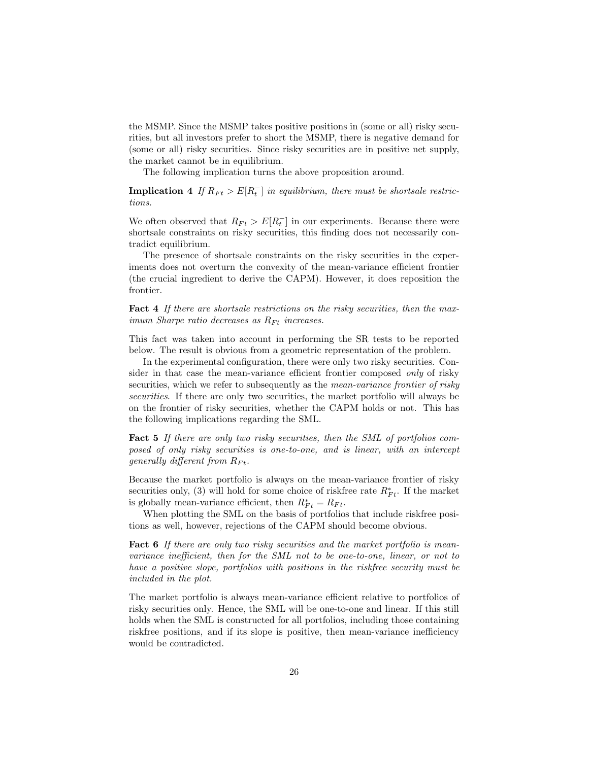the MSMP. Since the MSMP takes positive positions in (some or all) risky secu-<br>rities, but all investors prefer to short the MSMP, there is negative demand for the MSMP. Since the MSMP takes positive positions in (some or all) risky securities, but all investors prefer to short the MSMP, there is negative demand for (some or all) risky securities. Since risky securities are in po rities, but all investors prefer to short the MSMP, there is negative demand for (some or all) risky securities. Since risky securities are in positive net supply, the market cannot be in equilibrium. (some or all) risky securities. Since risky securities are in positive net supply,

The following implication turns the above proposition around.

The following implication turns<br> **Implication 4** If  $R_{Ft} > E[R_t^{-}]$  in<br>
tions turns the above proposition around.<br>  $\overline{t}$ ] in equilibrium, there must be shortsale restrictions.

tions.<br>We often observed that  $R_{Ft} > E[R_t^{-}]$  in<br>shortsale constraints on risky securities  $\left[\frac{1}{t}\right]$  in our experiments. Because there were We often observed that  $R_{Ft} > E[R_t^-]$  in our experiments. Because there were shortsale constraints on risky securities, this finding does not necessarily contradict equilibrium shortsale constraints on risky securities, this finding does not necessarily contradict equilibrium.

The presence of shortsale constraints on the risky securities in the expertradict equilibrium.<br>The presence of shortsale constraints on the risky securities in the exper-<br>iments does not overturn the convexity of the mean-variance efficient frontier<br>(the crucial ingredient to derive the CAPM). H The presence of shortsale constraints on the risky securities in the experiments does not overturn the convexity of the mean-variance efficient frontier (the crucial ingredient to derive the CAPM). However, it does reposit frontier.

Fact 4 If there are shortsale restrictions on the risky securities, then the maximum Sharpe ratio decreases as  $R_{Ft}$  increases.

imum Sharpe ratio decreases as  $R_{Ft}$  increases.<br>This fact was taken into account in performing the SR tests to be reported<br>below. The result is obvious from a geometric representation of the problem This fact was taken into account in performing the SR tests to be reported below. The result is obvious from a geometric representation of the problem.<br>In the experimental configuration, there were only two risky securitie below. The result is obvious from a geometric representation of the problem.<br>In the experimental configuration, there were only two risky securities. Con-

sider in that case the mean-variance efficient frontier composed *only* of risky securities, which we refer to subsequently as the *mean-variance frontier of risky* sider in that case the mean-variance efficient frontier composed *only* of risky<br>securities, which we refer to subsequently as the *mean-variance frontier of risky*<br>securities. If there are only two securities, the market securities, which we refer to subsequently as the *mean-variance frontier of risky*<br>securities. If there are only two securities, the market portfolio will always be<br>on the frontier of risky securities, whether the CAPM ho on the frontier of risky securities, whether the CAPM holds or not. This has the following implications regarding the SML.

the following implications regarding the SML.<br> **Fact 5** If there are only two risky securities, then the SML of portfolios com-<br>
rosed of only risky securities is one-to-one, and is linear, with an intercent **Fact 5** If there are only two risky securities, then the SML of portfolios composed of only risky securities is one-to-one, and is linear, with an intercept generally different from  $R_{\text{D}}$ . posed of only risky securities is one-to-one, and is linear, with an intercept generally different from  $R_{Ft}$ .<br>Because the market portfolio is always on the mean-variance frontier of risky

Because the market portfolio is always on the mean-variance frontier of risky<br>securities only, (3) will hold for some choice of riskfree rate  $R_{Ft}^*$ . If the market<br>is globally mean-variance efficient, then  $R^* = R_{Ft}$ . Because the market portfolio is always on the mean-variance frontier of risky<br>securities only, (3) will hold for some choice of riskfree rate  $R_{Ft}^*$ . If the market<br>is globally mean-variance efficient, then  $R_{Ft}^* = R_{F$ 

is globally mean-variance efficient, then  $R_{Ft}^* = R_{Ft}$ .<br>When plotting the SML on the basis of portfolios that include riskfree positions as well, however, rejections of the CAPM should become obvious.

tions as well, however, rejections of the CAPM should become obvious.<br> **Fact 6** If there are only two risky securities and the market portfolio is mean-<br>
variance inefficient, then for the SML not to be one-to-one, linear, **Fact 6** If there are only two risky securities and the market portfolio is mean-<br>variance inefficient, then for the SML not to be one-to-one, linear, or not to<br>have a positive slope, portfolios with positions in the riskf variance inefficient, then for the SML not to be one-to-one, linear, or not to have a positive slope, portfolios with positions in the riskfree security must be included in the plot. have a positive slope, portfolios with positions in the riskfree security must be

included in the plot.<br>The market portfolio is always mean-variance efficient relative to portfolios of<br>risky securities only. Hence, the SML will be one-to-one and linear. If this still The market portfolio is always mean-variance efficient relative to portfolios of<br>risky securities only. Hence, the SML will be one-to-one and linear. If this still<br>holds when the SML is constructed for all portfolios, incl risky securities only. Hence, the SML will be one-to-one and linear. If this still holds when the SML is constructed for all portfolios, including those containing risky securities only. Hence, the SML will be one-to-one and linear. If this still<br>holds when the SML is constructed for all portfolios, including those containing<br>riskfree positions, and if its slope is positive, then mea holds when the SML is contradicted.<br>
riskfree positions, and if<br>
would be contradicted.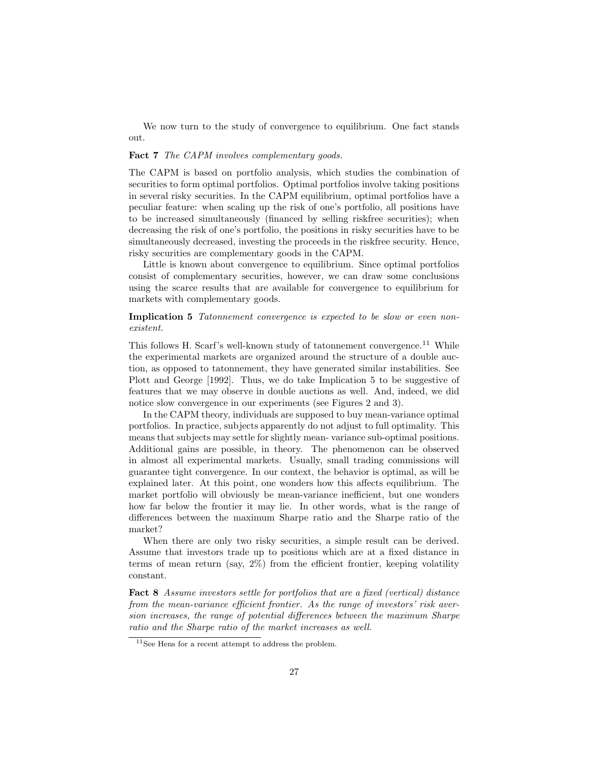We now turn to the study of convergence to equilibrium. One fact stands out.

### Fact 7 The CAPM involves complementary goods.

The CAPM is based on portfolio analysis, which studies the combination of The CAPM is based on portfolio analysis, which studies the combination of securities to form optimal portfolios. Optimal portfolios involve taking positions in several risky securities. In the CAPM equilibrium, optimal po The CAPM is based on portfolio analysis, which studies the combination of<br>securities to form optimal portfolios. Optimal portfolios involve taking positions<br>in several risky securities. In the CAPM equilibrium, optimal por in several risky securities. In the CAPM equilibrium, optimal portfolios have a peculiar feature: when scaling up the risk of one's portfolio, all positions have in several risky securities. In the CAPM equilibrium, optimal portfolios have a<br>peculiar feature: when scaling up the risk of one's portfolio, all positions have<br>to be increased simultaneously (financed by selling riskfree peculiar feature: when scaling up the risk of one's portfolio, all positions have<br>to be increased simultaneously (financed by selling riskfree securities); when<br>decreasing the risk of one's portfolio, the positions in risk to be increased simultaneously (financed by selling riskfree securities); when<br>decreasing the risk of one's portfolio, the positions in risky securities have to be<br>simultaneously decreased, investing the proceeds in the ri decreasing the risk of one's portfolio, the positions in risky<br>simultaneously decreased, investing the proceeds in the risk<br>risky securities are complementary goods in the CAPM.<br>I ittle is known shout convergence to equili ultaneously decreased, investing the proceeds in the riskfree security. Hence,<br>y securities are complementary goods in the CAPM.<br>Little is known about convergence to equilibrium. Since optimal portfolios<br>sist of complement

risky securities are complementary goods in the CAPM.<br>Little is known about convergence to equilibrium. Since optimal portfolios<br>consist of complementary securities, however, we can draw some conclusions<br>using the scarce r Little is known about convergence to equilibrium. Since optimal portfolios consist of complementary securities, however, we can draw some conclusions using the scarce results that are available for convergence to equilibri consist of complementary securities, lusing the scarce results that are avail<br>markets with complementary goods. markets with complementary goods.<br>Implication 5 Tatonnement convergence is expected to be slow or even non-

## existent.

 $\emph{exists}.$ <br>This follows H. Scarf's well-known study of tatonnement convergence.<sup>11</sup> While<br>the experimental markets are organized around the structure of a double auc-This follows H. Scarf's well-known study of tatonnement convergence.<sup>11</sup> While the experimental markets are organized around the structure of a double auction as opposed to tatonnement, they have generated similar instabi This follows H. Scarf's well-known study of tatonnement convergence.<sup>11</sup> While<br>the experimental markets are organized around the structure of a double auc-<br>tion, as opposed to tatonnement, they have generated similar insta the experimental markets are organized around the structure of a double auction, as opposed to tatonnement, they have generated similar instabilities. See Plott and George [1992]. Thus, we do take Implication 5 to be sugge fion, as opposed to tatonnement, they have generated similar instabilities. See<br>Plott and George [1992]. Thus, we do take Implication 5 to be suggestive of<br>features that we may observe in double auctions as well. And, inde Plott and George [1992]. Thus, we do take Implication 5 to be sugfeatures that we may observe in double auctions as well. And, indenotice slow convergence in our experiments (see Figures 2 and 3). In the CAPM theory indiv notice slow convergence in our experiments (see Figures 2 and 3).<br>In the CAPM theory, individuals are supposed to buy mean-variance optimal

portfolios. In practice, subjects apparently do not adjust to full optimality. This In the CAPM theory, individuals are supposed to buy mean-variance optimal<br>portfolios. In practice, subjects apparently do not adjust to full optimality. This<br>means that subjects may settle for slightly mean-variance sub-op portfolios. In practice, subjects apparently do not adjust to full optimality. This<br>means that subjects may settle for slightly mean-variance sub-optimal positions.<br>Additional gains are possible, in theory. The phenomenon Additional gains are possible, in theory. The phenomenon can be observed in almost all experimental markets. Usually, small trading commissions will guarantee tight convergence. In our context, the behavior is optimal, as will be explained later. At this point, one wonders how this affects equilibrium. The market portfolio will obviously be mean-variance inefficient, b explained later. At this point, one wonders how this affects equilibrium. The explained later. At this point, one wonders how this affects equilibrium. The<br>market portfolio will obviously be mean-variance inefficient, but one wonders<br>how far below the frontier it may lie. In other words, what is the market portfolio will obviously be mean-variance inefficient, but one wonders<br>how far below the frontier it may lie. In other words, what is the range of<br>differences between the maximum Sharpe ratio and the Sharpe ratio of market? erences between the maximum Sharpe ratio and the Sharpe ratio of the<br>
result can be derived.<br>
When there are only two risky securities, a simple result can be derived.<br>
ume that investors trade up to positions which are at

When there are only two risky securities, a simple result can be derived.<br>Assume that investors trade up to positions which are at a fixed distance in<br>terms of mean return (say  $2\%$ ) from the efficient frontier keeping v Assume that investors trade up to positions which are at a fixed distance in terms of mean return (say,  $2\%$ ) from the efficient frontier, keeping volatility constant.

Fact 8 Assume investors settle for portfolios that are a fixed (vertical) distance<br>from the mean-variance efficient frontier. As the range of investors' risk aver-**Fact 8** Assume investors settle for portfolios that are a fixed (vertical) distance from the mean-variance efficient frontier. As the range of investors' risk aver-<br>sion increases, the range of potential differences betwe from the mean-variance efficient frontier. As the range of investors' risk aver-<br>sion increases, the range of potential differences between the maximum Sharpe ratio and the Sharpe ratio of the market increases as well.

<sup>11</sup>See Hens for a recent attempt to address the problem.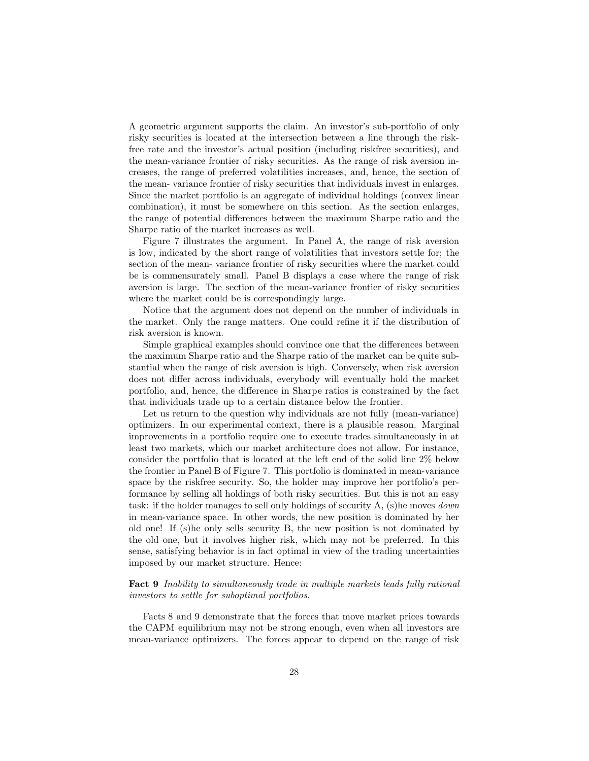A geometric argument supports the claim. An investor's sub-portfolio of only<br>risky securities is located at the intersection between a line through the risk-A geometric argument supports the claim. An investor's sub-portfolio of only risky securities is located at the intersection between a line through the risk-<br>free rate and the investor's actual position (including riskfree risky securities is located at the intersection between a line through the risk-<br>free rate and the investor's actual position (including riskfree securities), and risky securities is located at the intersection between a line through the risk-<br>free rate and the investor's actual position (including risk free securities), and<br>the mean-variance frontier of risky securities. As the ran free rate and the investor's actual position (including riskfree securities), and<br>the mean-variance frontier of risky securities. As the range of risk aversion in-<br>creases, the range of preferred volatilities increases, an the mean-variance frontier of risky securities. As the range of risk aversion in-<br>creases, the range of preferred volatilities increases, and, hence, the section of<br>the mean-variance frontier of risky securities that indiv creases, the range of preferred volatilities increases, and, hence, the section of<br>the mean-variance frontier of risky securities that individuals invest in enlarges.<br>Since the market portfolio is an aggregate of individua Since the market portfolio is an aggregate of individual holdings (convex linear combination), it must be somewhere on this section. As the section enlarges, the range of potential differences between the maximum Sharpe ratio and the Sharpe ratio of the market increases as well. the range of potential differences between the maximum Sharpe ratio and the

Figure 7 illustrates the argument. In Panel A, the range of risk aversion Sharpe ratio of the market increases as well.<br>Figure 7 illustrates the argument. In Panel A, the range of risk aversion<br>is low, indicated by the short range of volatilities that investors settle for; the<br>section of the mea Figure 7 illustrates the argument. In Panel A, the range of risk aversion<br>is low, indicated by the short range of volatilities that investors settle for; the<br>section of the mean- variance frontier of risky securities where be is commensurately small. Panel B displays a case where the range of risk section of the mean-variance frontier of risky securities where the market could<br>be is commensurately small. Panel B displays a case where the range of risk<br>aversion is large. The section of the mean-variance frontier of r be is commensurately small. Panel B displays a case<br>aversion is large. The section of the mean-variance f<br>where the market could be is correspondingly large.<br>Notice that the argument does not denend on the where the market could be is correspondingly large.<br>Notice that the argument does not depend on the number of individuals in

the market. Only the range matters. One could refine it if the distribution of risk aversion is known.

Simple graphical examples should convince one that the differences between risk aversion is known.<br>Simple graphical examples should convince one that the differences between<br>the maximum Sharpe ratio and the Sharpe ratio of the market can be quite sub-<br>stantial when the range of risk aversion is h Simple graphical examples should convince one that the differences between<br>the maximum Sharpe ratio and the Sharpe ratio of the market can be quite sub-<br>stantial when the range of risk aversion is high. Conversely, when ri the maximum Sharpe ratio and the Sharpe ratio of the market can be quite substantial when the range of risk aversion is high. Conversely, when risk aversion does not differ across individuals, everybody will eventually hol stantial when the range of risk aversion is high. Conversely, when risk aversion<br>does not differ across individuals, everybody will eventually hold the market<br>portfolio, and, hence, the difference in Sharpe ratios is const portfolio, and, hence, the difference in Sharpe ratios is constrained by the fact that individuals trade up to a certain distance below the frontier. trolio, and, hence, the difference in Sharpe ratios is constrained by the fact<br>t individuals trade up to a certain distance below the frontier.<br>Let us return to the question why individuals are not fully (mean-variance)<br>im

that individuals trade up to a certain distance below the frontier.<br>Let us return to the question why individuals are not fully (mean-variance)<br>optimizers. In our experimental context, there is a plausible reason. Marginal optimizers. In our experimental context, there is a plausible reason. Marginal improvements in a portfolio require one to execute trades simultaneously in at optimizers. In our experimental context, there is a plausible reason. Marginal<br>improvements in a portfolio require one to execute trades simultaneously in at<br>least two markets, which our market architecture does not allow improvements in a portfolio require one to execute trades simultaneously in at<br>least two markets, which our market architecture does not allow. For instance,<br>consider the portfolio that is located at the left end of the so least two markets, which our market architecture does not allow. For instance,<br>consider the portfolio that is located at the left end of the solid line 2% below<br>the frontier in Panel B of Figure 7. This portfolio is domina consider the portfolio that is located at the left end of the solid line 2% below<br>the frontier in Panel B of Figure 7. This portfolio is dominated in mean-variance<br>space by the riskfree security. So, the holder may improve space by the risk free security. So, the holder may improve her portfolio's performance by selling all holdings of both risky securities. But this is not an easy space by the riskfree security. So, the holder may improve her portfolio's per-<br>formance by selling all holdings of both risky securities. But this is not an easy<br>task: if the holder manages to sell only holdings of secur formance by selling all holdings of both risky securities. But this is not an easy task: if the holder manages to sell only holdings of security A, (s) he moves *down* in mean-variance space. In other words, the new posit task: if the holder manages to sell only holdings of security A, (s)he moves *down*<br>in mean-variance space. In other words, the new position is dominated by her<br>old one! If (s)he only sells security B, the new position is in mean-variance space. In other words, the new position is dominated by her old one! If (s)he only sells security B, the new position is not dominated by the old one, but it involves higher risk, which may not be preferre old one! If (s)he only sells security B, the new position is not dominated by<br>the old one, but it involves higher risk, which may not be preferred. In this<br>sense, satisfying behavior is in fact optimal in view of the tradi the old one, but it involves higher risk, w<br>sense, satisfying behavior is in fact optimal<br>imposed by our market structure. Hence:

## imposed by our market structure. Hence:<br> **Fact 9** Inability to simultaneously trade in multiple markets leads fully rational<br>
investors to settle for subontimal portfolios **Fact 9** Inability to simultaneously trade in m<br>investors to settle for suboptimal portfolios. investors to settle for suboptimal portfolios.<br>Facts 8 and 9 demonstrate that the forces that move market prices towards

Facts 8 and 9 demonstrate that the forces that move market prices towards<br>the CAPM equilibrium may not be strong enough, even when all investors are<br>mean-variance optimizers. The forces appear to depend on the range of ris Facts 8 and 9 demonstrate that the forces that move market prices towards<br>the CAPM equilibrium may not be strong enough, even when all investors are<br>mean-variance optimizers. The forces appear to depend on the range of ris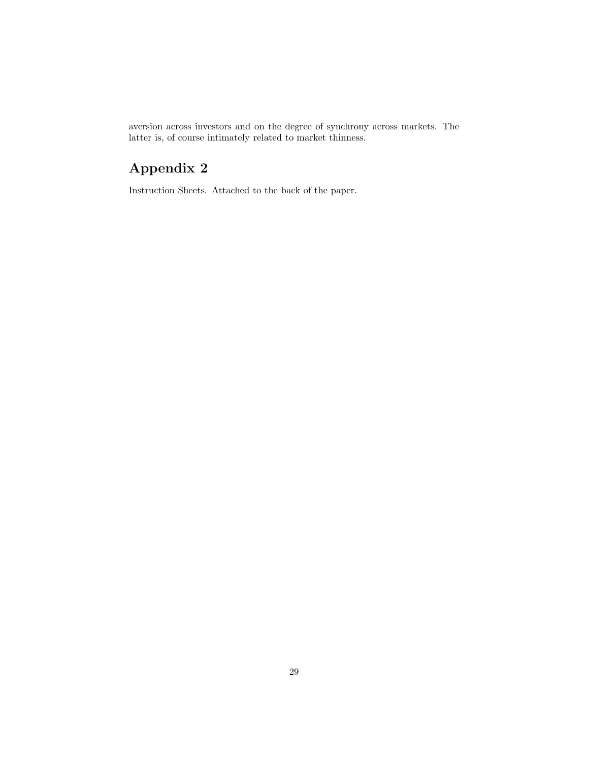aversion across investors and on the degree of synchrony across markets. The latter is of course intimately related to market thinness aversion across investors and on the degree of synchrony and latter is, of course intimately related to market thinness. latter is, of course intimately related to market thinness.<br>  ${\Large\bf Appendix~2}$ 

Instruction Sheets. Attached to the back of the paper.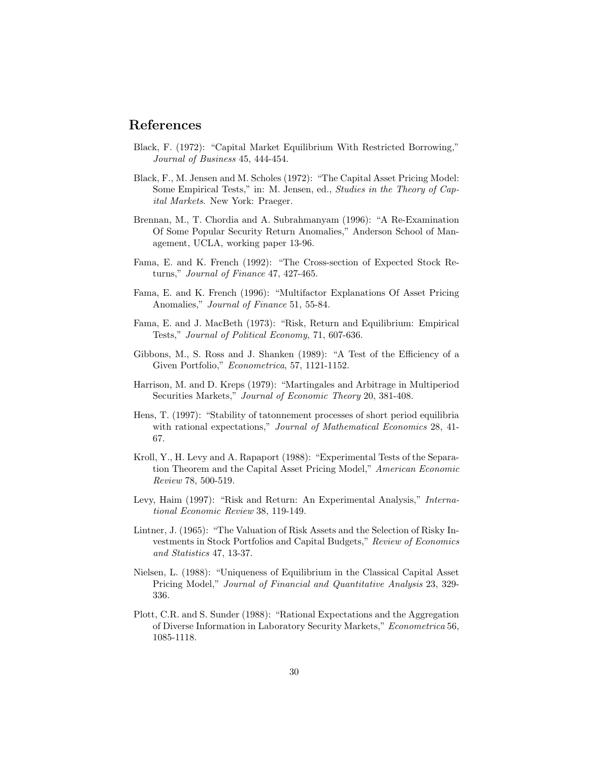## References

- **References**<br>Black, F. (1972): "Capital Market Equilibrium With Restricted Borrowing,"<br>Lournal of Business 45, 444-454 k, F. (1972): "Capital Market Equation of Business 45, 444-454.
- *Journal of Business* 45, 444-454.<br>Black, F., M. Jensen and M. Scholes (1972): "The Capital Asset Pricing Model:<br>Some Empirical Tests " in: M. Jensen, ed., *Studies in the Theory of Can*k, F., M. Jensen and M. Scholes (1972): "The Capital Asset Pricing Model:<br>Some Empirical Tests," in: M. Jensen, ed., *Studies in the Theory of Cap-*<br>*ital Markets* New York: Pragger Some Empirical Tests," in: M. Jensen, ed., Studies in the Theory of Capital Markets. New York: Praeger.
- Brennan, M., T. Chordia and A. Subrahmanyam (1996): "A Re-Examination nan, M., T. Chordia and A. Subrahmanyam (1996): "A Re-Examination<br>Of Some Popular Security Return Anomalies," Anderson School of Mannan, M., T. Chordia and A. Subrahman<br>Of Some Popular Security Return Anom<br>agement, UCLA, working paper 13-96.
- agement, UCLA, working paper 13-96.<br>Fama, E. and K. French (1992): "The Cross-section of Expected Stock Rea, E. and K. French (1992): "The Cross<br>turns," *Journal of Finance* 47, 427-465. turns," *Journal of Finance* 47, 427-465.<br>Fama, E. and K. French (1996): "Multifactor Explanations Of Asset Pricing
- Anomalies," *Journal of Finance* 51, 55-84.
- Anomalies," *Journal of Finance* 51, 55-84.<br>Fama, E. and J. MacBeth (1973): "Risk, Return and Equilibrium: Empirical<br>Tests " *Journal of Political Economy* 71, 607-636 a, E. and J. MacBeth (1973): "Risk, Return and Eq. (1953): "Risk, 70. Tests," *Journal of Political Economy*, 71, 607-636.
- Tests," Journal of Political Economy, 71, 607-636.<br>Gibbons, M., S. Ross and J. Shanken (1989): "A Test of the Efficiency of a<br>Given Portfolio." Econometrica 57, 1121-1152 bons, M., S. Ross and J. Shanken (1989): "A Te Given Portfolio," *Econometrica*, 57, 1121-1152. Given Portfolio," *Econometrica*, 57, 1121-1152.<br>Harrison, M. and D. Kreps (1979): "Martingales and Arbitrage in Multiperiod
- ison, M. and D. Kreps (1979): "Martingales and Arbitrage in MuSecurities Markets," *Journal of Economic Theory* 20, 381-408.
- Securities Markets," Journal of Economic Theory 20, 381-408.<br>Hens, T. (1997): "Stability of tatonnement processes of short period equilibria<br>with rational expectations" Journal of Mathematical Economics 28, 41-Hens, T. (1997): "Stability of taton mement processes of short period equilibria<br>with rational expectations," *Journal of Mathematical Economics* 28, 41-67.
- 67.<br>Kroll, Y., H. Levy and A. Rapaport (1988): "Experimental Tests of the Separa-<br>tion Theorem and the Capital Asset Pricing Model." American Economic 1, Y., H. Levy and A. Rapaport (1988): "Experimental Tests of the Separation Theorem and the Capital Asset Pricing Model," *American Economic* Review 78, 500-519 tion Theorem and the Capital Asset Pricing Model," American Economic Review 78, 500-519.
- Review 78, 500-519.<br>Levy, Haim (1997): "Risk and Return: An Experimental Analysis," *International Economic Review* 38, 119-149. tional Economic Review 38, 119-149.<br>
Here  $R$  and  $R$  Economic Review 38, 119-149.
- tional Economic Review 38, 119-149.<br>Lintner, J. (1965): "The Valuation of Risk Assets and the Selection of Risky In-<br>vestments in Stock Portfolios and Capital Budgets." Review of Economics ner, J. (1965): "The Valuation of Risk Assets and the Selection of Risky Investments in Stock Portfolios and Capital Budgets," *Review of Economics* and *Statistics* 47, 13-37 vestments in Stock Portfolios and Capital Budgets," Review of Economics and Statistics 47, 13-37.
- Nielsen, L. (1988): "Uniqueness of Equilibrium in the Classical Capital Asset Pricing Model," Journal of Financial and Quantitative Analysis 23, 329- 336.
- 336.<br>Plott, C.R. and S. Sunder (1988): "Rational Expectations and the Aggregation<br>of Diverse Information in Laboratory Security Markets." Econometrica 56 t, C.R. and S. Sunder (1988): "Rational Expectations and the Aggregation<br>of Diverse Information in Laboratory Security Markets," *Econometrica* 56,<br>1085-1118 1085-1118.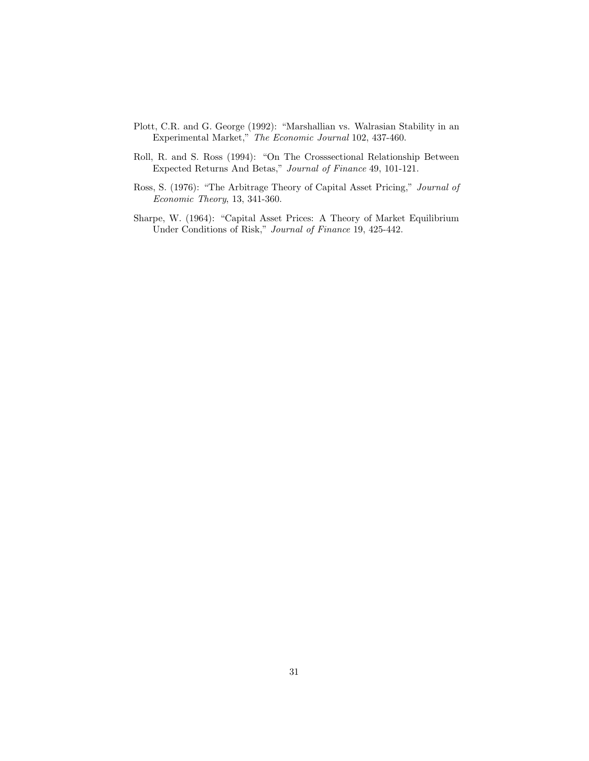- Plott, C.R. and G. George (1992): "Marshallian vs. Walrasian Stability in an<br>Experimental Market" *The Economic Journal* 102, 437-460 t, C.R. and G. George (1992): "Marshallian vs. Walrasian Stal<br/>Experimental Market,"  $\emph{The Economic Journal}$ 102, 437-460.
- Experimental Market," *The Economic Journal* 102, 437-460.<br>Roll, R. and S. Ross (1994): "On The Crosssectional Relationship Between<br>Expected Returns And Betas." *Iournal of Finance* 49, 101-121 R. and S. Ross (1994): "On The Crosssectional Relationship I Expected Returns And Betas," Journal of Finance 49, 101-121.
- Expected Returns And Betas," Journal of Finance 49, 101-121.<br>Ross, S. (1976): "The Arbitrage Theory of Capital Asset Pricing," Journal of<br>Economic Theory 13, 341-360 S. (1976): "The Arbitrage Theory, 13, 341-360.
- Economic Theory, 13, 341-360.<br>Sharpe, W. (1964): "Capital Asset Prices: A Theory of Market Equilibrium<br>Under Conditions of Risk " *Lournal of Finance* 19, 425-442 pe, W. (1964): "Capital Asset Prices: A Theory of Market l<br>Under Conditions of Risk," *Journal of Finance* 19, 425-442.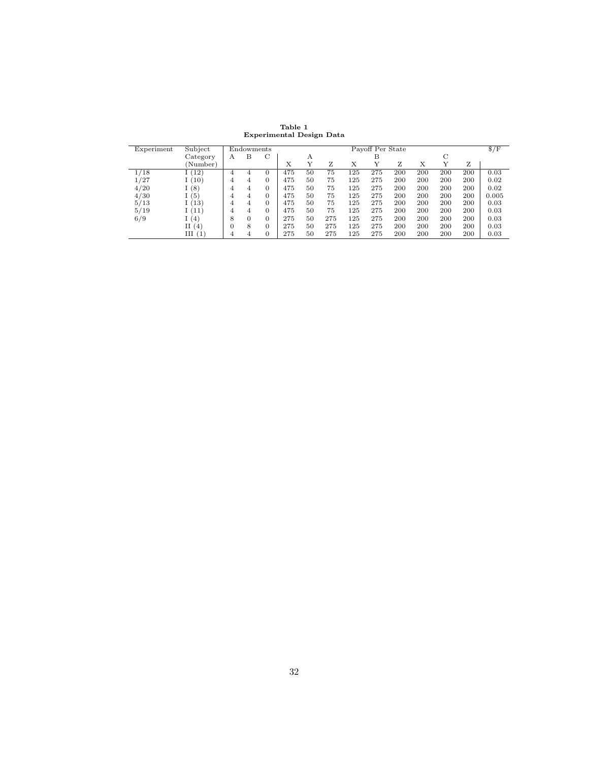Table 1<br>ntal Design Experimental Design Data

| Experiment | Subject  |   |                                |          |     |             | Experimental Design Data |     |     |     |     |     |     |              |  |  |  |  |  |
|------------|----------|---|--------------------------------|----------|-----|-------------|--------------------------|-----|-----|-----|-----|-----|-----|--------------|--|--|--|--|--|
|            |          |   | Payoff Per State<br>Endowments |          |     |             |                          |     |     |     |     |     |     | $\sqrt{$F$}$ |  |  |  |  |  |
|            | Category | А | в                              | C        |     | С<br>в<br>А |                          |     |     |     |     |     |     |              |  |  |  |  |  |
|            | (Number) |   |                                |          | X   | Y           | z                        | Х   | Y   | Ζ   | Х   | Y   | Ζ   |              |  |  |  |  |  |
| /18        | (12)     | 4 | 4                              | 0        | 475 | 50          | 75                       | 125 | 275 | 200 | 200 | 200 | 200 | 0.03         |  |  |  |  |  |
| /27        | (10)     | 4 | 4                              | $\Omega$ | 475 | 50          | 75                       | 125 | 275 | 200 | 200 | 200 | 200 | 0.02         |  |  |  |  |  |
| 4/20       | (8)      | 4 | 4                              | 0        | 475 | 50          | 75                       | 125 | 275 | 200 | 200 | 200 | 200 | 0.02         |  |  |  |  |  |
| 4/30       | (5)      | 4 | 4                              | $\Omega$ | 475 | 50          | 75                       | 125 | 275 | 200 | 200 | 200 | 200 | 0.005        |  |  |  |  |  |
| 5/13       | 13       | 4 | 4                              | $\Omega$ | 475 | 50          | 75                       | 125 | 275 | 200 | 200 | 200 | 200 | 0.03         |  |  |  |  |  |
| 5/19       | 1(11)    | 4 | 4                              | $\Omega$ | 475 | 50          | 75                       | 125 | 275 | 200 | 200 | 200 | 200 | 0.03         |  |  |  |  |  |
| 6/9        | (4)      | 8 | $\Omega$                       | $\Omega$ | 275 | 50          | 275                      | 125 | 275 | 200 | 200 | 200 | 200 | 0.03         |  |  |  |  |  |
|            | П<br>(4) |   | 8                              | 0        | 275 | 50          | 275                      | 125 | 275 | 200 | 200 | 200 | 200 | 0.03         |  |  |  |  |  |
|            | III(1)   | 4 | 4                              | 0        | 275 | 50          | 275                      | 125 | 275 | 200 | 200 | 200 | 200 | 0.03         |  |  |  |  |  |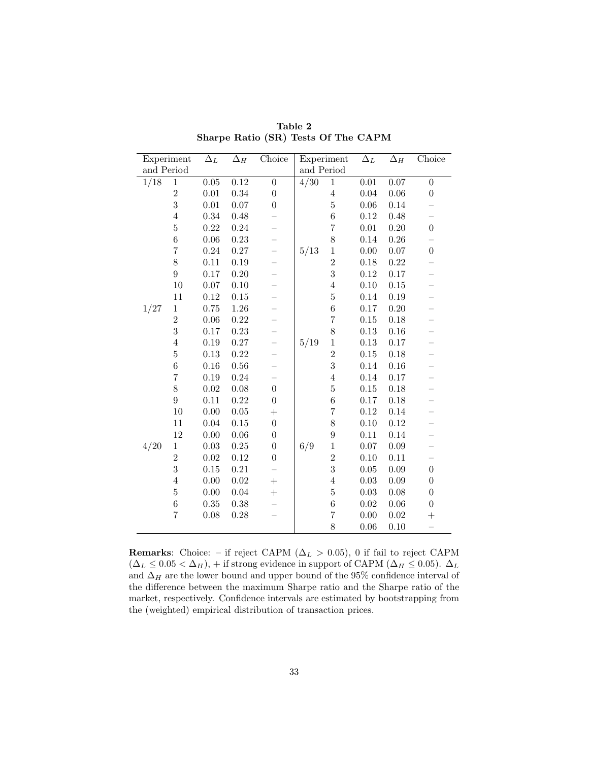| Sharpe Ratio (SR) Tests Of The CAPM |                  |                   |                       |                          |                |                  |                       |            |                  |  |  |  |
|-------------------------------------|------------------|-------------------|-----------------------|--------------------------|----------------|------------------|-----------------------|------------|------------------|--|--|--|
| Experiment                          |                  | $\Delta_L$        | $\overline{\Delta}_H$ | Choice                   | Experiment     |                  | $\overline{\Delta}_L$ | $\Delta_H$ | Choice           |  |  |  |
| and Period                          |                  |                   |                       | and Period               |                |                  |                       |            |                  |  |  |  |
| 1/18                                | $\,1$            | $\overline{0.05}$ | 0.12                  | $\overline{0}$           | $\frac{4}{30}$ | $\mathbf 1$      | $\overline{0.01}$     | 0.07       | $\overline{0}$   |  |  |  |
|                                     | $\boldsymbol{2}$ | $0.01\,$          | 0.34                  | $\boldsymbol{0}$         |                | $\overline{4}$   | $0.04\,$              | 0.06       | $\boldsymbol{0}$ |  |  |  |
|                                     | 3                | $0.01\,$          | 0.07                  | $\boldsymbol{0}$         |                | $\bf 5$          | 0.06                  | 0.14       |                  |  |  |  |
|                                     | $\overline{4}$   | 0.34              | 0.48                  |                          |                | $\overline{6}$   | $0.12\,$              | 0.48       |                  |  |  |  |
|                                     | $\overline{5}$   | 0.22              | 0.24                  |                          |                | $\overline{7}$   | $0.01\,$              | 0.20       | $\boldsymbol{0}$ |  |  |  |
|                                     | $\sqrt{6}$       | 0.06              | 0.23                  |                          |                | 8                | 0.14                  | $0.26\,$   |                  |  |  |  |
|                                     | $\overline{7}$   | $\rm 0.24$        | $0.27\,$              | $\overline{\phantom{0}}$ | 5/13           | $\,1$            | 0.00                  | $0.07\,$   | $\boldsymbol{0}$ |  |  |  |
|                                     | 8                | $0.11\,$          | $0.19\,$              |                          |                | $\overline{2}$   | $0.18\,$              | 0.22       |                  |  |  |  |
|                                     | $\boldsymbol{9}$ | 0.17              | 0.20                  |                          |                | 3                | $0.12\,$              | 0.17       |                  |  |  |  |
|                                     | $10\,$           | 0.07              | 0.10                  |                          |                | $\overline{4}$   | 0.10                  | 0.15       |                  |  |  |  |
|                                     | 11               | 0.12              | 0.15                  |                          |                | $\overline{5}$   | 0.14                  | 0.19       |                  |  |  |  |
| 1/27                                | $\,1\,$          | 0.75              | 1.26                  |                          |                | $\boldsymbol{6}$ | 0.17                  | 0.20       |                  |  |  |  |
|                                     | $\overline{2}$   | 0.06              | 0.22                  |                          |                | $\overline{7}$   | 0.15                  | 0.18       |                  |  |  |  |
|                                     | 3                | 0.17              | 0.23                  |                          |                | 8                | 0.13                  | 0.16       |                  |  |  |  |
|                                     | $\overline{4}$   | 0.19              | 0.27                  |                          | 5/19           | $\,1$            | 0.13                  | 0.17       |                  |  |  |  |
|                                     | $\overline{5}$   | 0.13              | 0.22                  |                          |                | $\overline{2}$   | $0.15\,$              | 0.18       |                  |  |  |  |
|                                     | $\sqrt{6}$       | 0.16              | 0.56                  |                          |                | 3                | 0.14                  | 0.16       |                  |  |  |  |
|                                     | $\overline{7}$   | $0.19\,$          | 0.24                  |                          |                | $\overline{4}$   | 0.14                  | 0.17       |                  |  |  |  |
|                                     | 8                | $0.02\,$          | 0.08                  | $\boldsymbol{0}$         |                | $\bf 5$          | 0.15                  | 0.18       |                  |  |  |  |
|                                     | $\boldsymbol{9}$ | 0.11              | 0.22                  | $\boldsymbol{0}$         |                | $\overline{6}$   | $0.17\,$              | 0.18       |                  |  |  |  |
|                                     | 10               | 0.00              | 0.05                  | $^{+}$                   |                | $\overline{7}$   | 0.12                  | 0.14       |                  |  |  |  |
|                                     | 11               | 0.04              | 0.15                  | $\boldsymbol{0}$         |                | 8                | 0.10                  | 0.12       |                  |  |  |  |
|                                     | $12\,$           | $0.00\,$          | $0.06\,$              | $\boldsymbol{0}$         |                | $\overline{9}$   | 0.11                  | 0.14       |                  |  |  |  |
| 4/20                                | $\mathbf 1$      | 0.03              | $0.25\,$              | $\boldsymbol{0}$         | 6/9            | $\,1$            | $0.07\,$              | 0.09       |                  |  |  |  |
|                                     | $\overline{2}$   | 0.02              | $0.12\,$              | $\boldsymbol{0}$         |                | $\overline{2}$   | 0.10                  | 0.11       |                  |  |  |  |
|                                     | 3                | $0.15\,$          | $\rm 0.21$            |                          |                | 3                | 0.05                  | 0.09       | $\boldsymbol{0}$ |  |  |  |
|                                     | $\overline{4}$   | 0.00              | 0.02                  | $^{+}$                   |                | $\overline{4}$   | $\rm 0.03$            | 0.09       | $\boldsymbol{0}$ |  |  |  |
|                                     | $\overline{5}$   | 0.00              | 0.04                  | $\overline{+}$           |                | $\bf 5$          | 0.03                  | 0.08       | $\boldsymbol{0}$ |  |  |  |
|                                     | $\,6$            | 0.35              | 0.38                  |                          |                | $\,6$            | 0.02                  | $0.06\,$   | $\boldsymbol{0}$ |  |  |  |
|                                     | $\overline{7}$   | 0.08              | 0.28                  |                          |                | $\!\!7$          | 0.00                  | 0.02       | $^{+}$           |  |  |  |
|                                     |                  |                   |                       |                          |                | 8                | 0.06                  | 0.10       |                  |  |  |  |

Table 2<br>R) Tests Of Sharpe Ratio (SR) Tests Of The CAPM

Remarks: Choice: – if reject CAPM ( $\Delta_L > 0.05$ ), 0 if fail to reject CAPM<br>  $(\Delta_L < 0.05 < \Delta_H)$  + if strong evidence in support of CAPM ( $\Delta_H < 0.05$ ).  $\Delta_H$ **Remarks:** Choice: – if reject CAPM ( $\Delta_L > 0.05$ ), 0 if fail to reject CAPM ( $\Delta_L \leq 0.05 < \Delta_H$ ), + if strong evidence in support of CAPM ( $\Delta_H \leq 0.05$ ).  $\Delta_L$  and  $\Delta_H$  are the lower bound and upper bound of the 95% conf  $(\Delta_L \le 0.05 < \Delta_H)$ , + if strong evidence in support of CAPM ( $\Delta_H \le 0.05$ ).  $\Delta_L$ and  $\Delta_H$  are the lower bound and upper bound of the 95% confidence interval of the difference between the maximum Sharpe ratio and the Sharpe ratio of the market, respectively. Confidence intervals are estimated by boots the difference between the maximum Sharpe ratio and the Sharpe ratio of the the (weighted) empirical distribution of transaction prices.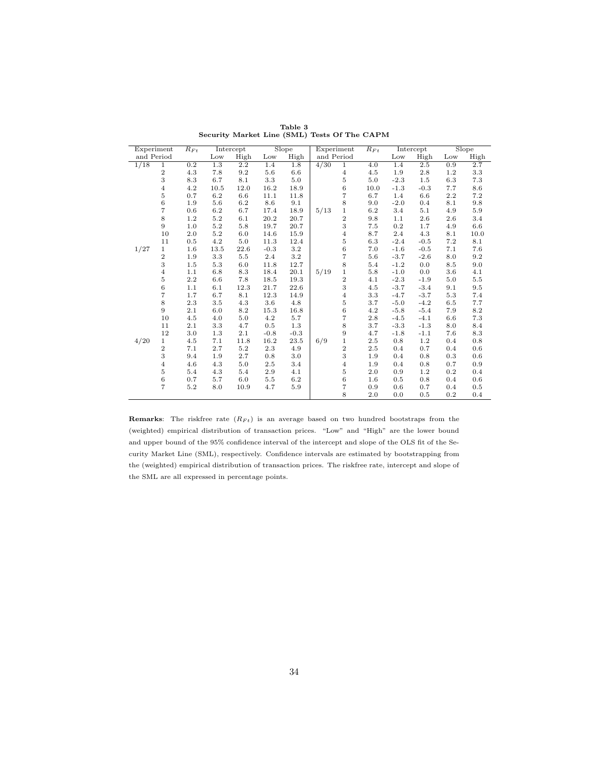| Security Market Line (SML) Tests Of The CAPM |                |          |         |           |        |        |            |                  |                    |        |           |     |       |
|----------------------------------------------|----------------|----------|---------|-----------|--------|--------|------------|------------------|--------------------|--------|-----------|-----|-------|
| Experiment                                   |                | $R_{Ft}$ |         | Intercept |        | Slope  | Experiment |                  | $\overline{R_F}_t$ |        | Intercept |     | Slope |
| and Period                                   |                |          | Low     | High      | Low    | High   | and Period |                  |                    | Low    | High      | Low | High  |
| 1/18                                         | $\overline{1}$ | 0.2      | $1.3\,$ | $2.2\,$   | 1.4    | 1.8    | 4/30       | $\overline{1}$   | 4.0                | 1.4    | 2.5       | 0.9 | 2.7   |
|                                              | $\overline{2}$ | 4.3      | 7.8     | 9.2       | 5.6    | 6.6    |            | $\overline{4}$   | 4.5                | 1.9    | 2.8       | 1.2 | 3.3   |
|                                              | 3              | 8.3      | 6.7     | 8.1       | 3.3    | 5.0    |            | $\bf 5$          | 5.0                | $-2.3$ | 1.5       | 6.3 | 7.3   |
|                                              | $\overline{4}$ | 4.2      | 10.5    | 12.0      | 16.2   | 18.9   |            | 6                | 10.0               | $-1.3$ | $-0.3$    | 7.7 | 8.6   |
|                                              | 5              | 0.7      | 6.2     | 6.6       | 11.1   | 11.8   |            | $\overline{7}$   | 6.7                | 1.4    | 6.6       | 2.2 | 7.2   |
|                                              | 6              | 1.9      | 5.6     | 6.2       | 8.6    | 9.1    |            | 8                | 9.0                | $-2.0$ | 0.4       | 8.1 | 9.8   |
|                                              | 7              | 0.6      | 6.2     | 6.7       | 17.4   | 18.9   | 5/13       | $\,1$            | 6.2                | 3.4    | 5.1       | 4.9 | 5.9   |
|                                              | 8              | 1.2      | 5.2     | 6.1       | 20.2   | 20.7   |            | $\,2$            | 9.8                | 1.1    | 2.6       | 2.6 | 3.4   |
|                                              | 9              | 1.0      | 5.2     | 5.8       | 19.7   | 20.7   |            | $\,3$            | 7.5                | 0.2    | 1.7       | 4.9 | 6.6   |
|                                              | 10             | 2.0      | 5.2     | 6.0       | 14.6   | 15.9   |            | $\overline{4}$   | 8.7                | 2.4    | 4.3       | 8.1 | 10.0  |
|                                              | 11             | 0.5      | 4.2     | 5.0       | 11.3   | 12.4   |            | $\,$ 5           | 6.3                | $-2.4$ | $-0.5$    | 7.2 | 8.1   |
| 1/27                                         | $\mathbf{1}$   | 1.6      | 13.5    | 22.6      | $-0.3$ | 3.2    |            | $\,6\,$          | 7.0                | $-1.6$ | $-0.5$    | 7.1 | 7.6   |
|                                              | $\overline{2}$ | 1.9      | 3.3     | $5.5\,$   | 2.4    | 3.2    |            | $\overline{7}$   | 5.6                | $-3.7$ | $-2.6$    | 8.0 | 9.2   |
|                                              | 3              | 1.5      | 5.3     | 6.0       | 11.8   | 12.7   |            | 8                | 5.4                | $-1.2$ | 0.0       | 8.5 | 9.0   |
|                                              | 4              | 1.1      | 6.8     | 8.3       | 18.4   | 20.1   | 5/19       | $\,1$            | 5.8                | $-1.0$ | 0.0       | 3.6 | 4.1   |
|                                              | 5              | $2.2\,$  | 6.6     | 7.8       | 18.5   | 19.3   |            | $\,2$            | 4.1                | $-2.3$ | $-1.9$    | 5.0 | 5.5   |
|                                              | 6              | 1.1      | 6.1     | 12.3      | 21.7   | 22.6   |            | $\,3$            | 4.5                | $-3.7$ | $-3.4$    | 9.1 | 9.5   |
|                                              | 7              | 1.7      | 6.7     | 8.1       | 12.3   | 14.9   |            | $\overline{4}$   | 3.3                | $-4.7$ | $-3.7$    | 5.3 | 7.4   |
|                                              | 8              | 2.3      | 3.5     | 4.3       | 3.6    | 4.8    |            | $\overline{5}$   | 3.7                | $-5.0$ | $-4.2$    | 6.5 | 7.7   |
|                                              | 9              | 2.1      | 6.0     | 8.2       | 15.3   | 16.8   |            | $\,6$            | 4.2                | $-5.8$ | $-5.4$    | 7.9 | 8.2   |
|                                              | 10             | 4.5      | 4.0     | 5.0       | 4.2    | 5.7    |            | $\overline{7}$   | 2.8                | $-4.5$ | $-4.1$    | 6.6 | 7.3   |
|                                              | 11             | 2.1      | 3.3     | 4.7       | 0.5    | 1.3    |            | 8                | 3.7                | $-3.3$ | $-1.3$    | 8.0 | 8.4   |
|                                              | 12             | 3.0      | 1.3     | 2.1       | $-0.8$ | $-0.3$ |            | $\boldsymbol{9}$ | 4.7                | $-1.8$ | $-1.1$    | 7.6 | 8.3   |
| 4/20                                         | 1              | 4.5      | 7.1     | 11.8      | 16.2   | 23.5   | 6/9        | $\,1$            | 2.5                | 0.8    | 1.2       | 0.4 | 0.8   |
|                                              | $\overline{2}$ | 7.1      | 2.7     | $5.2\,$   | 2.3    | 4.9    |            | $\,2$            | 2.5                | 0.4    | 0.7       | 0.4 | 0.6   |
|                                              | 3              | 9.4      | 1.9     | 2.7       | 0.8    | 3.0    |            | 3                | 1.9                | 0.4    | 0.8       | 0.3 | 0.6   |
|                                              | $\overline{4}$ | 4.6      | 4.3     | 5.0       | 2.5    | 3.4    |            | $\overline{4}$   | 1.9                | 0.4    | 0.8       | 0.7 | 0.9   |
|                                              | 5              | 5.4      | 4.3     | 5.4       | 2.9    | 4.1    |            | $\bf 5$          | 2.0                | 0.9    | 1.2       | 0.2 | 0.4   |
|                                              | 6              | 0.7      | 5.7     | 6.0       | 5.5    | 6.2    |            | $\,6\,$          | 1.6                | 0.5    | 0.8       | 0.4 | 0.6   |
|                                              | 7              | 5.2      | 8.0     | 10.9      | 4.7    | 5.9    |            | 7                | 0.9                | 0.6    | 0.7       | 0.4 | 0.5   |
|                                              |                |          |         |           |        |        |            | 8                | 2.0                | 0.0    | 0.5       | 0.2 | 0.4   |

Table 3<br>(SML) Test Security Market Line (SML) Tests Of The CAPM

**Remarks:** The riskfree rate  $(R_{Ft})$  is an average based on two hundred bootstraps from the **Remarks**: The riskfree rate  $(R_{Ft})$  is an average based on two hundred bootstraps from the (weighted) empirical distribution of transaction prices. "Low" and "High" are the lower bound (weighted) empirical distribution of transaction prices. "Low" and "High" are the lower bound<br>and upper bound of the 95% confidence interval of the intercept and slope of the OLS fit of the Seand upper bound of the 95% confidence interval of the intercept and slope of the OLS fit of the Security Market Line (SML), respectively. Confidence intervals are estimated by bootstrapping from curity Market Line (SML), respectively. Confidence intervals are estimated by bootstrapping from<br>the (weighted) empirical distribution of transaction prices. The riskfree rate, intercept and slope of the (weighted) empirical distribution of transactic<br>the SML are all expressed in percentage points.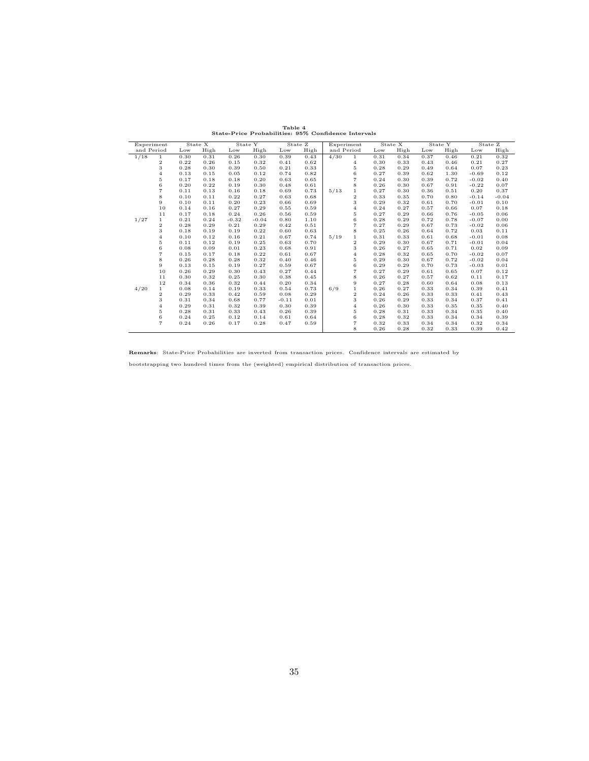|      | Table 4<br>State-Price Probabilities: 95% Confidence Intervals |      |         |         |         |         |         |            |                |      |         |      |         |         |         |  |
|------|----------------------------------------------------------------|------|---------|---------|---------|---------|---------|------------|----------------|------|---------|------|---------|---------|---------|--|
|      | Experiment<br>and Period                                       |      | State X |         | State Y |         | State Z |            | Experiment     |      | State X |      | State Y |         | State Z |  |
|      |                                                                |      | High    | Low     | High    | Low     | High    | and Period |                | Low  | High    | Low  | High    | Low     | High    |  |
| 1/18 | $\mathbf{1}$                                                   | 0.30 | 0.31    | 0.26    | 0.30    | 0.39    | 0.43    | 4/30       | $\mathbf{1}$   | 0.31 | 0.34    | 0.37 | 0.46    | 0.21    | 0.32    |  |
|      | 2                                                              | 0.22 | 0.26    | 0.15    | 0.32    | 0.41    | 0.62    |            | 4              | 0.30 | 0.33    | 0.43 | 0.46    | 0.21    | 0.27    |  |
|      | 3                                                              | 0.28 | 0.30    | 0.39    | 0.50    | 0.21    | 0.33    |            | 5              | 0.28 | 0.29    | 0.49 | 0.64    | 0.07    | 0.23    |  |
|      | $\overline{4}$                                                 | 0.13 | 0.15    | 0.05    | 0.12    | 0.74    | 0.82    |            | 6              | 0.27 | 0.39    | 0.62 | 1.30    | $-0.69$ | 0.12    |  |
|      | 5                                                              | 0.17 | 0.18    | 0.18    | 0.20    | 0.63    | 0.65    |            | $\overline{7}$ | 0.24 | 0.30    | 0.39 | 0.72    | $-0.02$ | 0.40    |  |
|      | 6                                                              | 0.20 | 0.22    | 0.19    | 0.30    | 0.48    | 0.61    |            | 8              | 0.26 | 0.30    | 0.67 | 0.91    | $-0.22$ | 0.07    |  |
|      | $\overline{7}$                                                 | 0.11 | 0.13    | 0.16    | 0.18    | 0.69    | 0.73    | 5/13       | $\mathbf{1}$   | 0.27 | 0.30    | 0.36 | 0.51    | 0.20    | 0.37    |  |
|      | 8                                                              | 0.10 | 0.11    | 0.22    | 0.27    | 0.63    | 0.68    |            | $\overline{2}$ | 0.33 | 0.35    | 0.70 | 0.80    | $-0.14$ | $-0.04$ |  |
|      | 9                                                              | 0.10 | 0.11    | 0.20    | 0.23    | 0.66    | 0.69    |            | 3              | 0.29 | 0.32    | 0.61 | 0.70    | $-0.01$ | 0.10    |  |
|      | 10                                                             | 0.14 | 0.16    | 0.27    | 0.29    | 0.55    | 0.59    |            | $\overline{4}$ | 0.24 | 0.27    | 0.57 | 0.66    | 0.07    | 0.18    |  |
|      | 11                                                             | 0.17 | 0.18    | 0.24    | 0.26    | 0.56    | 0.59    |            | 5              | 0.27 | 0.29    | 0.66 | 0.76    | $-0.05$ | 0.06    |  |
| 1/27 | $\mathbf{1}$                                                   | 0.21 | 0.24    | $-0.32$ | $-0.04$ | 0.80    | 1.10    |            | 6              | 0.28 | 0.29    | 0.72 | 0.78    | $-0.07$ | 0.00    |  |
|      | 2                                                              | 0.28 | 0.29    | 0.21    | 0.29    | 0.42    | 0.51    |            | $\overline{7}$ | 0.27 | 0.29    | 0.67 | 0.73    | $-0.02$ | 0.06    |  |
|      | 3                                                              | 0.18 | 0.19    | 0.19    | 0.22    | 0.60    | 0.63    |            | 8              | 0.25 | 0.26    | 0.64 | 0.72    | 0.03    | 0.11    |  |
|      | $\overline{4}$                                                 | 0.10 | 0.12    | 0.16    | 0.21    | 0.67    | 0.74    | 5/19       | $\mathbf{1}$   | 0.31 | 0.33    | 0.61 | 0.68    | $-0.01$ | 0.08    |  |
|      | 5                                                              | 0.11 | 0.12    | 0.19    | 0.25    | 0.63    | 0.70    |            | $\overline{2}$ | 0.29 | 0.30    | 0.67 | 0.71    | $-0.01$ | 0.04    |  |
|      | 6                                                              | 0.08 | 0.09    | 0.01    | 0.23    | 0.68    | 0.91    |            | 3              | 0.26 | 0.27    | 0.65 | 0.71    | 0.02    | 0.09    |  |
|      | $\overline{7}$                                                 | 0.15 | 0.17    | 0.18    | 0.22    | 0.61    | 0.67    |            | $\overline{4}$ | 0.28 | 0.32    | 0.65 | 0.70    | $-0.02$ | 0.07    |  |
|      | 8                                                              | 0.26 | 0.28    | 0.28    | 0.32    | 0.40    | 0.46    |            | 5              | 0.29 | 0.30    | 0.67 | 0.72    | $-0.02$ | 0.04    |  |
|      | 9                                                              | 0.13 | 0.15    | 0.19    | 0.27    | 0.59    | 0.67    |            | 6              | 0.29 | 0.29    | 0.70 | 0.73    | $-0.03$ | 0.01    |  |
|      | 10                                                             | 0.26 | 0.29    | 0.30    | 0.43    | 0.27    | 0.44    |            | $\overline{7}$ | 0.27 | 0.29    | 0.61 | 0.65    | 0.07    | 0.12    |  |
|      | 11                                                             | 0.30 | 0.32    | 0.25    | 0.30    | 0.38    | 0.45    |            | 8              | 0.26 | 0.27    | 0.57 | 0.62    | 0.11    | 0.17    |  |
|      | 12                                                             | 0.34 | 0.36    | 0.32    | 0.44    | 0.20    | 0.34    |            | 9              | 0.27 | 0.28    | 0.60 | 0.64    | 0.08    | 0.13    |  |
| 4/20 | $\mathbf 1$                                                    | 0.08 | 0.14    | 0.19    | 0.33    | 0.54    | 0.73    | 6/9        | $\mathbf{1}$   | 0.26 | 0.27    | 0.33 | 0.34    | 0.39    | 0.41    |  |
|      | $\overline{2}$                                                 | 0.29 | 0.33    | 0.42    | 0.59    | 0.08    | 0.29    |            | $\overline{2}$ | 0.24 | 0.26    | 0.33 | 0.33    | 0.41    | 0.43    |  |
|      | 3                                                              | 0.31 | 0.34    | 0.68    | 0.77    | $-0.11$ | 0.01    |            | 3              | 0.26 | 0.29    | 0.33 | 0.34    | 0.37    | 0.41    |  |
|      | $\overline{4}$                                                 | 0.29 | 0.31    | 0.32    | 0.39    | 0.30    | 0.39    |            | $\overline{4}$ | 0.26 | 0.30    | 0.33 | 0.35    | 0.35    | 0.40    |  |
|      | 5                                                              | 0.28 | 0.31    | 0.33    | 0.43    | 0.26    | 0.39    |            | 5              | 0.28 | 0.31    | 0.33 | 0.34    | 0.35    | 0.40    |  |
|      | 6                                                              | 0.24 | 0.25    | 0.12    | 0.14    | 0.61    | 0.64    |            | 6              | 0.28 | 0.32    | 0.33 | 0.34    | 0.34    | 0.39    |  |
|      | $\overline{7}$                                                 | 0.24 | 0.26    | 0.17    | 0.28    | 0.47    | 0.59    |            | $\overline{7}$ | 0.32 | 0.33    | 0.34 | 0.34    | 0.32    | 0.34    |  |
|      |                                                                |      |         |         |         |         |         |            | 8              | 0.26 | 0.28    | 0.32 | 0.33    | 0.39    | 0.42    |  |

Remarks: State-Price Probabilities are inverted from transaction prices. Confidence intervals are estimated by

bootstrapping two hundred times from the (weighted) empirical distribution of transaction prices.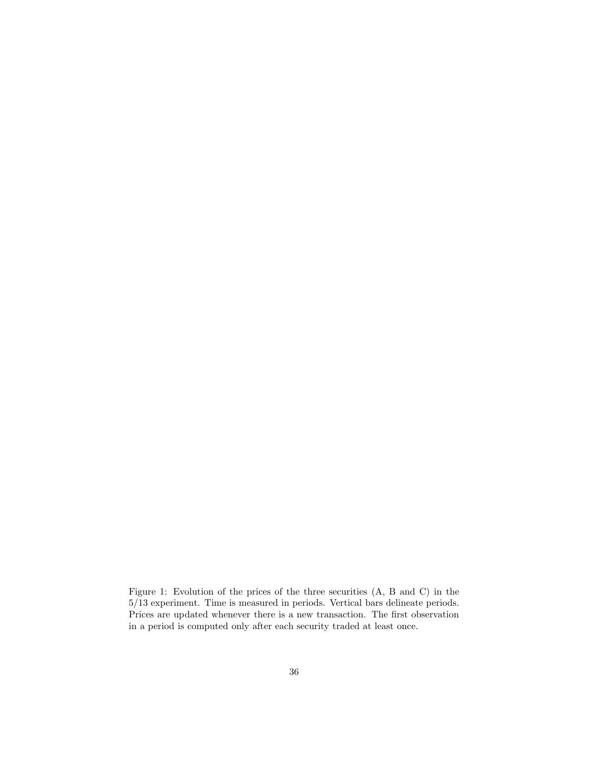Figure 1: Evolution of the prices of the three securities (A, B and C) in the 5/13 experiment. Time is measured in periods. Vertical bars delineate periods Figure 1: Evolution of the prices of the three securities (A, B and C) in the 5/13 experiment. Time is measured in periods. Vertical bars delineate periods.<br>Prices are undated whenever there is a new transaction. The first  $5/13$  experiment. Time is measured in periods. Vertical bars delineate periods. Prices are updated whenever there is a new transaction. The first observation in a period is computed only after each security traded at lea Prices are updated whenever there is a new transaction. The first observation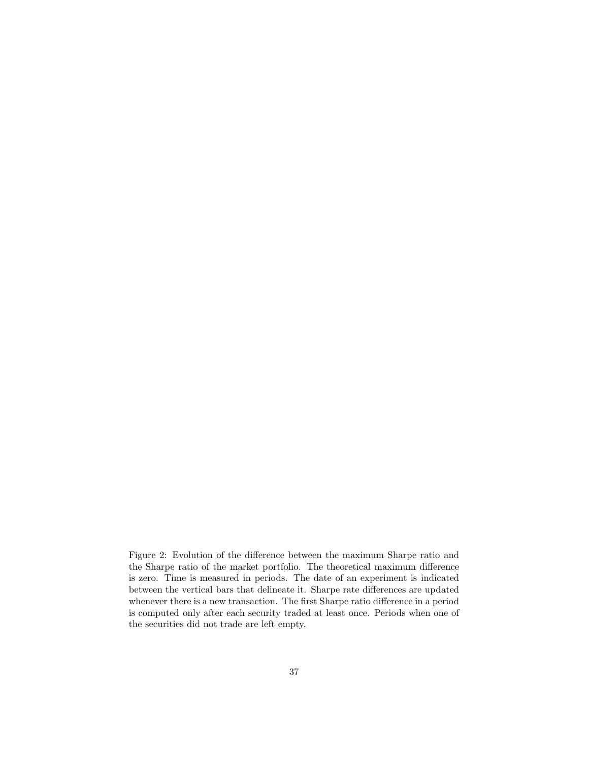Figure 2: Evolution of the difference between the maximum Sharpe ratio and<br>the Sharpe ratio of the market portfolio. The theoretical maximum difference Figure 2: Evolution of the difference between the maximum Sharpe ratio and the Sharpe ratio of the market portfolio. The theoretical maximum difference is zero. Time is measured in periods. The date of an experiment is ind the Sharpe ratio of the market portfolio. The theoretical maximum difference is zero. Time is measured in periods. The date of an experiment is indicated between the vertical bars that delineate it. Sharpe rate differences is zero. Time is measured in periods. The date of an experiment is indicated whenever there is a new transaction. The first Sharpe ratio difference in a period between the vertical bars that delineate it. Sharpe rate differences are updated<br>whenever there is a new transaction. The first Sharpe ratio difference in a period<br>is computed only after each security traded at least once. whenever there is a new transaction. The first<br>is computed only after each security traded<br>the securities did not trade are left empty.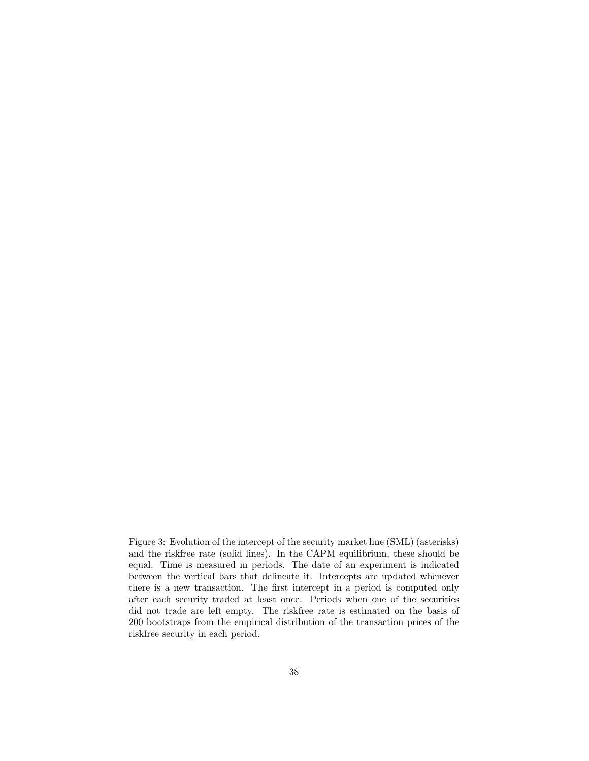Figure 3: Evolution of the intercept of the security market line (SML) (asterisks) Figure 3: Evolution of the intercept of the security market line (SML) (asterisks)<br>and the riskfree rate (solid lines). In the CAPM equilibrium, these should be<br>equal. Time is measured in periods. The date of an experiment Figure 3: Evolution of the intercept of the security market line (SML) (asterisks)<br>and the riskfree rate (solid lines). In the CAPM equilibrium, these should be<br>equal. Time is measured in periods. The date of an experiment equal. Time is measured in periods. The date of an experiment is indicated between the vertical bars that delineate it. Intercepts are updated whenever there is a new transaction. The first intercept in a period is compute between the vertical bars that delineate it. Intercepts are updated whenever between the vertical bars that delineate it. Intercepts are updated whenever<br>there is a new transaction. The first intercept in a period is computed only<br>after each security traded at least once. Periods when one of the se there is a new transaction. The first intercept in a period is computed only<br>after each security traded at least once. Periods when one of the securities<br>did not trade are left empty. The riskfree rate is estimated on the atter each security traded at least once. Periods when one of the securities<br>did not trade are left empty. The riskfree rate is estimated on the basis of<br>200 bootstraps from the empirical distribution of the transaction pr did not trade are left empty. T<br>200 bootstraps from the empirica<br>riskfree security in each period.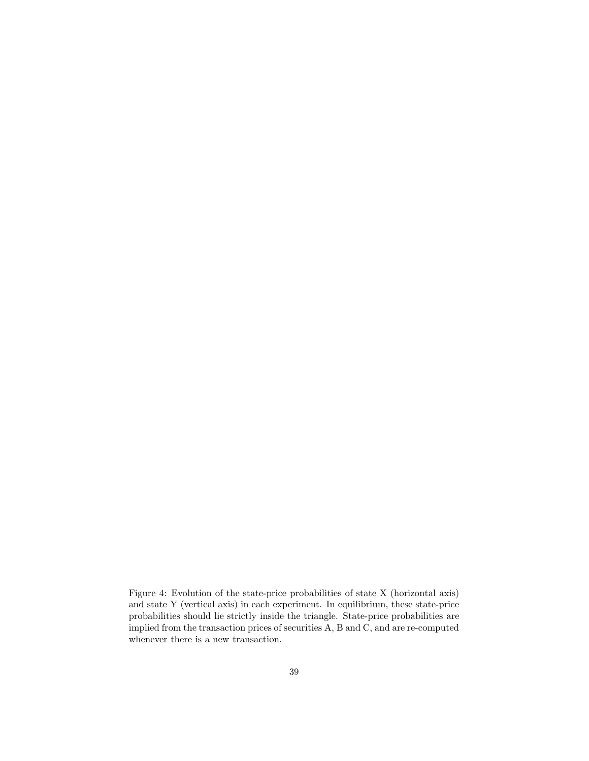Figure 4: Evolution of the state-price probabilities of state X (horizontal axis) Figure 4: Evolution of the state-price probabilities of state X (horizontal axis) and state Y (vertical axis) in each experiment. In equilibrium, these state-price probabilities should lie strictly inside the triangle. Sta Figure 4: Evolution of the state-price probabilities of state X (horizontal axis)<br>and state Y (vertical axis) in each experiment. In equilibrium, these state-price<br>probabilities should lie strictly inside the triangle. Sta and state Y (vertical axis) in each experiment. In equilibrium, these state-price<br>probabilities should lie strictly inside the triangle. State-price probabilities are<br>implied from the transaction prices of securities A, B probabilities should lie strictly inside t<br>implied from the transaction prices of se<br>whenever there is a new transaction.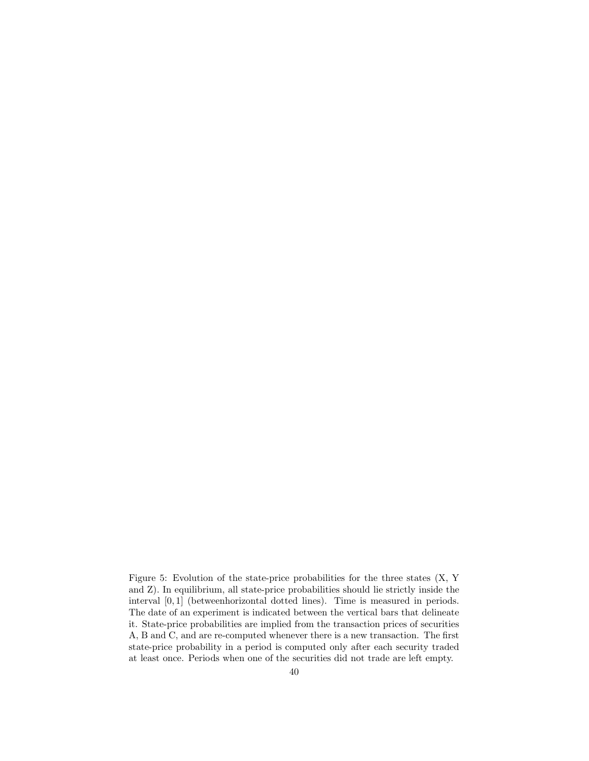Figure 5: Evolution of the state-price probabilities for the three states (X, Y Figure 5: Evolution of the state-price probabilities for the three states  $(X, Y, Z)$  and  $Z$ ). In equilibrium, all state-price probabilities should lie strictly inside the interval  $[0, 1]$  (between horizontal dotted lines) Figure 5: Evolution of the state-price probabilities for the three states (X, Y and Z). In equilibrium, all state-price probabilities should lie strictly inside the interval [0, 1] (betweenhorizontal dotted lines). Time is and  $Z$ ). In equilibrium, all state-price probabilities should lie strictly inside the<br>interval  $[0,1]$  (betweenhorizontal dotted lines). Time is measured in periods.<br>The date of an experiment is indicated between the ver interval  $[0,1]$  (betweenhorizontal dotted lines). Time is measured in periods.<br>The date of an experiment is indicated between the vertical bars that delineate<br>it. State-price probabilities are implied from the transactio it. State-price probabilities are implied from the transaction prices of securities A, B and C, and are re-computed whenever there is a new transaction. The first state-price probability in a period is computed only after A, B and C, and are re-computed whenever there is a new transaction. The first at least once. Periods when one of the securities did not trade are left empty.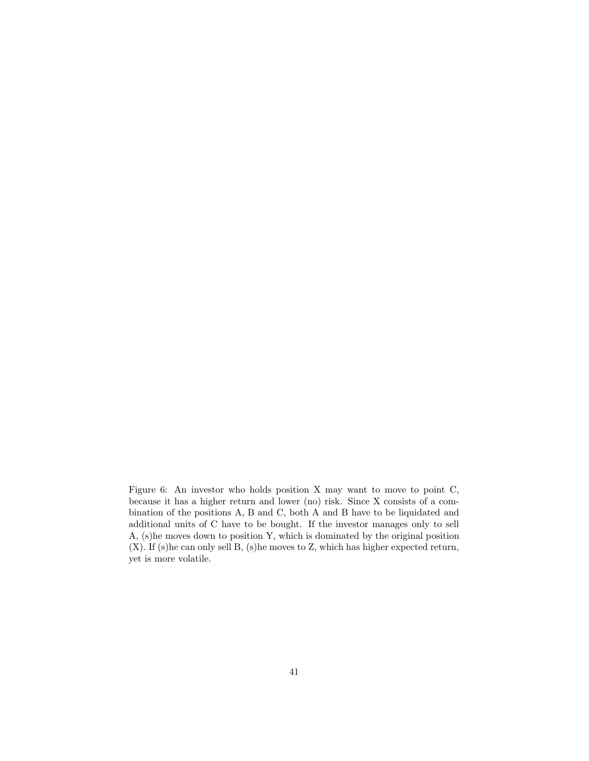Figure 6: An investor who holds position X may want to move to point C, Figure 6: An investor who holds position X may want to move to point C, because it has a higher return and lower (no) risk. Since X consists of a com-<br>bination of the positions A B and C both A and B have to be liquidated Figure 6: An investor who holds position X may want to move to point C,<br>because it has a higher return and lower (no) risk. Since X consists of a com-<br>bination of the positions A, B and C, both A and B have to be liquidat bination of the positions A, B and C, both A and B have to be liquidated and additional units of C have to be bought. If the investor manages only to sell bination of the positions A, B and C, both A and B have to be liquidated and additional units of C have to be bought. If the investor manages only to sell A, (s)he moves down to position Y, which is dominated by the origi additional units of C have to be bought. If the investor manages only to sell A, (s)he moves down to position Y, which is dominated by the original position  $(X)$ . If (s)he can only sell B, (s)he moves to Z, which has high  $(X)$ . If (s)he can only sell B, (s)he moves to Z, which has higher expected return, yet is more volatile.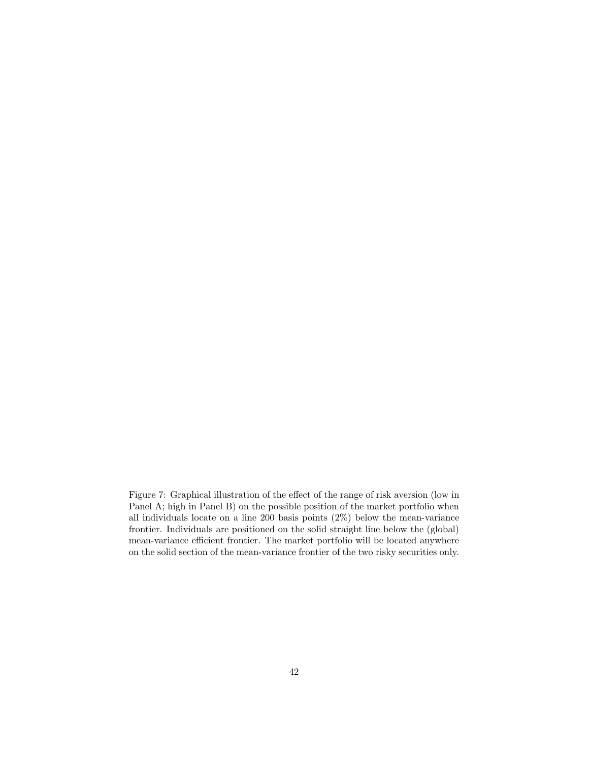Figure 7: Graphical illustration of the effect of the range of risk aversion (low in<br>Panel A: bigh in Panel B) on the possible position of the market portfolio when Figure 7: Graphical illustration of the effect of the range of risk aversion (low in Panel A; high in Panel B) on the possible position of the market portfolio when all individuals locate on a line 200 basis points  $(2\%)$ Panel A; high in Panel B) on the possible position of the market portfolio when all individuals locate on a line 200 basis points  $(2\%)$  below the mean-variance frontier. Individuals are positioned on the solid straight l all individuals locate on a line 200 basis points  $(2\%)$  below the mean-variance all individuals locate on a line 200 basis points  $(2\%)$  below the mean-variance<br>frontier. Individuals are positioned on the solid straight line below the (global)<br>mean-variance efficient frontier. The market portfolio wi frontier. Individuals are positioned on the solid straight line below the (global)<br>mean-variance efficient frontier. The market portfolio will be located anywhere<br>on the solid section of the mean-variance frontier of the t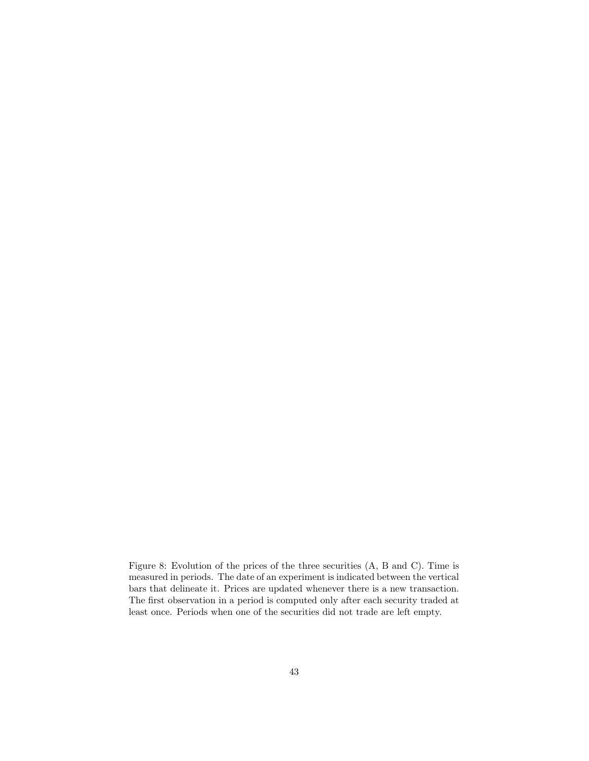Figure 8: Evolution of the prices of the three securities (A, B and C). Time is<br>measured in periods. The date of an experiment is indicated between the vertical Figure 8: Evolution of the prices of the three securities (A, B and C). Time is<br>measured in periods. The date of an experiment is indicated between the vertical<br>bars that delineate it. Prices are undated whenever there is measured in periods. The date of an experiment is indicated between the vertical bars that delineate it. Prices are updated whenever there is a new transaction. measured in periods. The date of an experiment is indicated between the vertical<br>bars that delineate it. Prices are updated whenever there is a new transaction.<br>The first observation in a period is computed only after each bars that delineate it. Prices are updated whenever there is a new transactic<br>The first observation in a period is computed only after each security traded<br>least once. Periods when one of the securities did not trade are l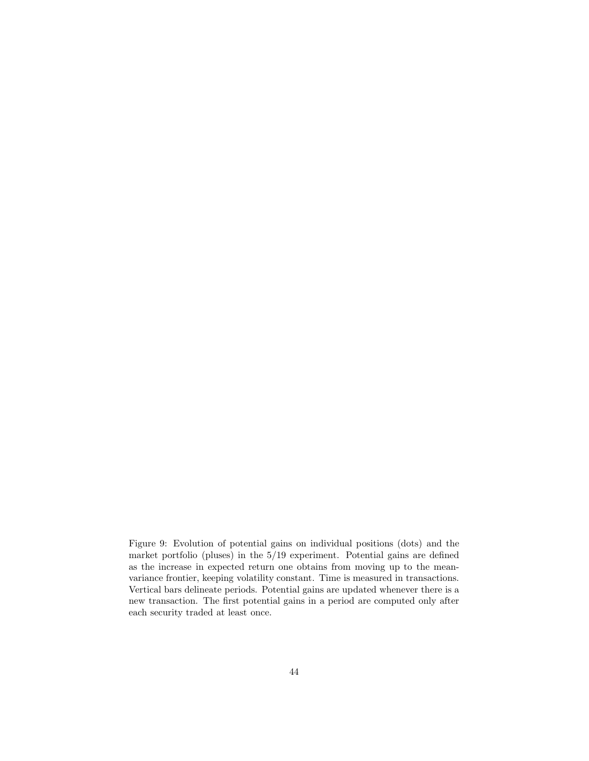Figure 9: Evolution of potential gains on individual positions (dots) and the<br>market portfolio (pluses) in the 5/19 experiment. Potential gains are defined Figure 9: Evolution of potential gains on individual positions (dots) and the market portfolio (pluses) in the  $5/19$  experiment. Potential gains are defined as the increase in expected return one obtains from moving up t Figure 9: Evolution of potential gains on individual positions (dots) and the market portfolio (pluses) in the 5/19 experiment. Potential gains are defined as the increase in expected return one obtains from moving up to t market portfolio (pluses) in the 5/19 experiment. Potential gains are defined<br>as the increase in expected return one obtains from moving up to the mean-<br>variance frontier, keeping volatility constant. Time is measured in t as the increase in expected return one obtains from moving up to the mean-<br>variance frontier, keeping volatility constant. Time is measured in transactions.<br>Vertical bars delineate periods. Potential gains are updated when variance frontier, keeping volatility constant. Time is measured in transactions.<br>Vertical bars delineate periods. Potential gains are updated whenever there is a<br>new transaction. The first potential gains in a period are new transaction. The first potential gains in a period are computed only after each security traded at least once.